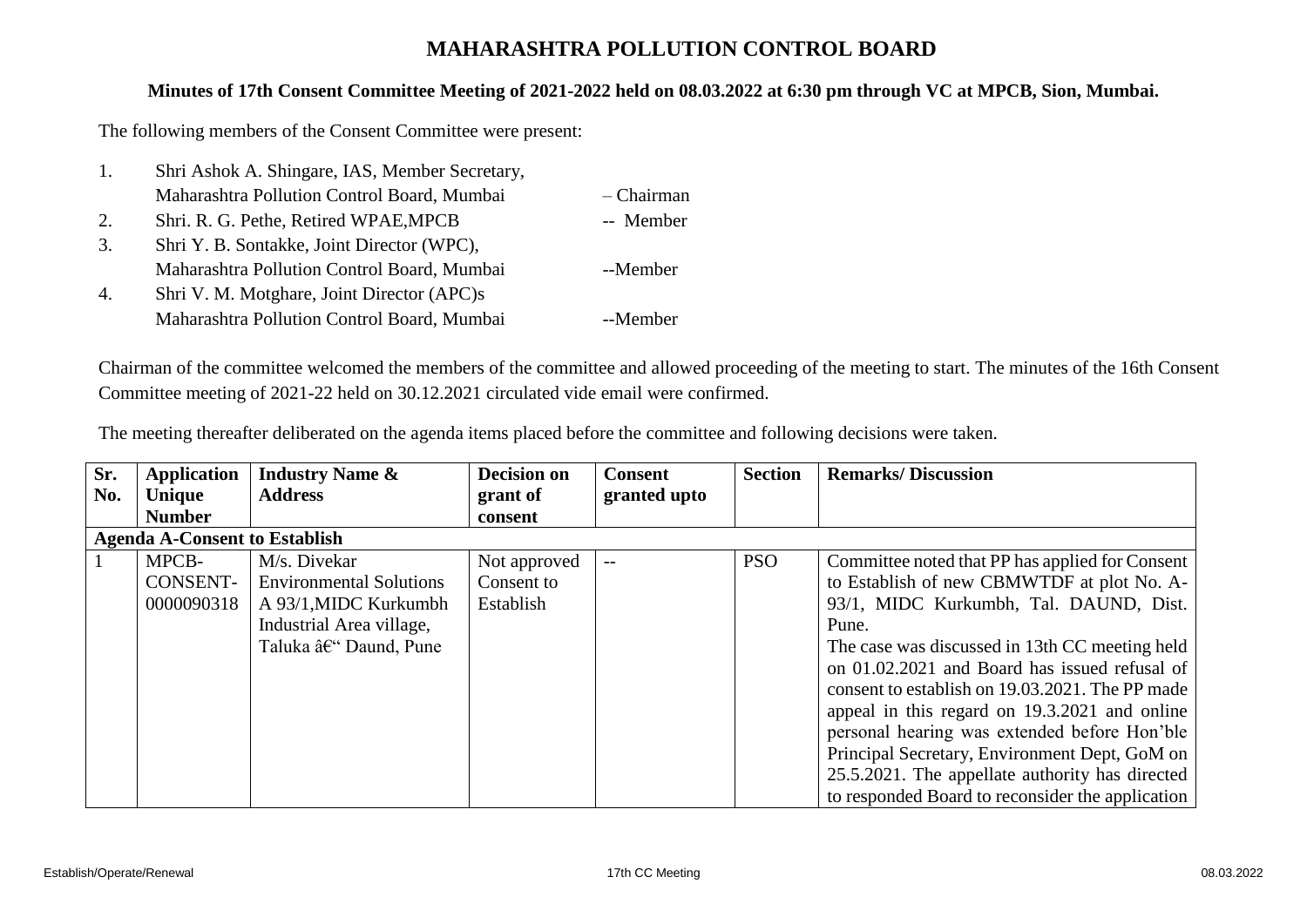## **MAHARASHTRA POLLUTION CONTROL BOARD**

## **Minutes of 17th Consent Committee Meeting of 2021-2022 held on 08.03.2022 at 6:30 pm through VC at MPCB, Sion, Mumbai.**

The following members of the Consent Committee were present:

| 1. | Shri Ashok A. Shingare, IAS, Member Secretary, |            |
|----|------------------------------------------------|------------|
|    | Maharashtra Pollution Control Board, Mumbai    | - Chairman |
| 2. | Shri. R. G. Pethe, Retired WPAE, MPCB          | -- Member  |
| 3. | Shri Y. B. Sontakke, Joint Director (WPC),     |            |
|    | Maharashtra Pollution Control Board, Mumbai    | --Member   |
| 4. | Shri V. M. Motghare, Joint Director (APC)s     |            |
|    | Maharashtra Pollution Control Board, Mumbai    | --Member   |

Chairman of the committee welcomed the members of the committee and allowed proceeding of the meeting to start. The minutes of the 16th Consent Committee meeting of 2021-22 held on 30.12.2021 circulated vide email were confirmed.

|  | The meeting thereafter deliberated on the agenda items placed before the committee and following decisions were taken. |  |
|--|------------------------------------------------------------------------------------------------------------------------|--|
|  |                                                                                                                        |  |
|  |                                                                                                                        |  |

| Sr. | Application                          | <b>Industry Name &amp;</b>     | <b>Decision on</b> | <b>Consent</b>           | <b>Section</b> | <b>Remarks/Discussion</b>                        |
|-----|--------------------------------------|--------------------------------|--------------------|--------------------------|----------------|--------------------------------------------------|
| No. | Unique                               | <b>Address</b>                 | grant of           | granted upto             |                |                                                  |
|     | <b>Number</b>                        |                                | consent            |                          |                |                                                  |
|     | <b>Agenda A-Consent to Establish</b> |                                |                    |                          |                |                                                  |
|     | MPCB-                                | M/s. Divekar                   | Not approved       | $\overline{\phantom{a}}$ | <b>PSO</b>     | Committee noted that PP has applied for Consent  |
|     | CONSENT-                             | <b>Environmental Solutions</b> | Consent to         |                          |                | to Establish of new CBMWTDF at plot No. A-       |
|     | 0000090318                           | A 93/1, MIDC Kurkumbh          | Establish          |                          |                | 93/1, MIDC Kurkumbh, Tal. DAUND, Dist.           |
|     |                                      | Industrial Area village,       |                    |                          |                | Pune.                                            |
|     |                                      | Taluka – Daund, Pune           |                    |                          |                | The case was discussed in 13th CC meeting held   |
|     |                                      |                                |                    |                          |                | on 01.02.2021 and Board has issued refusal of    |
|     |                                      |                                |                    |                          |                | consent to establish on 19.03.2021. The PP made  |
|     |                                      |                                |                    |                          |                | appeal in this regard on 19.3.2021 and online    |
|     |                                      |                                |                    |                          |                | personal hearing was extended before Hon'ble     |
|     |                                      |                                |                    |                          |                | Principal Secretary, Environment Dept, GoM on    |
|     |                                      |                                |                    |                          |                | 25.5.2021. The appellate authority has directed  |
|     |                                      |                                |                    |                          |                | to responded Board to reconsider the application |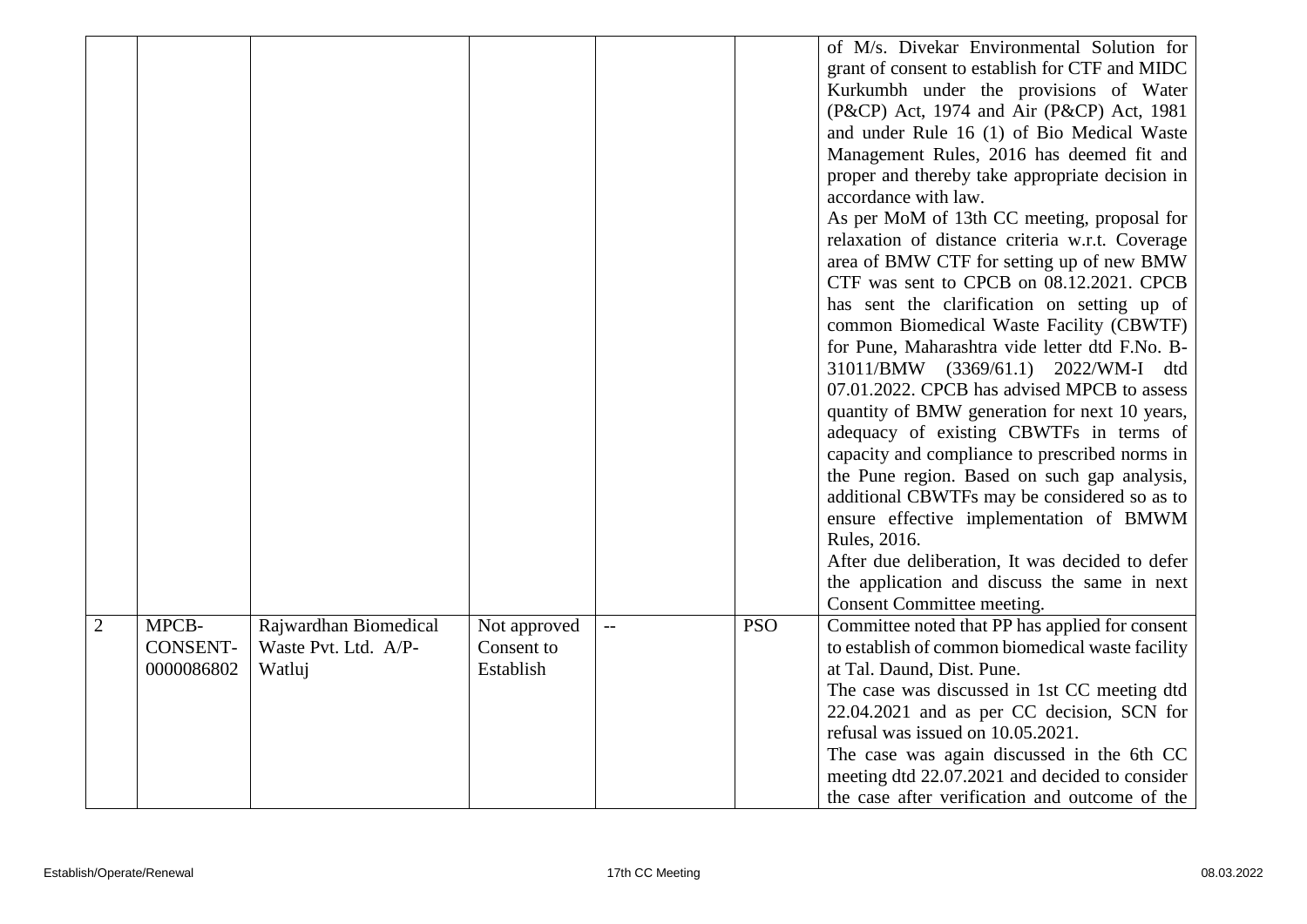|   |                                        |                                                         |                                         |            | of M/s. Divekar Environmental Solution for<br>grant of consent to establish for CTF and MIDC<br>Kurkumbh under the provisions of Water<br>(P&CP) Act, 1974 and Air (P&CP) Act, 1981<br>and under Rule 16 (1) of Bio Medical Waste<br>Management Rules, 2016 has deemed fit and<br>proper and thereby take appropriate decision in<br>accordance with law.<br>As per MoM of 13th CC meeting, proposal for<br>relaxation of distance criteria w.r.t. Coverage<br>area of BMW CTF for setting up of new BMW<br>CTF was sent to CPCB on 08.12.2021. CPCB<br>has sent the clarification on setting up of<br>common Biomedical Waste Facility (CBWTF)<br>for Pune, Maharashtra vide letter dtd F.No. B-<br>31011/BMW (3369/61.1) 2022/WM-I dtd<br>07.01.2022. CPCB has advised MPCB to assess<br>quantity of BMW generation for next 10 years,<br>adequacy of existing CBWTFs in terms of<br>capacity and compliance to prescribed norms in<br>the Pune region. Based on such gap analysis,<br>additional CBWTFs may be considered so as to<br>ensure effective implementation of BMWM<br>Rules, 2016.<br>After due deliberation, It was decided to defer<br>the application and discuss the same in next |
|---|----------------------------------------|---------------------------------------------------------|-----------------------------------------|------------|-----------------------------------------------------------------------------------------------------------------------------------------------------------------------------------------------------------------------------------------------------------------------------------------------------------------------------------------------------------------------------------------------------------------------------------------------------------------------------------------------------------------------------------------------------------------------------------------------------------------------------------------------------------------------------------------------------------------------------------------------------------------------------------------------------------------------------------------------------------------------------------------------------------------------------------------------------------------------------------------------------------------------------------------------------------------------------------------------------------------------------------------------------------------------------------------------------|
|   |                                        |                                                         |                                         |            | Consent Committee meeting.                                                                                                                                                                                                                                                                                                                                                                                                                                                                                                                                                                                                                                                                                                                                                                                                                                                                                                                                                                                                                                                                                                                                                                          |
| 2 | MPCB-<br><b>CONSENT-</b><br>0000086802 | Rajwardhan Biomedical<br>Waste Pvt. Ltd. A/P-<br>Watluj | Not approved<br>Consent to<br>Establish | <b>PSO</b> | Committee noted that PP has applied for consent<br>to establish of common biomedical waste facility<br>at Tal. Daund, Dist. Pune.<br>The case was discussed in 1st CC meeting dtd<br>22.04.2021 and as per CC decision, SCN for<br>refusal was issued on 10.05.2021.<br>The case was again discussed in the 6th CC<br>meeting dtd 22.07.2021 and decided to consider<br>the case after verification and outcome of the                                                                                                                                                                                                                                                                                                                                                                                                                                                                                                                                                                                                                                                                                                                                                                              |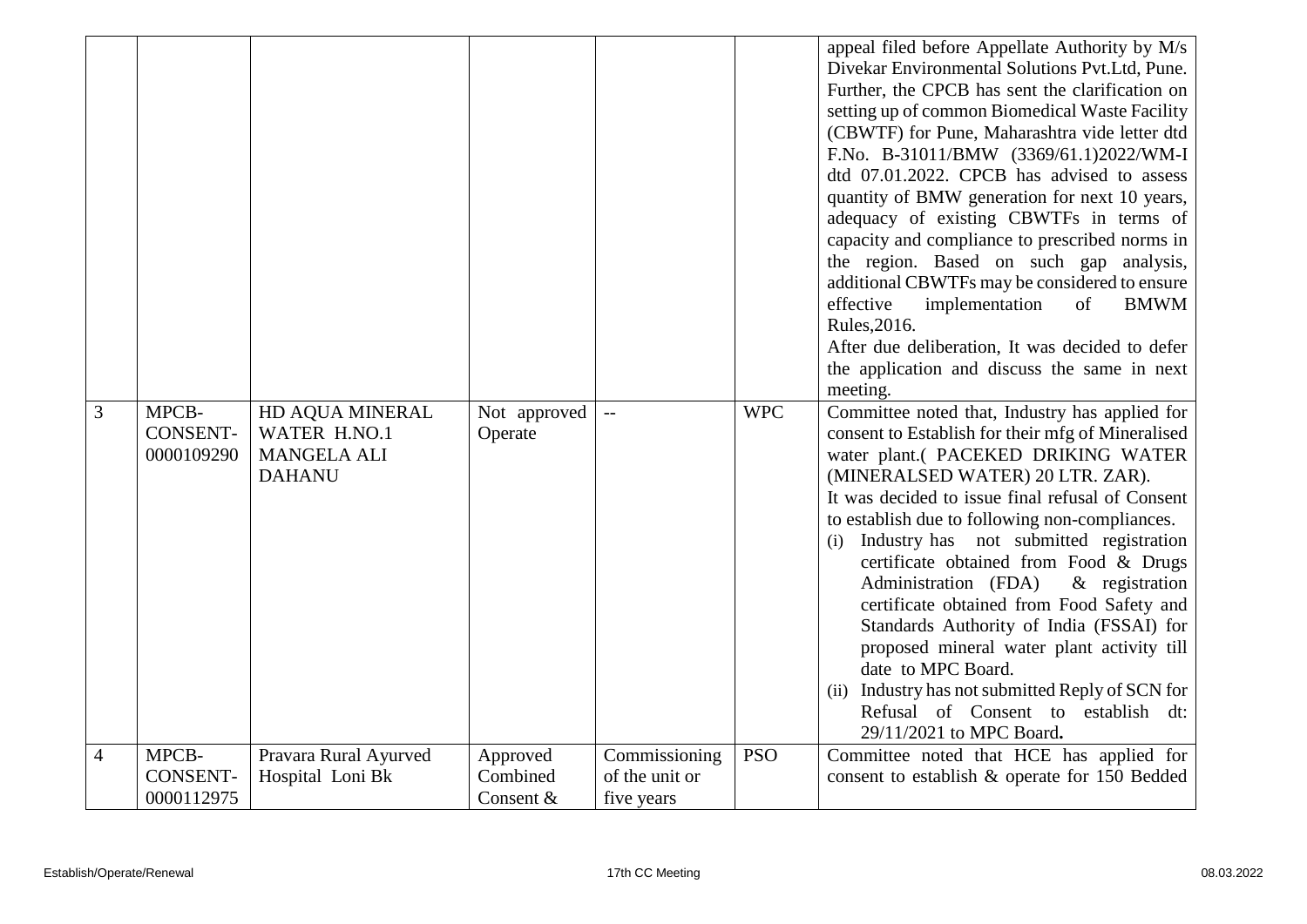|                |                                        |                                                                        |                         |                         |            | appeal filed before Appellate Authority by M/s<br>Divekar Environmental Solutions Pvt.Ltd, Pune.<br>Further, the CPCB has sent the clarification on<br>setting up of common Biomedical Waste Facility<br>(CBWTF) for Pune, Maharashtra vide letter dtd<br>F.No. B-31011/BMW (3369/61.1)2022/WM-I<br>dtd 07.01.2022. CPCB has advised to assess<br>quantity of BMW generation for next 10 years,<br>adequacy of existing CBWTFs in terms of<br>capacity and compliance to prescribed norms in<br>the region. Based on such gap analysis,<br>additional CBWTFs may be considered to ensure<br>effective<br>implementation<br><b>BMWM</b><br>of<br>Rules, 2016.<br>After due deliberation, It was decided to defer<br>the application and discuss the same in next<br>meeting. |
|----------------|----------------------------------------|------------------------------------------------------------------------|-------------------------|-------------------------|------------|-----------------------------------------------------------------------------------------------------------------------------------------------------------------------------------------------------------------------------------------------------------------------------------------------------------------------------------------------------------------------------------------------------------------------------------------------------------------------------------------------------------------------------------------------------------------------------------------------------------------------------------------------------------------------------------------------------------------------------------------------------------------------------|
| 3              | MPCB-<br><b>CONSENT-</b><br>0000109290 | HD AQUA MINERAL<br>WATER H.NO.1<br><b>MANGELA ALI</b><br><b>DAHANU</b> | Not approved<br>Operate | $\mathbb{L} \mathbb{L}$ | <b>WPC</b> | Committee noted that, Industry has applied for<br>consent to Establish for their mfg of Mineralised<br>water plant.( PACEKED DRIKING WATER<br>(MINERALSED WATER) 20 LTR. ZAR).<br>It was decided to issue final refusal of Consent<br>to establish due to following non-compliances.<br>Industry has not submitted registration<br>(i)<br>certificate obtained from Food & Drugs<br>Administration (FDA)<br>$\&$ registration<br>certificate obtained from Food Safety and<br>Standards Authority of India (FSSAI) for<br>proposed mineral water plant activity till<br>date to MPC Board.<br>Industry has not submitted Reply of SCN for<br>(ii)<br>Refusal of Consent to establish dt:<br>29/11/2021 to MPC Board.                                                        |
| $\overline{4}$ | MPCB-                                  | Pravara Rural Ayurved                                                  | Approved                | Commissioning           | <b>PSO</b> | Committee noted that HCE has applied for                                                                                                                                                                                                                                                                                                                                                                                                                                                                                                                                                                                                                                                                                                                                    |
|                | <b>CONSENT-</b>                        | Hospital Loni Bk                                                       | Combined                | of the unit or          |            | consent to establish & operate for 150 Bedded                                                                                                                                                                                                                                                                                                                                                                                                                                                                                                                                                                                                                                                                                                                               |
|                | 0000112975                             |                                                                        | Consent &               | five years              |            |                                                                                                                                                                                                                                                                                                                                                                                                                                                                                                                                                                                                                                                                                                                                                                             |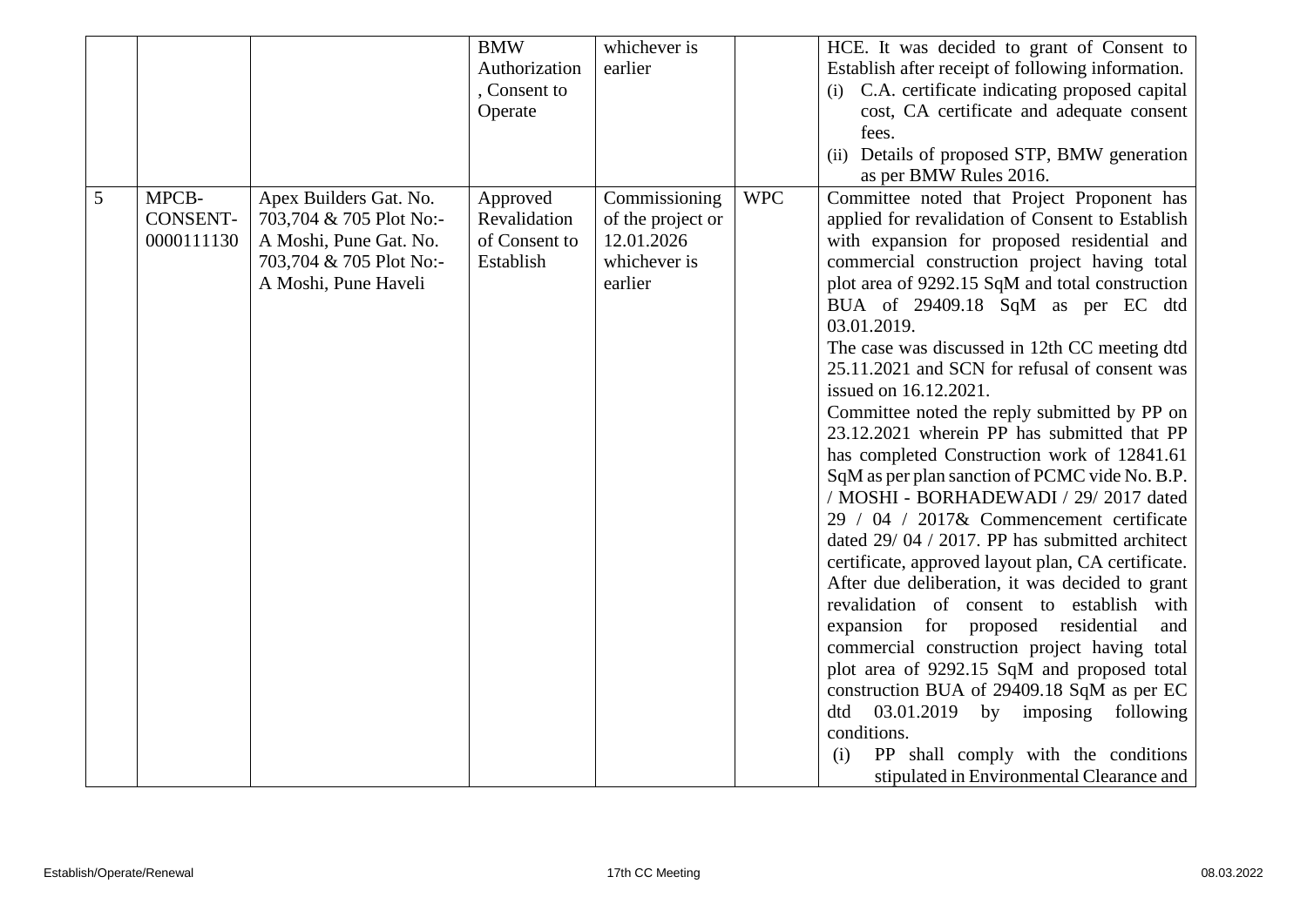|   |                 |                         | <b>BMW</b>    | whichever is      |            | HCE. It was decided to grant of Consent to         |
|---|-----------------|-------------------------|---------------|-------------------|------------|----------------------------------------------------|
|   |                 |                         | Authorization | earlier           |            | Establish after receipt of following information.  |
|   |                 |                         | , Consent to  |                   |            | (i) C.A. certificate indicating proposed capital   |
|   |                 |                         | Operate       |                   |            | cost, CA certificate and adequate consent          |
|   |                 |                         |               |                   |            | fees.                                              |
|   |                 |                         |               |                   |            | (ii) Details of proposed STP, BMW generation       |
|   |                 |                         |               |                   |            | as per BMW Rules 2016.                             |
| 5 | MPCB-           | Apex Builders Gat. No.  | Approved      | Commissioning     | <b>WPC</b> | Committee noted that Project Proponent has         |
|   | <b>CONSENT-</b> | 703,704 & 705 Plot No:- | Revalidation  | of the project or |            | applied for revalidation of Consent to Establish   |
|   | 0000111130      | A Moshi, Pune Gat. No.  | of Consent to | 12.01.2026        |            | with expansion for proposed residential and        |
|   |                 | 703,704 & 705 Plot No:- | Establish     | whichever is      |            | commercial construction project having total       |
|   |                 | A Moshi, Pune Haveli    |               | earlier           |            | plot area of 9292.15 SqM and total construction    |
|   |                 |                         |               |                   |            | BUA of 29409.18 SqM as per EC dtd                  |
|   |                 |                         |               |                   |            | 03.01.2019.                                        |
|   |                 |                         |               |                   |            | The case was discussed in 12th CC meeting dtd      |
|   |                 |                         |               |                   |            | 25.11.2021 and SCN for refusal of consent was      |
|   |                 |                         |               |                   |            | issued on 16.12.2021.                              |
|   |                 |                         |               |                   |            | Committee noted the reply submitted by PP on       |
|   |                 |                         |               |                   |            | 23.12.2021 wherein PP has submitted that PP        |
|   |                 |                         |               |                   |            | has completed Construction work of 12841.61        |
|   |                 |                         |               |                   |            | SqM as per plan sanction of PCMC vide No. B.P.     |
|   |                 |                         |               |                   |            | / MOSHI - BORHADEWADI / 29/2017 dated              |
|   |                 |                         |               |                   |            | 29 / 04 / 2017& Commencement certificate           |
|   |                 |                         |               |                   |            | dated 29/04 / 2017. PP has submitted architect     |
|   |                 |                         |               |                   |            | certificate, approved layout plan, CA certificate. |
|   |                 |                         |               |                   |            | After due deliberation, it was decided to grant    |
|   |                 |                         |               |                   |            | revalidation of consent to establish with          |
|   |                 |                         |               |                   |            | expansion for proposed residential<br>and          |
|   |                 |                         |               |                   |            | commercial construction project having total       |
|   |                 |                         |               |                   |            | plot area of 9292.15 SqM and proposed total        |
|   |                 |                         |               |                   |            | construction BUA of 29409.18 SqM as per EC         |
|   |                 |                         |               |                   |            | 03.01.2019 by imposing following<br>dtd            |
|   |                 |                         |               |                   |            | conditions.                                        |
|   |                 |                         |               |                   |            | PP shall comply with the conditions<br>(i)         |
|   |                 |                         |               |                   |            | stipulated in Environmental Clearance and          |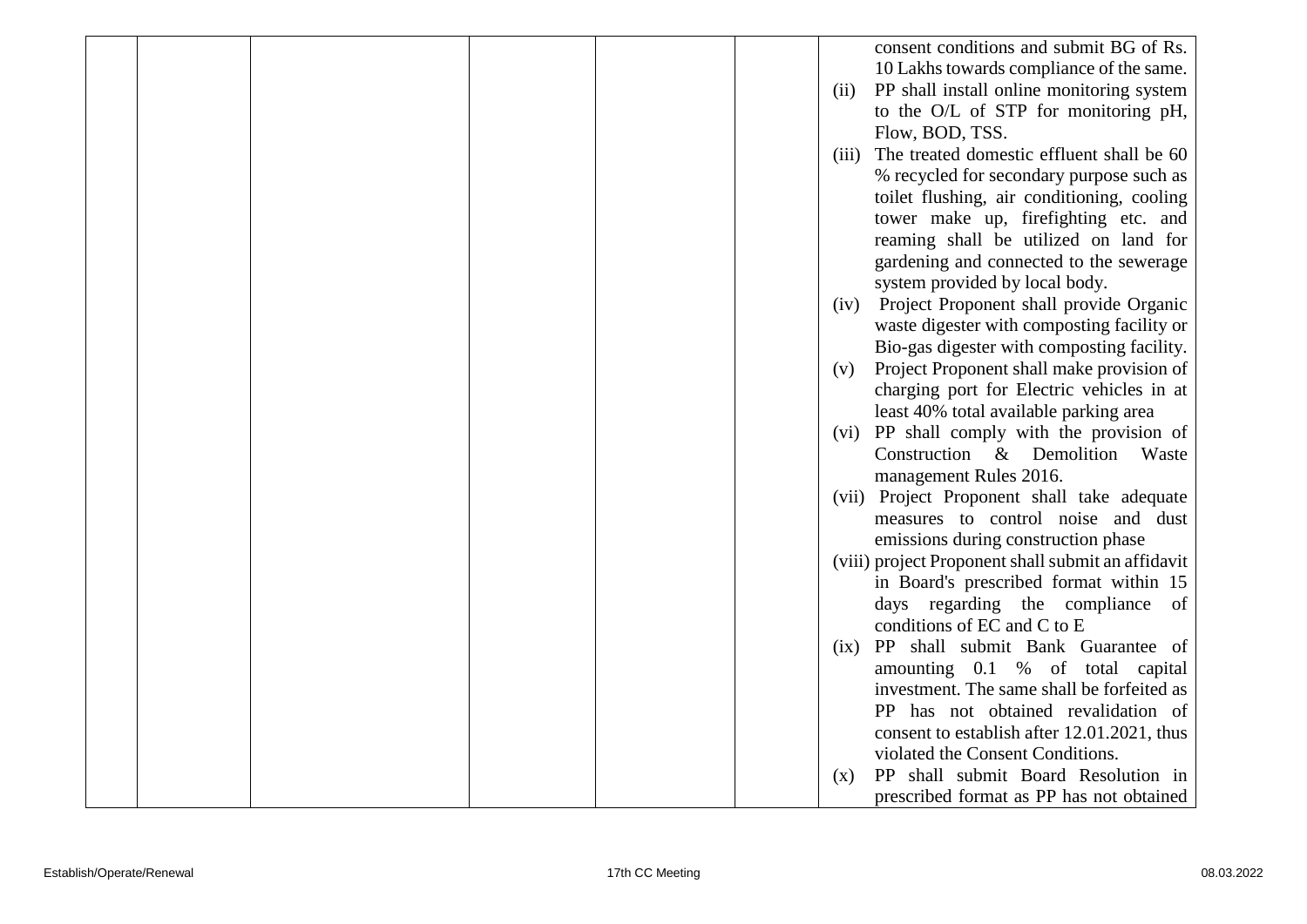|  |  |  |       | consent conditions and submit BG of Rs.            |
|--|--|--|-------|----------------------------------------------------|
|  |  |  |       | 10 Lakhs towards compliance of the same.           |
|  |  |  | (ii)  | PP shall install online monitoring system          |
|  |  |  |       | to the O/L of STP for monitoring pH,               |
|  |  |  |       | Flow, BOD, TSS.                                    |
|  |  |  | (iii) | The treated domestic effluent shall be 60          |
|  |  |  |       | % recycled for secondary purpose such as           |
|  |  |  |       | toilet flushing, air conditioning, cooling         |
|  |  |  |       | tower make up, firefighting etc. and               |
|  |  |  |       | reaming shall be utilized on land for              |
|  |  |  |       | gardening and connected to the sewerage            |
|  |  |  |       | system provided by local body.                     |
|  |  |  | (iv)  | Project Proponent shall provide Organic            |
|  |  |  |       | waste digester with composting facility or         |
|  |  |  |       | Bio-gas digester with composting facility.         |
|  |  |  | (v)   | Project Proponent shall make provision of          |
|  |  |  |       | charging port for Electric vehicles in at          |
|  |  |  |       | least 40% total available parking area             |
|  |  |  |       | (vi) PP shall comply with the provision of         |
|  |  |  |       | Construction & Demolition<br>Waste                 |
|  |  |  |       | management Rules 2016.                             |
|  |  |  |       | (vii) Project Proponent shall take adequate        |
|  |  |  |       | measures to control noise and dust                 |
|  |  |  |       | emissions during construction phase                |
|  |  |  |       | (viii) project Proponent shall submit an affidavit |
|  |  |  |       | in Board's prescribed format within 15             |
|  |  |  |       | days regarding the compliance<br>of                |
|  |  |  |       | conditions of EC and C to E                        |
|  |  |  | (ix)  | PP shall submit Bank Guarantee of                  |
|  |  |  |       | amounting 0.1 % of total capital                   |
|  |  |  |       | investment. The same shall be forfeited as         |
|  |  |  |       | PP has not obtained revalidation of                |
|  |  |  |       | consent to establish after 12.01.2021, thus        |
|  |  |  |       | violated the Consent Conditions.                   |
|  |  |  | (x)   | PP shall submit Board Resolution in                |
|  |  |  |       | prescribed format as PP has not obtained           |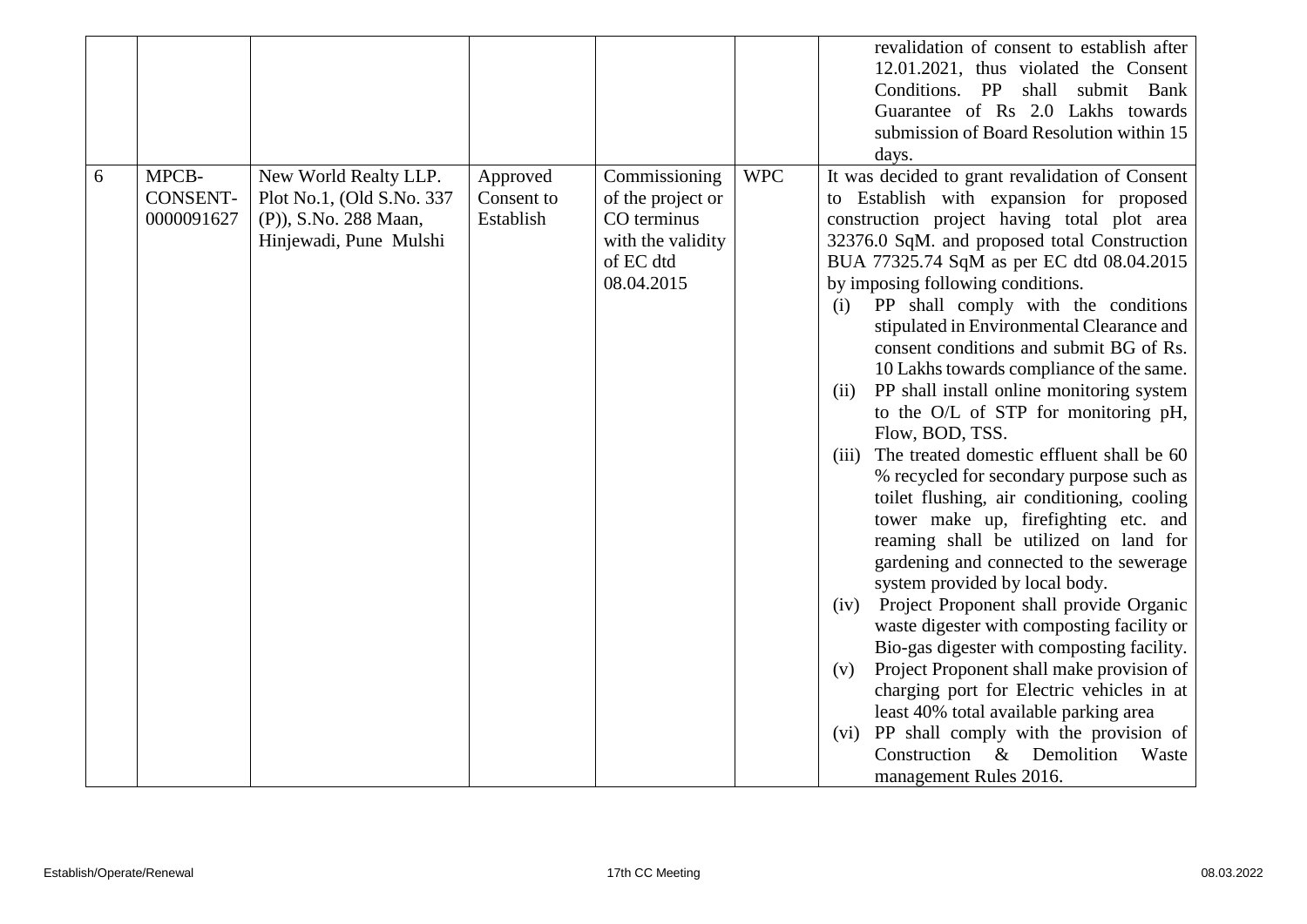|   |                                        |                                                                                                       |                                     |                                                                                                   |            | revalidation of consent to establish after<br>12.01.2021, thus violated the Consent<br>Conditions. PP<br>shall<br>submit Bank<br>Guarantee of Rs 2.0 Lakhs towards<br>submission of Board Resolution within 15                                                                                                                                                                                                                                                                                                                                                                                                                                                                                                                                                                                                                                                                                                                                                                                                                                                                                                                                                                                                                                                                                                   |
|---|----------------------------------------|-------------------------------------------------------------------------------------------------------|-------------------------------------|---------------------------------------------------------------------------------------------------|------------|------------------------------------------------------------------------------------------------------------------------------------------------------------------------------------------------------------------------------------------------------------------------------------------------------------------------------------------------------------------------------------------------------------------------------------------------------------------------------------------------------------------------------------------------------------------------------------------------------------------------------------------------------------------------------------------------------------------------------------------------------------------------------------------------------------------------------------------------------------------------------------------------------------------------------------------------------------------------------------------------------------------------------------------------------------------------------------------------------------------------------------------------------------------------------------------------------------------------------------------------------------------------------------------------------------------|
|   |                                        |                                                                                                       |                                     |                                                                                                   |            | days.                                                                                                                                                                                                                                                                                                                                                                                                                                                                                                                                                                                                                                                                                                                                                                                                                                                                                                                                                                                                                                                                                                                                                                                                                                                                                                            |
| 6 | MPCB-<br><b>CONSENT-</b><br>0000091627 | New World Realty LLP.<br>Plot No.1, (Old S.No. 337<br>(P)), S.No. 288 Maan,<br>Hinjewadi, Pune Mulshi | Approved<br>Consent to<br>Establish | Commissioning<br>of the project or<br>CO terminus<br>with the validity<br>of EC dtd<br>08.04.2015 | <b>WPC</b> | It was decided to grant revalidation of Consent<br>Establish with expansion for proposed<br>to<br>construction project having total plot area<br>32376.0 SqM. and proposed total Construction<br>BUA 77325.74 SqM as per EC dtd 08.04.2015<br>by imposing following conditions.<br>PP shall comply with the conditions<br>(i)<br>stipulated in Environmental Clearance and<br>consent conditions and submit BG of Rs.<br>10 Lakhs towards compliance of the same.<br>PP shall install online monitoring system<br>(ii)<br>to the O/L of STP for monitoring pH,<br>Flow, BOD, TSS.<br>The treated domestic effluent shall be 60<br>(iii)<br>% recycled for secondary purpose such as<br>toilet flushing, air conditioning, cooling<br>tower make up, firefighting etc. and<br>reaming shall be utilized on land for<br>gardening and connected to the sewerage<br>system provided by local body.<br>Project Proponent shall provide Organic<br>(iv)<br>waste digester with composting facility or<br>Bio-gas digester with composting facility.<br>Project Proponent shall make provision of<br>(v)<br>charging port for Electric vehicles in at<br>least 40% total available parking area<br>(vi) PP shall comply with the provision of<br>Construction<br>Demolition<br>$\&$<br>Waste<br>management Rules 2016. |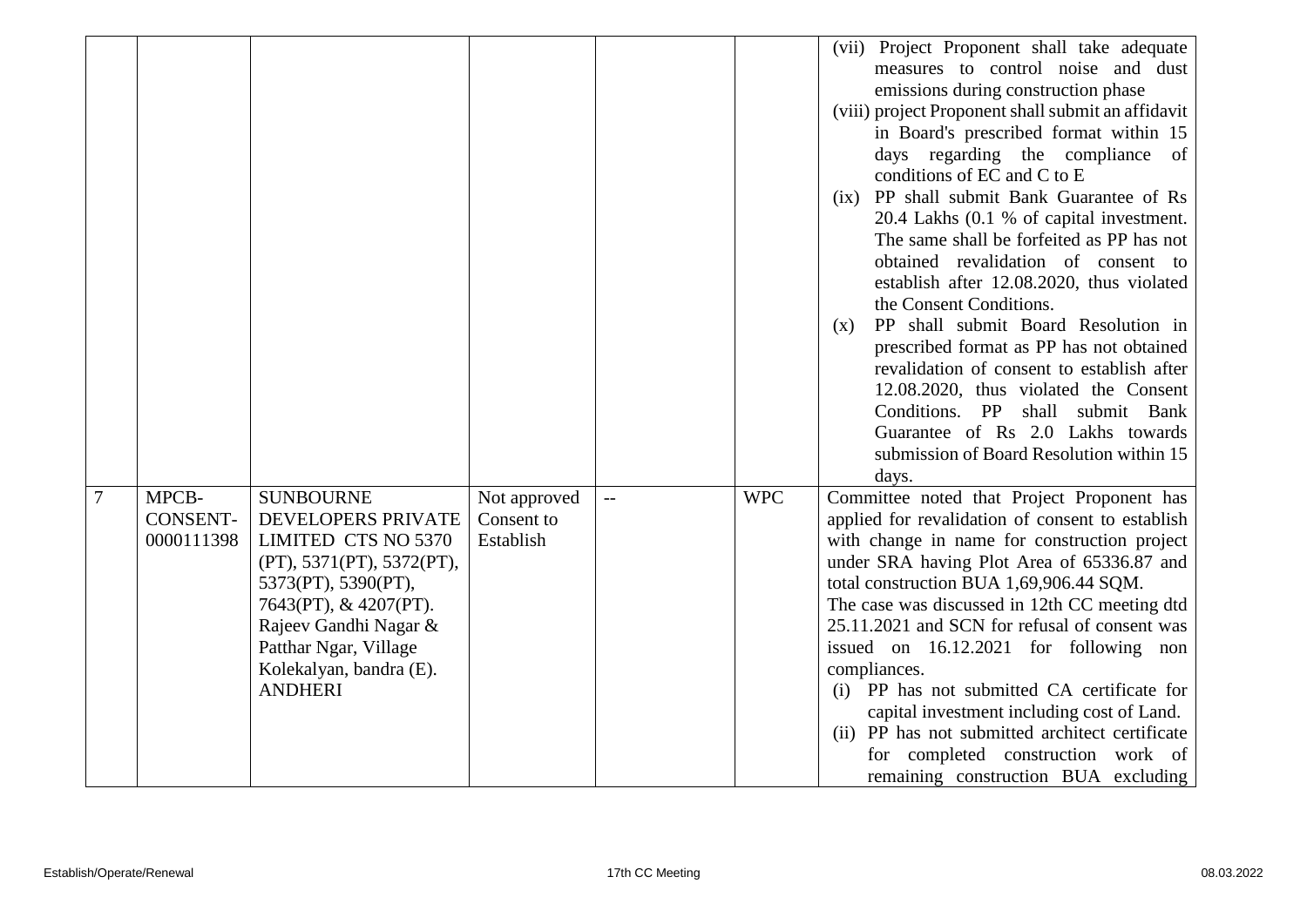|                |                                        |                                                                                                                                                                                                                                                  |                                         |              |            | (vii) Project Proponent shall take adequate<br>measures to control noise and dust<br>emissions during construction phase<br>(viii) project Proponent shall submit an affidavit<br>in Board's prescribed format within 15<br>days regarding the compliance<br><sub>of</sub><br>conditions of EC and C to E<br>(ix) PP shall submit Bank Guarantee of Rs<br>20.4 Lakhs (0.1 % of capital investment.<br>The same shall be forfeited as PP has not<br>obtained revalidation of consent to<br>establish after 12.08.2020, thus violated<br>the Consent Conditions.<br>PP shall submit Board Resolution in<br>(X)<br>prescribed format as PP has not obtained<br>revalidation of consent to establish after<br>12.08.2020, thus violated the Consent<br>Conditions. PP<br>shall submit Bank<br>Guarantee of Rs 2.0 Lakhs towards<br>submission of Board Resolution within 15<br>days. |
|----------------|----------------------------------------|--------------------------------------------------------------------------------------------------------------------------------------------------------------------------------------------------------------------------------------------------|-----------------------------------------|--------------|------------|----------------------------------------------------------------------------------------------------------------------------------------------------------------------------------------------------------------------------------------------------------------------------------------------------------------------------------------------------------------------------------------------------------------------------------------------------------------------------------------------------------------------------------------------------------------------------------------------------------------------------------------------------------------------------------------------------------------------------------------------------------------------------------------------------------------------------------------------------------------------------------|
| $\overline{7}$ | MPCB-<br><b>CONSENT-</b><br>0000111398 | <b>SUNBOURNE</b><br><b>DEVELOPERS PRIVATE</b><br>LIMITED CTS NO 5370<br>(PT), 5371(PT), 5372(PT),<br>5373(PT), 5390(PT),<br>7643(PT), & 4207(PT).<br>Rajeev Gandhi Nagar &<br>Patthar Ngar, Village<br>Kolekalyan, bandra (E).<br><b>ANDHERI</b> | Not approved<br>Consent to<br>Establish | $\mathbf{L}$ | <b>WPC</b> | Committee noted that Project Proponent has<br>applied for revalidation of consent to establish<br>with change in name for construction project<br>under SRA having Plot Area of 65336.87 and<br>total construction BUA 1,69,906.44 SQM.<br>The case was discussed in 12th CC meeting dtd<br>25.11.2021 and SCN for refusal of consent was<br>issued on 16.12.2021 for following non<br>compliances.<br>(i) PP has not submitted CA certificate for<br>capital investment including cost of Land.<br>(ii) PP has not submitted architect certificate<br>for completed construction work of<br>remaining construction BUA excluding                                                                                                                                                                                                                                                |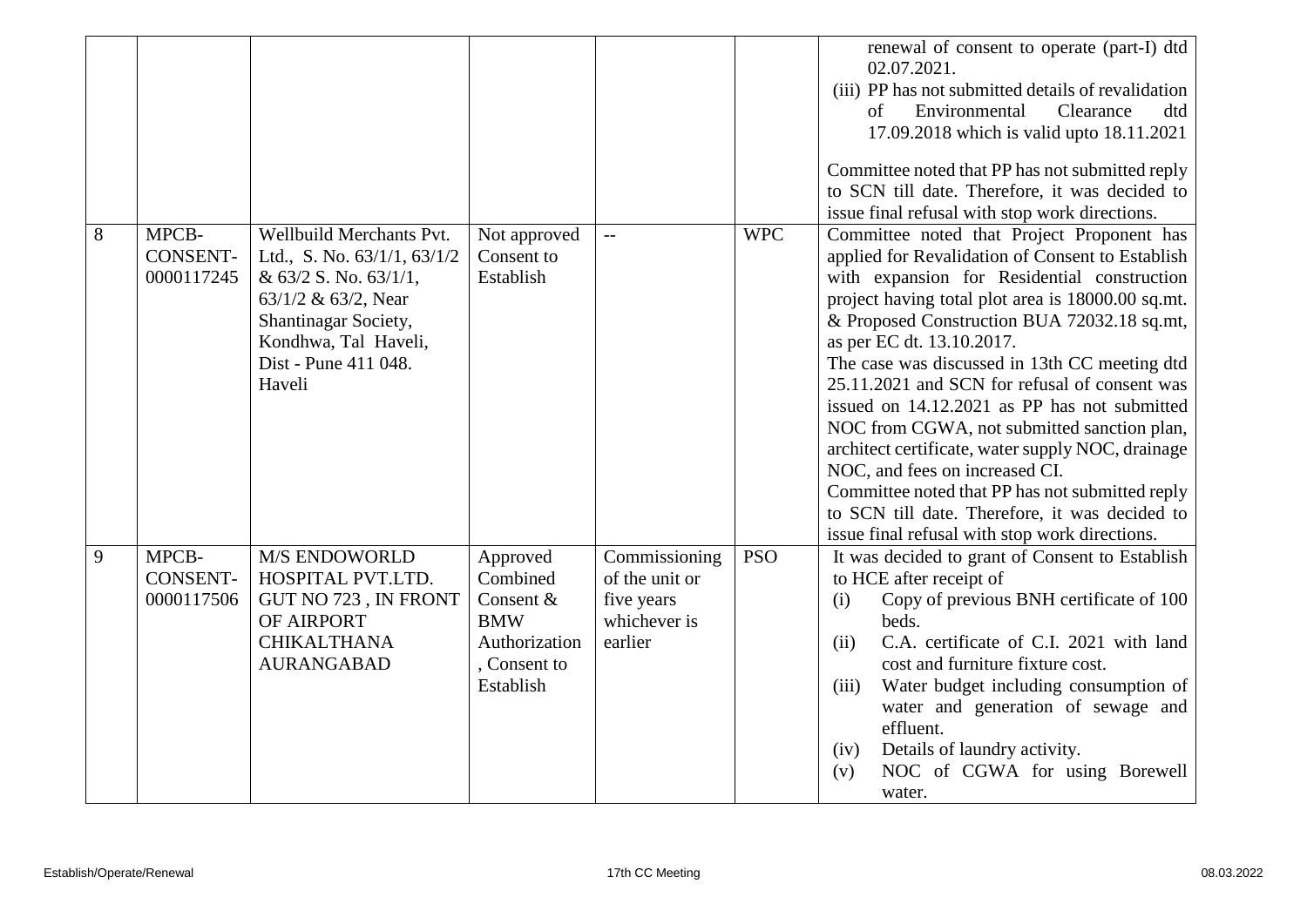|   |                                        |                                                                                                                                                                                                |                                                                                               |                                                                          |            | renewal of consent to operate (part-I) dtd<br>02.07.2021.<br>(iii) PP has not submitted details of revalidation<br>Environmental<br>of<br>Clearance<br>dtd<br>17.09.2018 which is valid upto 18.11.2021<br>Committee noted that PP has not submitted reply<br>to SCN till date. Therefore, it was decided to<br>issue final refusal with stop work directions.                                                                                                                                                                                                                                                                                                                                                                |
|---|----------------------------------------|------------------------------------------------------------------------------------------------------------------------------------------------------------------------------------------------|-----------------------------------------------------------------------------------------------|--------------------------------------------------------------------------|------------|-------------------------------------------------------------------------------------------------------------------------------------------------------------------------------------------------------------------------------------------------------------------------------------------------------------------------------------------------------------------------------------------------------------------------------------------------------------------------------------------------------------------------------------------------------------------------------------------------------------------------------------------------------------------------------------------------------------------------------|
| 8 | MPCB-<br><b>CONSENT-</b><br>0000117245 | Wellbuild Merchants Pvt.<br>Ltd., S. No. 63/1/1, 63/1/2<br>& $63/2$ S. No. $63/1/1$ ,<br>63/1/2 & 63/2, Near<br>Shantinagar Society,<br>Kondhwa, Tal Haveli,<br>Dist - Pune 411 048.<br>Haveli | Not approved<br>Consent to<br>Establish                                                       | $\overline{\phantom{a}}$                                                 | <b>WPC</b> | Committee noted that Project Proponent has<br>applied for Revalidation of Consent to Establish<br>with expansion for Residential construction<br>project having total plot area is 18000.00 sq.mt.<br>& Proposed Construction BUA 72032.18 sq.mt,<br>as per EC dt. 13.10.2017.<br>The case was discussed in 13th CC meeting dtd<br>25.11.2021 and SCN for refusal of consent was<br>issued on 14.12.2021 as PP has not submitted<br>NOC from CGWA, not submitted sanction plan,<br>architect certificate, water supply NOC, drainage<br>NOC, and fees on increased CI.<br>Committee noted that PP has not submitted reply<br>to SCN till date. Therefore, it was decided to<br>issue final refusal with stop work directions. |
| 9 | MPCB-<br><b>CONSENT-</b><br>0000117506 | M/S ENDOWORLD<br>HOSPITAL PVT.LTD.<br>GUT NO 723, IN FRONT<br>OF AIRPORT<br><b>CHIKALTHANA</b><br><b>AURANGABAD</b>                                                                            | Approved<br>Combined<br>Consent &<br><b>BMW</b><br>Authorization<br>, Consent to<br>Establish | Commissioning<br>of the unit or<br>five years<br>whichever is<br>earlier | <b>PSO</b> | It was decided to grant of Consent to Establish<br>to HCE after receipt of<br>Copy of previous BNH certificate of 100<br>(i)<br>beds.<br>C.A. certificate of C.I. 2021 with land<br>(ii)<br>cost and furniture fixture cost.<br>(iii)<br>Water budget including consumption of<br>water and generation of sewage and<br>effluent.<br>Details of laundry activity.<br>(iv)<br>NOC of CGWA for using Borewell<br>(v)<br>water.                                                                                                                                                                                                                                                                                                  |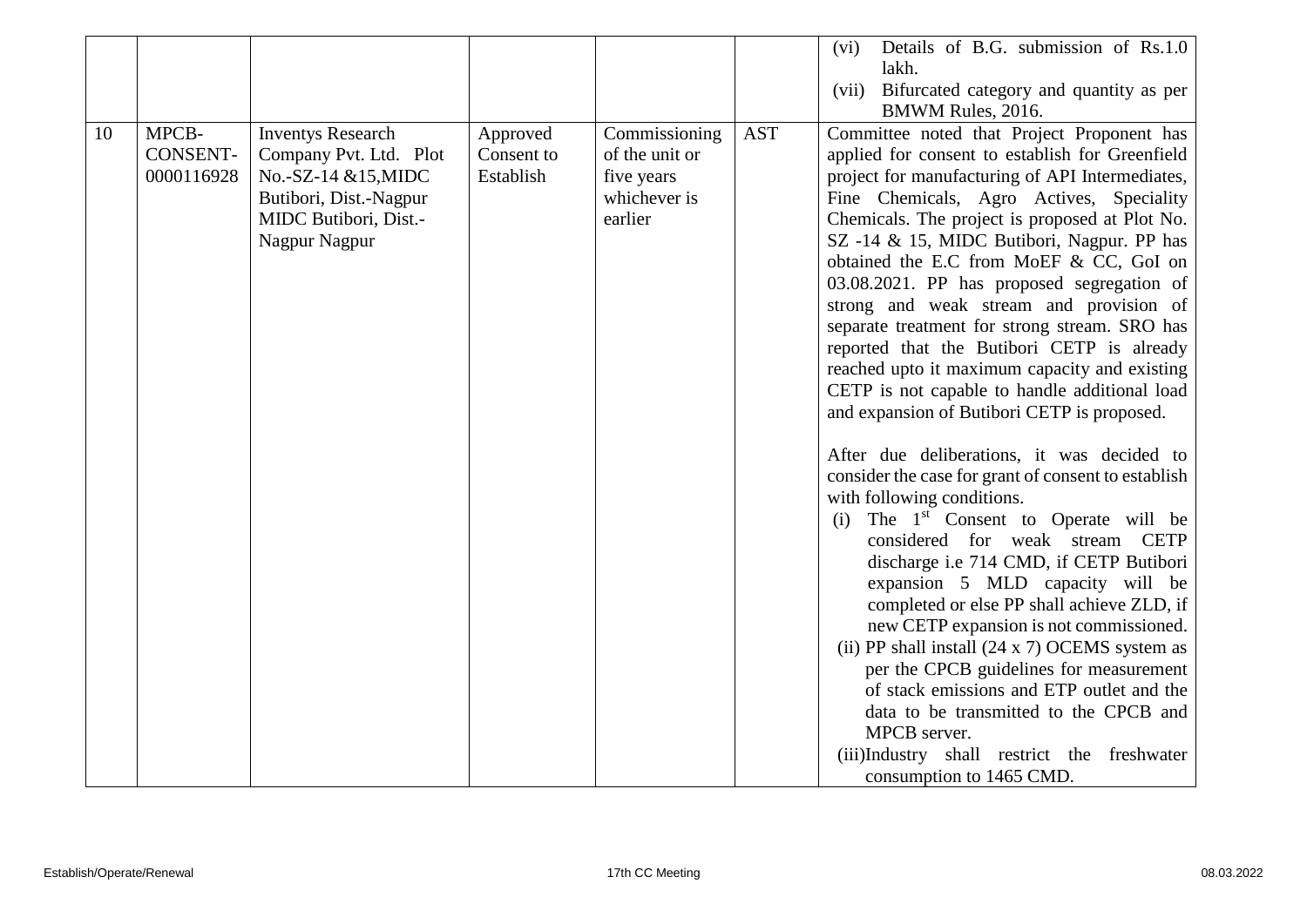|    |                                        |                                                                                                                                               |                                     |                                                                          |            | Details of B.G. submission of Rs.1.0<br>(vi)<br>lakh.<br>Bifurcated category and quantity as per<br>(vii)<br>BMWM Rules, 2016.                                                                                                                                                                                                                                                                                                                                                                                                                                                                                                                                                                                                                                                                                                                                                                                                                                                                                                                                                                                                                                                                                                                                                                                                                                                |
|----|----------------------------------------|-----------------------------------------------------------------------------------------------------------------------------------------------|-------------------------------------|--------------------------------------------------------------------------|------------|-------------------------------------------------------------------------------------------------------------------------------------------------------------------------------------------------------------------------------------------------------------------------------------------------------------------------------------------------------------------------------------------------------------------------------------------------------------------------------------------------------------------------------------------------------------------------------------------------------------------------------------------------------------------------------------------------------------------------------------------------------------------------------------------------------------------------------------------------------------------------------------------------------------------------------------------------------------------------------------------------------------------------------------------------------------------------------------------------------------------------------------------------------------------------------------------------------------------------------------------------------------------------------------------------------------------------------------------------------------------------------|
| 10 | MPCB-<br><b>CONSENT-</b><br>0000116928 | <b>Inventys Research</b><br>Company Pvt. Ltd. Plot<br>No.-SZ-14 &15, MIDC<br>Butibori, Dist.-Nagpur<br>MIDC Butibori, Dist.-<br>Nagpur Nagpur | Approved<br>Consent to<br>Establish | Commissioning<br>of the unit or<br>five years<br>whichever is<br>earlier | <b>AST</b> | Committee noted that Project Proponent has<br>applied for consent to establish for Greenfield<br>project for manufacturing of API Intermediates,<br>Fine Chemicals, Agro Actives, Speciality<br>Chemicals. The project is proposed at Plot No.<br>SZ -14 & 15, MIDC Butibori, Nagpur. PP has<br>obtained the E.C from MoEF & CC, GoI on<br>03.08.2021. PP has proposed segregation of<br>strong and weak stream and provision of<br>separate treatment for strong stream. SRO has<br>reported that the Butibori CETP is already<br>reached upto it maximum capacity and existing<br>CETP is not capable to handle additional load<br>and expansion of Butibori CETP is proposed.<br>After due deliberations, it was decided to<br>consider the case for grant of consent to establish<br>with following conditions.<br>The 1 <sup>st</sup> Consent to Operate will be<br>(i)<br>considered for weak stream CETP<br>discharge i.e 714 CMD, if CETP Butibori<br>expansion 5 MLD capacity will be<br>completed or else PP shall achieve ZLD, if<br>new CETP expansion is not commissioned.<br>(ii) PP shall install $(24 \times 7)$ OCEMS system as<br>per the CPCB guidelines for measurement<br>of stack emissions and ETP outlet and the<br>data to be transmitted to the CPCB and<br>MPCB server.<br>(iii)Industry shall restrict the freshwater<br>consumption to 1465 CMD. |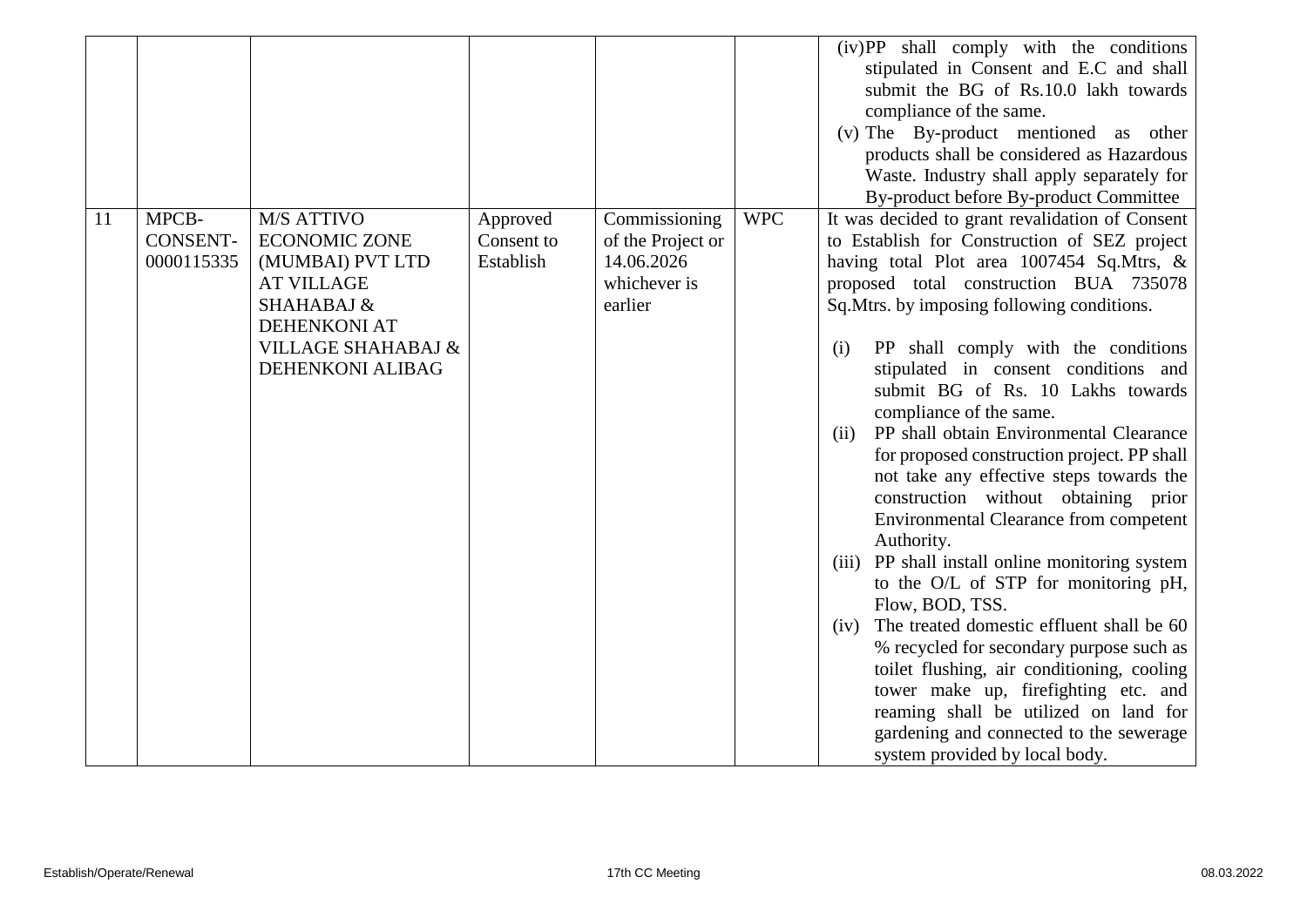|    |                                        |                                                                                                                                                                       |                                     |                                                                             |            | (iv)PP shall comply with the conditions<br>stipulated in Consent and E.C and shall<br>submit the BG of Rs.10.0 lakh towards<br>compliance of the same.<br>(v) The By-product mentioned as other<br>products shall be considered as Hazardous<br>Waste. Industry shall apply separately for<br>By-product before By-product Committee                                                                                                                                                                                                                                                                                                                                                                                                                                                                                                                                                                                                                                                                                                                                        |
|----|----------------------------------------|-----------------------------------------------------------------------------------------------------------------------------------------------------------------------|-------------------------------------|-----------------------------------------------------------------------------|------------|-----------------------------------------------------------------------------------------------------------------------------------------------------------------------------------------------------------------------------------------------------------------------------------------------------------------------------------------------------------------------------------------------------------------------------------------------------------------------------------------------------------------------------------------------------------------------------------------------------------------------------------------------------------------------------------------------------------------------------------------------------------------------------------------------------------------------------------------------------------------------------------------------------------------------------------------------------------------------------------------------------------------------------------------------------------------------------|
| 11 | MPCB-<br><b>CONSENT-</b><br>0000115335 | M/S ATTIVO<br><b>ECONOMIC ZONE</b><br>(MUMBAI) PVT LTD<br><b>AT VILLAGE</b><br>SHAHABAJ &<br><b>DEHENKONI AT</b><br><b>VILLAGE SHAHABAJ &amp;</b><br>DEHENKONI ALIBAG | Approved<br>Consent to<br>Establish | Commissioning<br>of the Project or<br>14.06.2026<br>whichever is<br>earlier | <b>WPC</b> | It was decided to grant revalidation of Consent<br>to Establish for Construction of SEZ project<br>having total Plot area 1007454 Sq.Mtrs, &<br>proposed total construction BUA 735078<br>Sq. Mtrs. by imposing following conditions.<br>PP shall comply with the conditions<br>(i)<br>stipulated in consent conditions and<br>submit BG of Rs. 10 Lakhs towards<br>compliance of the same.<br>PP shall obtain Environmental Clearance<br>(ii)<br>for proposed construction project. PP shall<br>not take any effective steps towards the<br>construction without obtaining prior<br><b>Environmental Clearance from competent</b><br>Authority.<br>(iii) PP shall install online monitoring system<br>to the O/L of STP for monitoring pH,<br>Flow, BOD, TSS.<br>The treated domestic effluent shall be 60<br>(iv)<br>% recycled for secondary purpose such as<br>toilet flushing, air conditioning, cooling<br>tower make up, firefighting etc. and<br>reaming shall be utilized on land for<br>gardening and connected to the sewerage<br>system provided by local body. |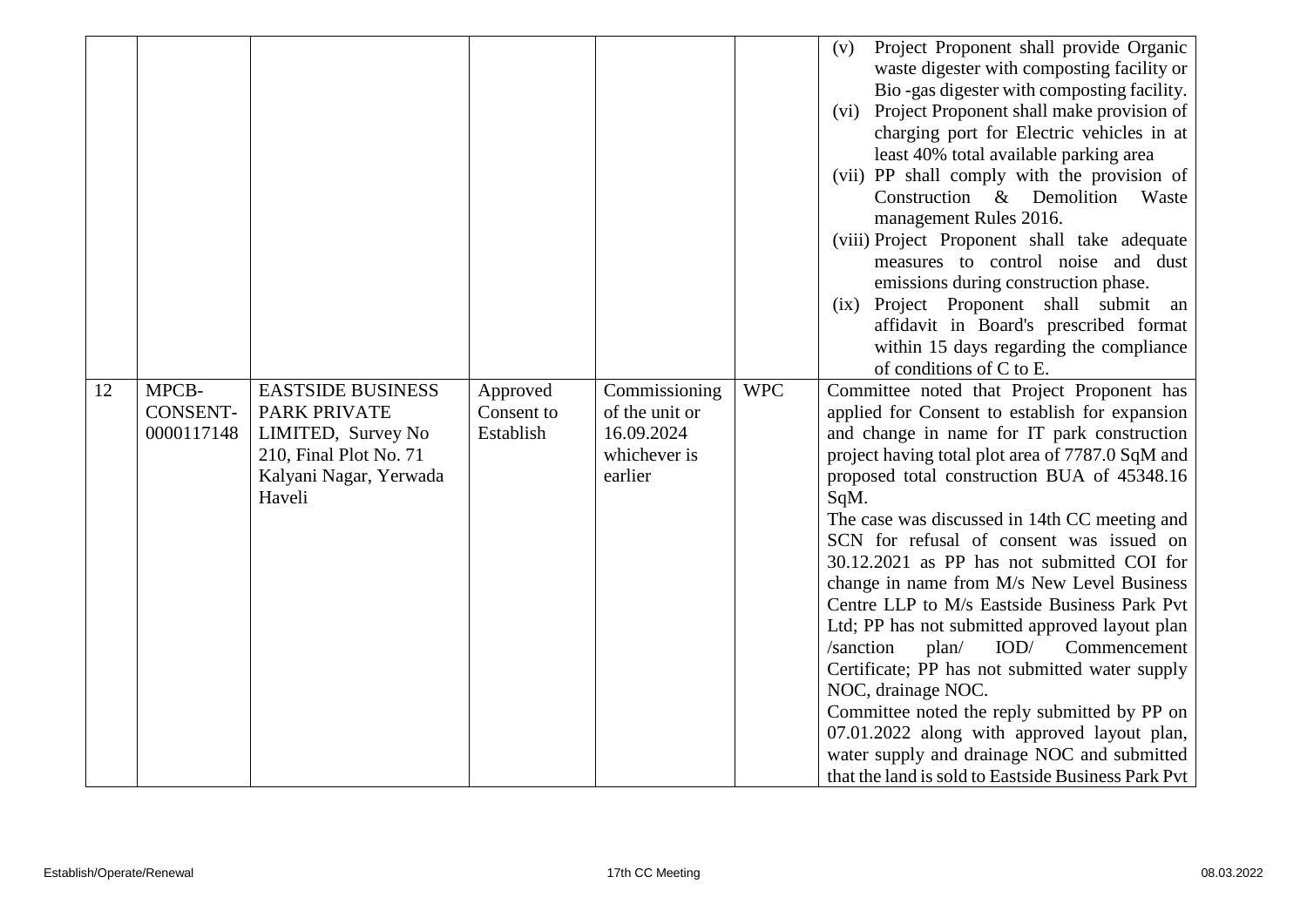| 12 | MPCB-                         | <b>EASTSIDE BUSINESS</b>                                                                                | Approved                | Commissioning                                           | <b>WPC</b> | Project Proponent shall provide Organic<br>(v)<br>waste digester with composting facility or<br>Bio-gas digester with composting facility.<br>(vi) Project Proponent shall make provision of<br>charging port for Electric vehicles in at<br>least 40% total available parking area<br>(vii) PP shall comply with the provision of<br>Construction $\&$<br>Demolition<br>Waste<br>management Rules 2016.<br>(viii) Project Proponent shall take adequate<br>measures to control noise and dust<br>emissions during construction phase.<br>(ix) Project Proponent shall submit<br>an<br>affidavit in Board's prescribed format<br>within 15 days regarding the compliance<br>of conditions of C to E.<br>Committee noted that Project Proponent has                                                                             |
|----|-------------------------------|---------------------------------------------------------------------------------------------------------|-------------------------|---------------------------------------------------------|------------|--------------------------------------------------------------------------------------------------------------------------------------------------------------------------------------------------------------------------------------------------------------------------------------------------------------------------------------------------------------------------------------------------------------------------------------------------------------------------------------------------------------------------------------------------------------------------------------------------------------------------------------------------------------------------------------------------------------------------------------------------------------------------------------------------------------------------------|
|    | <b>CONSENT-</b><br>0000117148 | <b>PARK PRIVATE</b><br>LIMITED, Survey No<br>210, Final Plot No. 71<br>Kalyani Nagar, Yerwada<br>Haveli | Consent to<br>Establish | of the unit or<br>16.09.2024<br>whichever is<br>earlier |            | applied for Consent to establish for expansion<br>and change in name for IT park construction<br>project having total plot area of 7787.0 SqM and<br>proposed total construction BUA of 45348.16<br>SqM.<br>The case was discussed in 14th CC meeting and<br>SCN for refusal of consent was issued on<br>30.12.2021 as PP has not submitted COI for<br>change in name from M/s New Level Business<br>Centre LLP to M/s Eastside Business Park Pvt<br>Ltd; PP has not submitted approved layout plan<br>/sanction<br>IOD/<br>Commencement<br>plan/<br>Certificate; PP has not submitted water supply<br>NOC, drainage NOC.<br>Committee noted the reply submitted by PP on<br>07.01.2022 along with approved layout plan,<br>water supply and drainage NOC and submitted<br>that the land is sold to Eastside Business Park Pvt |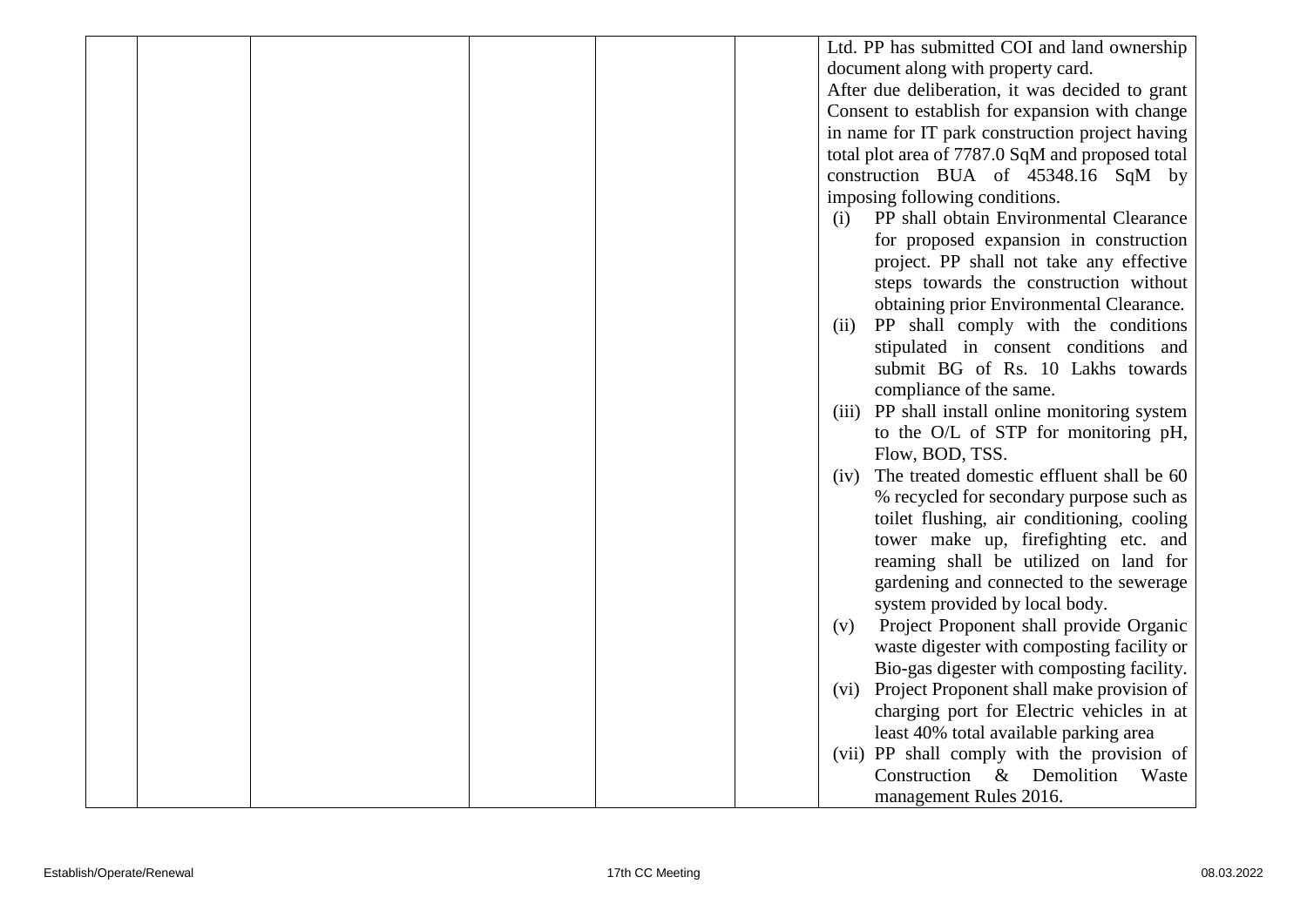|  |  |  | Ltd. PP has submitted COI and land ownership                   |
|--|--|--|----------------------------------------------------------------|
|  |  |  | document along with property card.                             |
|  |  |  | After due deliberation, it was decided to grant                |
|  |  |  | Consent to establish for expansion with change                 |
|  |  |  | in name for IT park construction project having                |
|  |  |  | total plot area of 7787.0 SqM and proposed total               |
|  |  |  | construction BUA of 45348.16 SqM by                            |
|  |  |  | imposing following conditions.                                 |
|  |  |  | PP shall obtain Environmental Clearance<br>(i)                 |
|  |  |  | for proposed expansion in construction                         |
|  |  |  | project. PP shall not take any effective                       |
|  |  |  | steps towards the construction without                         |
|  |  |  | obtaining prior Environmental Clearance.                       |
|  |  |  | PP shall comply with the conditions<br>(ii)                    |
|  |  |  | stipulated in consent conditions and                           |
|  |  |  | submit BG of Rs. 10 Lakhs towards                              |
|  |  |  | compliance of the same.                                        |
|  |  |  | PP shall install online monitoring system<br>(iii)             |
|  |  |  | to the O/L of STP for monitoring pH,                           |
|  |  |  | Flow, BOD, TSS.                                                |
|  |  |  | The treated domestic effluent shall be 60<br>(iv)              |
|  |  |  | % recycled for secondary purpose such as                       |
|  |  |  | toilet flushing, air conditioning, cooling                     |
|  |  |  | tower make up, firefighting etc. and                           |
|  |  |  | reaming shall be utilized on land for                          |
|  |  |  | gardening and connected to the sewerage                        |
|  |  |  | system provided by local body.                                 |
|  |  |  | Project Proponent shall provide Organic<br>(v)                 |
|  |  |  | waste digester with composting facility or                     |
|  |  |  | Bio-gas digester with composting facility.                     |
|  |  |  | Project Proponent shall make provision of<br>(v <sub>1</sub> ) |
|  |  |  | charging port for Electric vehicles in at                      |
|  |  |  | least 40% total available parking area                         |
|  |  |  | (vii) PP shall comply with the provision of                    |
|  |  |  | Construction & Demolition<br>Waste                             |
|  |  |  | management Rules 2016.                                         |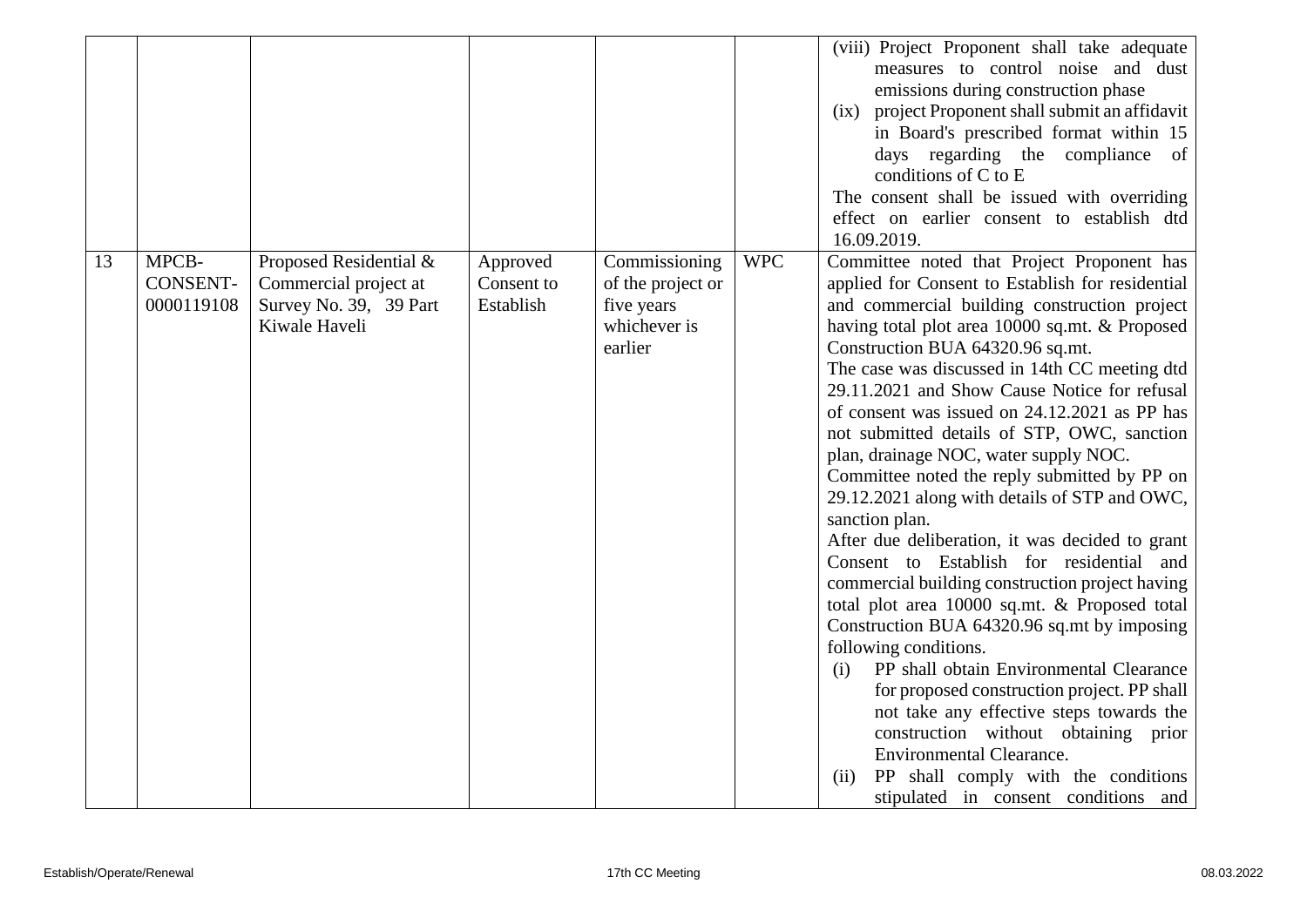|    |                                        |                                                                                            |                                     |                                                                             |            | (viii) Project Proponent shall take adequate<br>measures to control noise and dust<br>emissions during construction phase<br>(ix) project Proponent shall submit an affidavit<br>in Board's prescribed format within 15<br>days regarding the compliance of<br>conditions of C to E<br>The consent shall be issued with overriding<br>effect on earlier consent to establish dtd<br>16.09.2019.                                                                                                                                                                                                                                                                                                                                                                                                                                                                                                                                                                                                                                                                                                                                                                                            |
|----|----------------------------------------|--------------------------------------------------------------------------------------------|-------------------------------------|-----------------------------------------------------------------------------|------------|--------------------------------------------------------------------------------------------------------------------------------------------------------------------------------------------------------------------------------------------------------------------------------------------------------------------------------------------------------------------------------------------------------------------------------------------------------------------------------------------------------------------------------------------------------------------------------------------------------------------------------------------------------------------------------------------------------------------------------------------------------------------------------------------------------------------------------------------------------------------------------------------------------------------------------------------------------------------------------------------------------------------------------------------------------------------------------------------------------------------------------------------------------------------------------------------|
| 13 | MPCB-<br><b>CONSENT-</b><br>0000119108 | Proposed Residential &<br>Commercial project at<br>Survey No. 39, 39 Part<br>Kiwale Haveli | Approved<br>Consent to<br>Establish | Commissioning<br>of the project or<br>five years<br>whichever is<br>earlier | <b>WPC</b> | Committee noted that Project Proponent has<br>applied for Consent to Establish for residential<br>and commercial building construction project<br>having total plot area 10000 sq.mt. & Proposed<br>Construction BUA 64320.96 sq.mt.<br>The case was discussed in 14th CC meeting dtd<br>29.11.2021 and Show Cause Notice for refusal<br>of consent was issued on 24.12.2021 as PP has<br>not submitted details of STP, OWC, sanction<br>plan, drainage NOC, water supply NOC.<br>Committee noted the reply submitted by PP on<br>29.12.2021 along with details of STP and OWC,<br>sanction plan.<br>After due deliberation, it was decided to grant<br>Consent to Establish for residential and<br>commercial building construction project having<br>total plot area 10000 sq.mt. & Proposed total<br>Construction BUA 64320.96 sq.mt by imposing<br>following conditions.<br>PP shall obtain Environmental Clearance<br>(i)<br>for proposed construction project. PP shall<br>not take any effective steps towards the<br>construction without obtaining prior<br><b>Environmental Clearance.</b><br>PP shall comply with the conditions<br>(i)<br>stipulated in consent conditions and |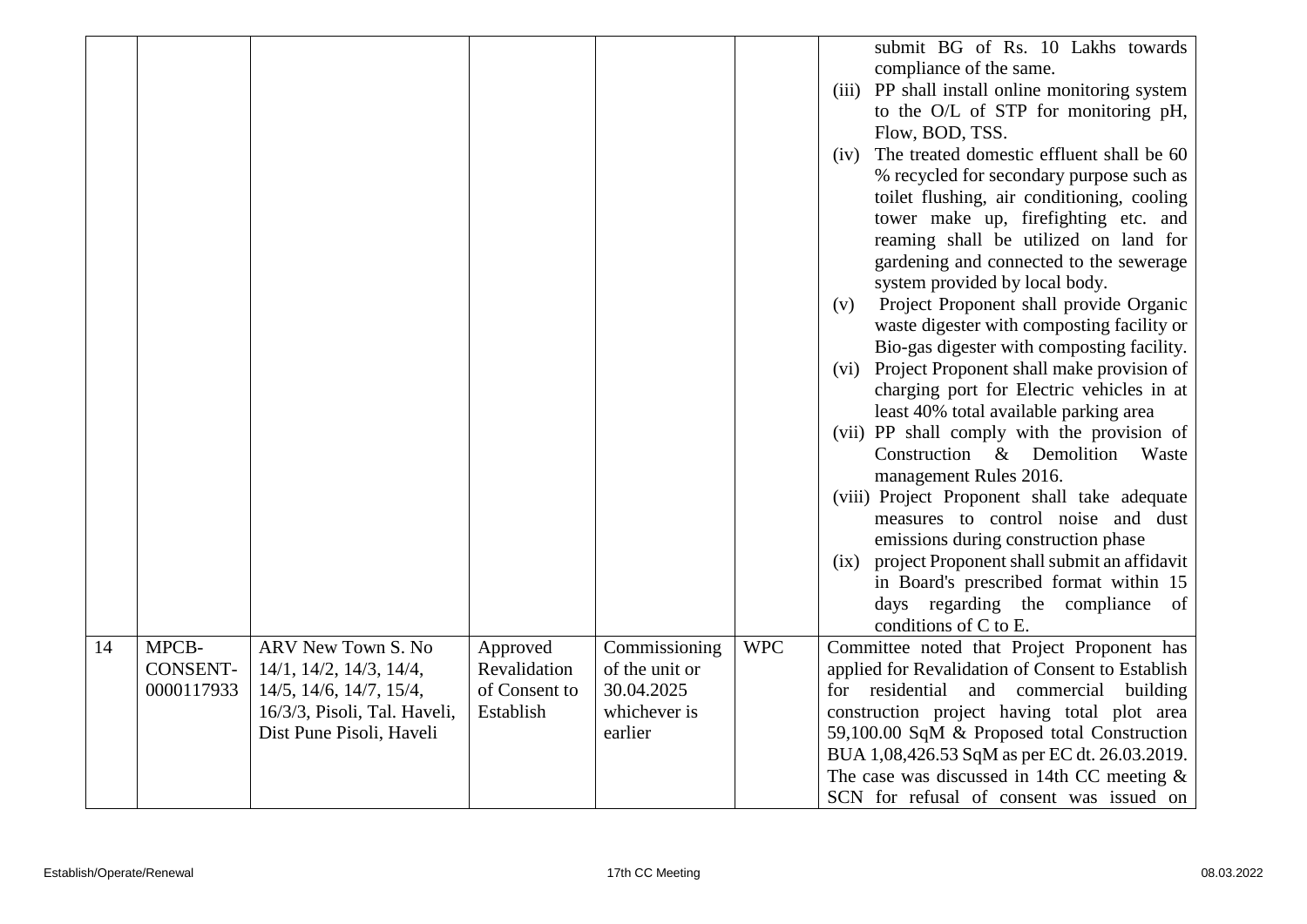|    |                                        |                                                                                      |                                           |                                               |            | submit BG of Rs. 10 Lakhs towards<br>compliance of the same.<br>(iii) PP shall install online monitoring system<br>to the O/L of STP for monitoring pH,<br>Flow, BOD, TSS.<br>The treated domestic effluent shall be 60<br>(iv)<br>% recycled for secondary purpose such as<br>toilet flushing, air conditioning, cooling<br>tower make up, firefighting etc. and<br>reaming shall be utilized on land for<br>gardening and connected to the sewerage<br>system provided by local body.<br>Project Proponent shall provide Organic<br>(v)<br>waste digester with composting facility or<br>Bio-gas digester with composting facility.<br>(vi) Project Proponent shall make provision of<br>charging port for Electric vehicles in at<br>least 40% total available parking area<br>(vii) PP shall comply with the provision of<br>Construction & Demolition<br>Waste<br>management Rules 2016.<br>(viii) Project Proponent shall take adequate<br>measures to control noise and dust<br>emissions during construction phase<br>(ix) project Proponent shall submit an affidavit<br>in Board's prescribed format within 15<br>days regarding the compliance<br>of<br>conditions of C to E. |
|----|----------------------------------------|--------------------------------------------------------------------------------------|-------------------------------------------|-----------------------------------------------|------------|------------------------------------------------------------------------------------------------------------------------------------------------------------------------------------------------------------------------------------------------------------------------------------------------------------------------------------------------------------------------------------------------------------------------------------------------------------------------------------------------------------------------------------------------------------------------------------------------------------------------------------------------------------------------------------------------------------------------------------------------------------------------------------------------------------------------------------------------------------------------------------------------------------------------------------------------------------------------------------------------------------------------------------------------------------------------------------------------------------------------------------------------------------------------------------------|
| 14 | MPCB-<br><b>CONSENT-</b><br>0000117933 | ARV New Town S. No<br>14/1, 14/2, 14/3, 14/4,<br>$14/5$ , $14/6$ , $14/7$ , $15/4$ , | Approved<br>Revalidation<br>of Consent to | Commissioning<br>of the unit or<br>30.04.2025 | <b>WPC</b> | Committee noted that Project Proponent has<br>applied for Revalidation of Consent to Establish<br>for residential and commercial<br>building                                                                                                                                                                                                                                                                                                                                                                                                                                                                                                                                                                                                                                                                                                                                                                                                                                                                                                                                                                                                                                             |
|    |                                        | 16/3/3, Pisoli, Tal. Haveli,<br>Dist Pune Pisoli, Haveli                             | Establish                                 | whichever is<br>earlier                       |            | construction project having total plot area<br>59,100.00 SqM & Proposed total Construction<br>BUA 1,08,426.53 SqM as per EC dt. 26.03.2019.<br>The case was discussed in 14th CC meeting $\&$<br>SCN for refusal of consent was issued on                                                                                                                                                                                                                                                                                                                                                                                                                                                                                                                                                                                                                                                                                                                                                                                                                                                                                                                                                |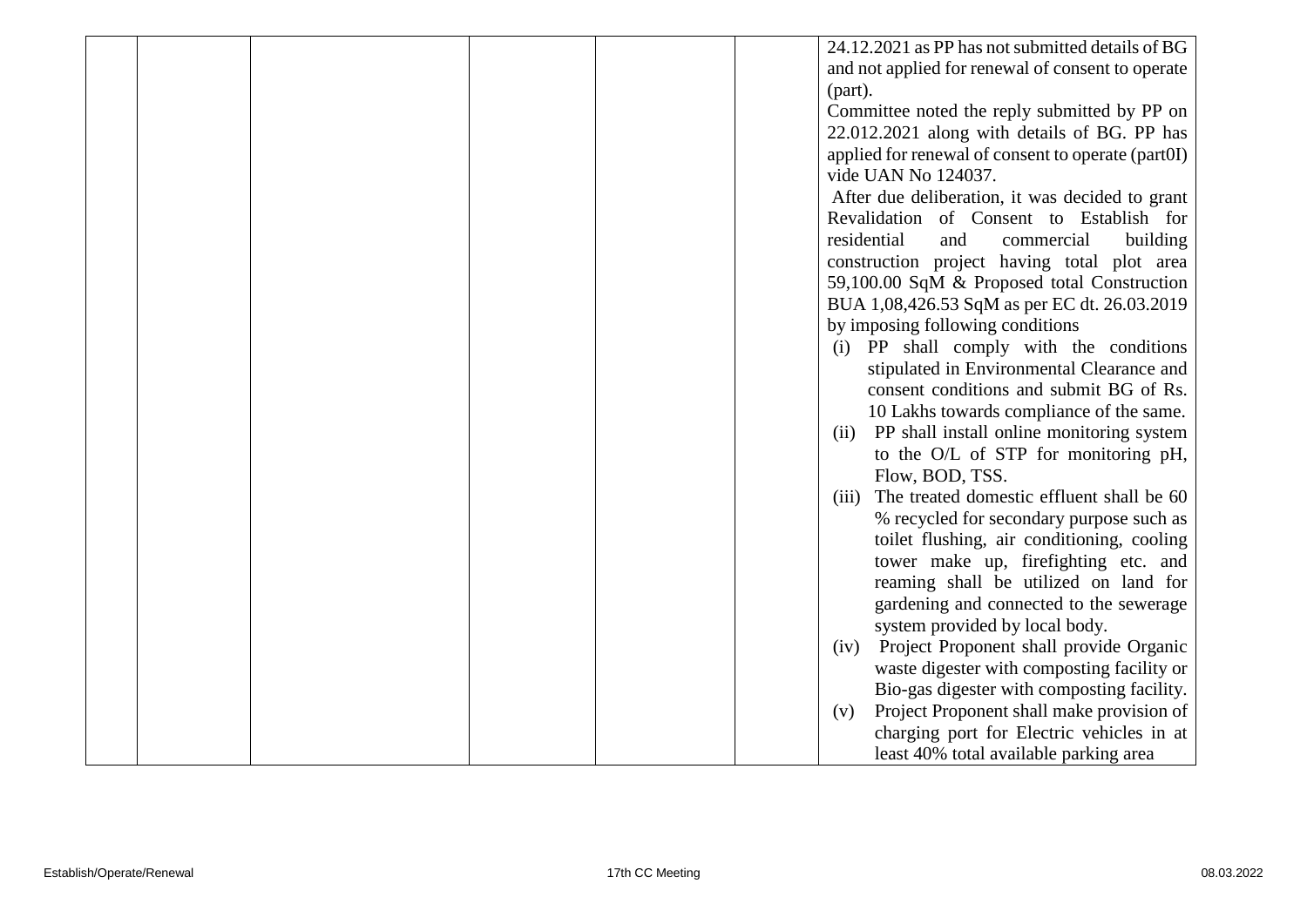|  |  |  | 24.12.2021 as PP has not submitted details of BG                                         |
|--|--|--|------------------------------------------------------------------------------------------|
|  |  |  | and not applied for renewal of consent to operate                                        |
|  |  |  | (part).                                                                                  |
|  |  |  | Committee noted the reply submitted by PP on                                             |
|  |  |  | 22.012.2021 along with details of BG. PP has                                             |
|  |  |  | applied for renewal of consent to operate (part0I)                                       |
|  |  |  | vide UAN No 124037.                                                                      |
|  |  |  | After due deliberation, it was decided to grant                                          |
|  |  |  | Revalidation of Consent to Establish for                                                 |
|  |  |  | residential<br>and<br>commercial<br>building                                             |
|  |  |  | construction project having total plot area                                              |
|  |  |  | 59,100.00 SqM & Proposed total Construction                                              |
|  |  |  | BUA 1,08,426.53 SqM as per EC dt. 26.03.2019                                             |
|  |  |  | by imposing following conditions                                                         |
|  |  |  | (i) PP shall comply with the conditions                                                  |
|  |  |  | stipulated in Environmental Clearance and                                                |
|  |  |  | consent conditions and submit BG of Rs.                                                  |
|  |  |  | 10 Lakhs towards compliance of the same.                                                 |
|  |  |  | PP shall install online monitoring system<br>(ii)                                        |
|  |  |  | to the O/L of STP for monitoring pH,                                                     |
|  |  |  | Flow, BOD, TSS.                                                                          |
|  |  |  | The treated domestic effluent shall be 60<br>(iii)                                       |
|  |  |  | % recycled for secondary purpose such as                                                 |
|  |  |  | toilet flushing, air conditioning, cooling                                               |
|  |  |  | tower make up, firefighting etc. and                                                     |
|  |  |  | reaming shall be utilized on land for                                                    |
|  |  |  | gardening and connected to the sewerage                                                  |
|  |  |  | system provided by local body.                                                           |
|  |  |  | Project Proponent shall provide Organic<br>(iv)                                          |
|  |  |  | waste digester with composting facility or<br>Bio-gas digester with composting facility. |
|  |  |  | Project Proponent shall make provision of                                                |
|  |  |  | (v)<br>charging port for Electric vehicles in at                                         |
|  |  |  | least 40% total available parking area                                                   |
|  |  |  |                                                                                          |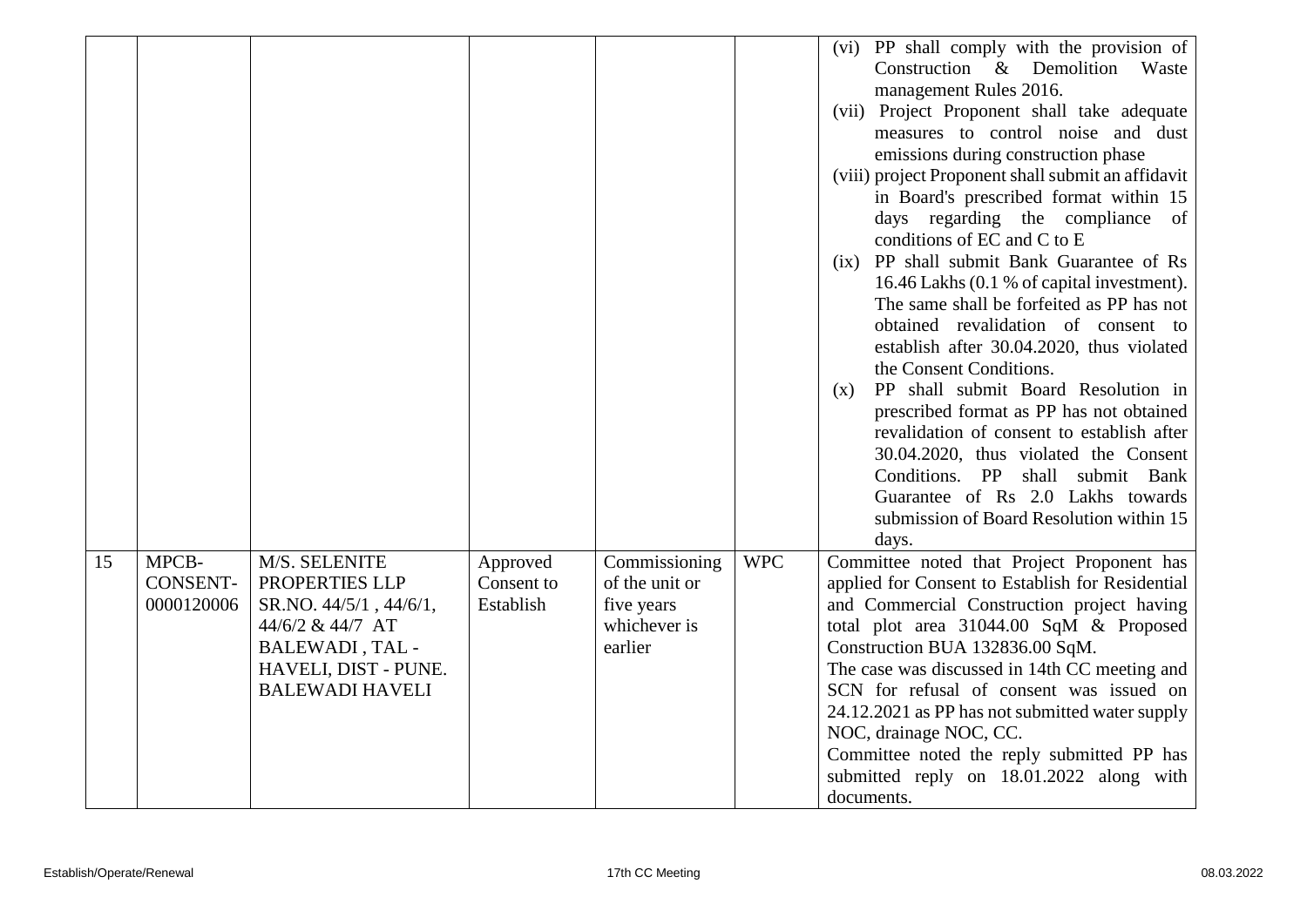|    |                 |                        |            |                |            | (vi) PP shall comply with the provision of         |
|----|-----------------|------------------------|------------|----------------|------------|----------------------------------------------------|
|    |                 |                        |            |                |            | Construction & Demolition Waste                    |
|    |                 |                        |            |                |            | management Rules 2016.                             |
|    |                 |                        |            |                |            | (vii) Project Proponent shall take adequate        |
|    |                 |                        |            |                |            | measures to control noise and dust                 |
|    |                 |                        |            |                |            | emissions during construction phase                |
|    |                 |                        |            |                |            | (viii) project Proponent shall submit an affidavit |
|    |                 |                        |            |                |            | in Board's prescribed format within 15             |
|    |                 |                        |            |                |            | days regarding the compliance of                   |
|    |                 |                        |            |                |            | conditions of EC and C to E                        |
|    |                 |                        |            |                |            | (ix) PP shall submit Bank Guarantee of Rs          |
|    |                 |                        |            |                |            | 16.46 Lakhs (0.1 % of capital investment).         |
|    |                 |                        |            |                |            | The same shall be forfeited as PP has not          |
|    |                 |                        |            |                |            | obtained revalidation of consent to                |
|    |                 |                        |            |                |            | establish after 30.04.2020, thus violated          |
|    |                 |                        |            |                |            | the Consent Conditions.                            |
|    |                 |                        |            |                |            | PP shall submit Board Resolution in<br>(X)         |
|    |                 |                        |            |                |            | prescribed format as PP has not obtained           |
|    |                 |                        |            |                |            | revalidation of consent to establish after         |
|    |                 |                        |            |                |            | 30.04.2020, thus violated the Consent              |
|    |                 |                        |            |                |            | Conditions. PP<br>shall submit Bank                |
|    |                 |                        |            |                |            | Guarantee of Rs 2.0 Lakhs towards                  |
|    |                 |                        |            |                |            | submission of Board Resolution within 15           |
|    |                 |                        |            |                |            | days.                                              |
| 15 | MPCB-           | M/S. SELENITE          | Approved   | Commissioning  | <b>WPC</b> | Committee noted that Project Proponent has         |
|    | <b>CONSENT-</b> | PROPERTIES LLP         | Consent to | of the unit or |            | applied for Consent to Establish for Residential   |
|    | 0000120006      | SR.NO. 44/5/1, 44/6/1, | Establish  | five years     |            | and Commercial Construction project having         |
|    |                 | 44/6/2 & 44/7 AT       |            | whichever is   |            | total plot area 31044.00 SqM & Proposed            |
|    |                 | BALEWADI, TAL -        |            | earlier        |            | Construction BUA 132836.00 SqM.                    |
|    |                 | HAVELI, DIST - PUNE.   |            |                |            | The case was discussed in 14th CC meeting and      |
|    |                 | <b>BALEWADI HAVELI</b> |            |                |            | SCN for refusal of consent was issued on           |
|    |                 |                        |            |                |            | 24.12.2021 as PP has not submitted water supply    |
|    |                 |                        |            |                |            | NOC, drainage NOC, CC.                             |
|    |                 |                        |            |                |            | Committee noted the reply submitted PP has         |
|    |                 |                        |            |                |            | submitted reply on 18.01.2022 along with           |
|    |                 |                        |            |                |            | documents.                                         |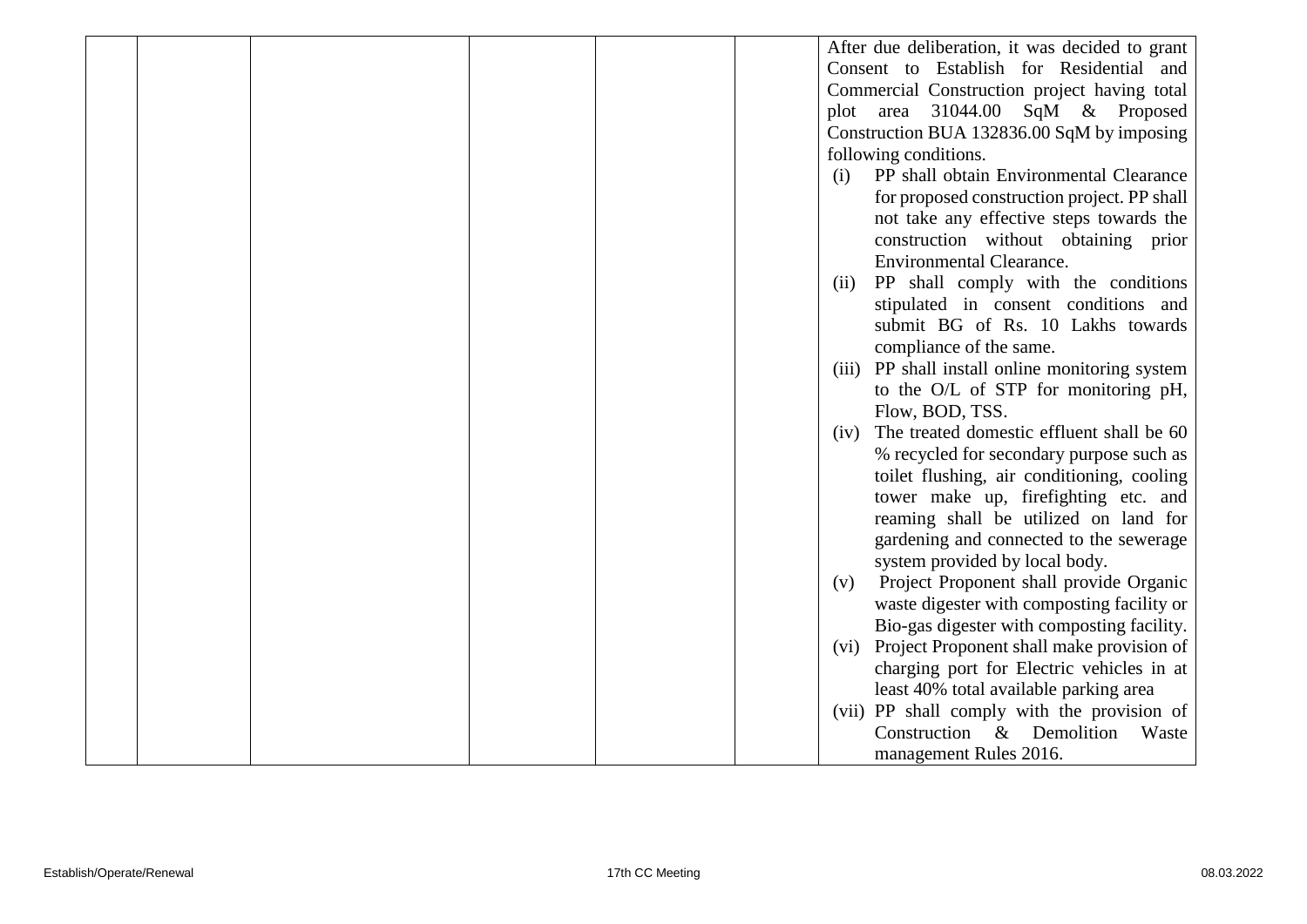|  |  |  | After due deliberation, it was decided to grant |
|--|--|--|-------------------------------------------------|
|  |  |  | Consent to Establish for Residential and        |
|  |  |  | Commercial Construction project having total    |
|  |  |  | plot area 31044.00 SqM & Proposed               |
|  |  |  | Construction BUA 132836.00 SqM by imposing      |
|  |  |  | following conditions.                           |
|  |  |  | PP shall obtain Environmental Clearance<br>(i)  |
|  |  |  | for proposed construction project. PP shall     |
|  |  |  | not take any effective steps towards the        |
|  |  |  | construction without obtaining prior            |
|  |  |  | <b>Environmental Clearance.</b>                 |
|  |  |  | PP shall comply with the conditions<br>(ii)     |
|  |  |  | stipulated in consent conditions and            |
|  |  |  | submit BG of Rs. 10 Lakhs towards               |
|  |  |  | compliance of the same.                         |
|  |  |  | (iii) PP shall install online monitoring system |
|  |  |  | to the O/L of STP for monitoring pH,            |
|  |  |  | Flow, BOD, TSS.                                 |
|  |  |  | (iv) The treated domestic effluent shall be 60  |
|  |  |  | % recycled for secondary purpose such as        |
|  |  |  | toilet flushing, air conditioning, cooling      |
|  |  |  | tower make up, firefighting etc. and            |
|  |  |  | reaming shall be utilized on land for           |
|  |  |  | gardening and connected to the sewerage         |
|  |  |  | system provided by local body.                  |
|  |  |  | Project Proponent shall provide Organic<br>(v)  |
|  |  |  | waste digester with composting facility or      |
|  |  |  | Bio-gas digester with composting facility.      |
|  |  |  | (vi) Project Proponent shall make provision of  |
|  |  |  | charging port for Electric vehicles in at       |
|  |  |  | least 40% total available parking area          |
|  |  |  | (vii) PP shall comply with the provision of     |
|  |  |  | Construction & Demolition<br>Waste              |
|  |  |  |                                                 |
|  |  |  | management Rules 2016.                          |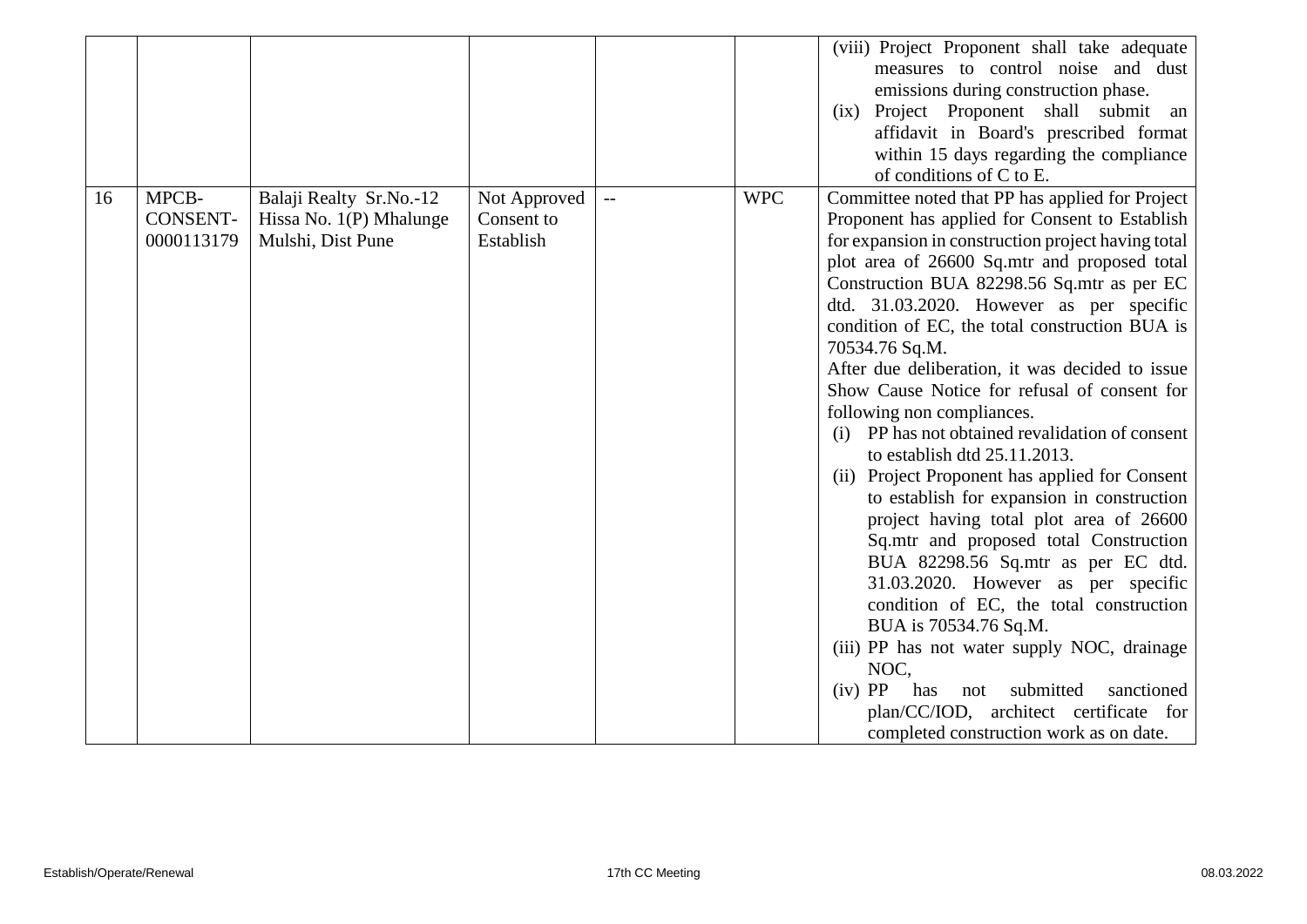|    |                                 |                                                                           |                                         |            | (viii) Project Proponent shall take adequate<br>measures to control noise and dust<br>emissions during construction phase.<br>(ix) Project Proponent shall submit<br>an<br>affidavit in Board's prescribed format<br>within 15 days regarding the compliance<br>of conditions of C to E.                                                                                                                                                                                                                                                                                                                                                                                                                                                                                                                                                                                                                                                                                                                                                                                                                                          |
|----|---------------------------------|---------------------------------------------------------------------------|-----------------------------------------|------------|-----------------------------------------------------------------------------------------------------------------------------------------------------------------------------------------------------------------------------------------------------------------------------------------------------------------------------------------------------------------------------------------------------------------------------------------------------------------------------------------------------------------------------------------------------------------------------------------------------------------------------------------------------------------------------------------------------------------------------------------------------------------------------------------------------------------------------------------------------------------------------------------------------------------------------------------------------------------------------------------------------------------------------------------------------------------------------------------------------------------------------------|
| 16 | MPCB-<br>CONSENT-<br>0000113179 | Balaji Realty Sr.No.-12<br>Hissa No. $1(P)$ Mhalunge<br>Mulshi, Dist Pune | Not Approved<br>Consent to<br>Establish | <b>WPC</b> | Committee noted that PP has applied for Project<br>Proponent has applied for Consent to Establish<br>for expansion in construction project having total<br>plot area of 26600 Sq.mtr and proposed total<br>Construction BUA 82298.56 Sq.mtr as per EC<br>dtd. 31.03.2020. However as per specific<br>condition of EC, the total construction BUA is<br>70534.76 Sq.M.<br>After due deliberation, it was decided to issue<br>Show Cause Notice for refusal of consent for<br>following non compliances.<br>(i) PP has not obtained revalidation of consent<br>to establish dtd 25.11.2013.<br>(ii) Project Proponent has applied for Consent<br>to establish for expansion in construction<br>project having total plot area of 26600<br>Sq.mtr and proposed total Construction<br>BUA 82298.56 Sq.mtr as per EC dtd.<br>31.03.2020. However as per specific<br>condition of EC, the total construction<br>BUA is 70534.76 Sq.M.<br>(iii) PP has not water supply NOC, drainage<br>NOC,<br>$(iv)$ PP<br>submitted<br>sanctioned<br>has<br>not<br>plan/CC/IOD, architect certificate for<br>completed construction work as on date. |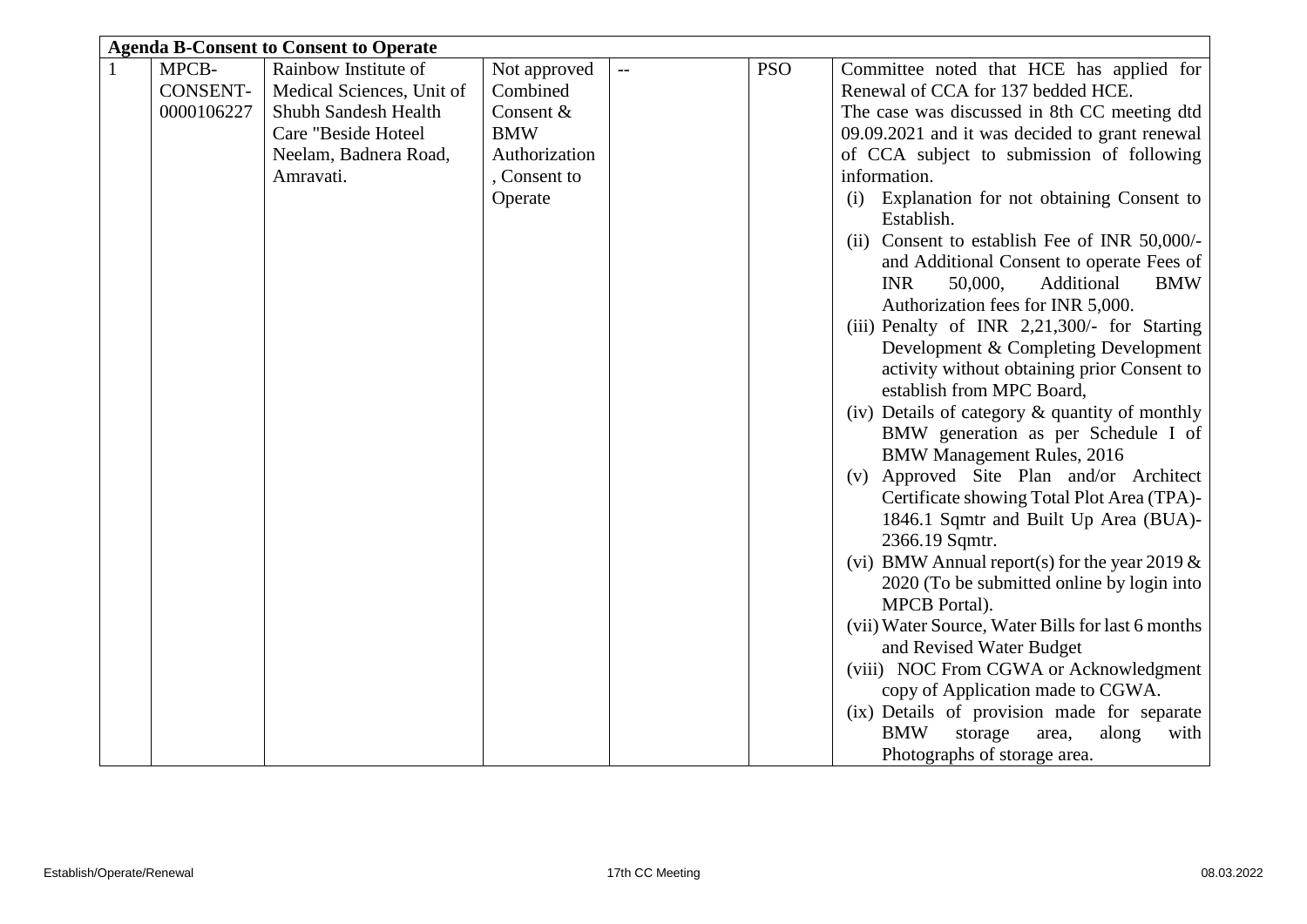| <b>Agenda B-Consent to Consent to Operate</b> |                           |               |                |            |                                                               |  |  |  |
|-----------------------------------------------|---------------------------|---------------|----------------|------------|---------------------------------------------------------------|--|--|--|
| MPCB-                                         | Rainbow Institute of      | Not approved  | $\overline{a}$ | <b>PSO</b> | Committee noted that HCE has applied for                      |  |  |  |
| <b>CONSENT-</b>                               | Medical Sciences, Unit of | Combined      |                |            | Renewal of CCA for 137 bedded HCE.                            |  |  |  |
| 0000106227                                    | Shubh Sandesh Health      | Consent &     |                |            | The case was discussed in 8th CC meeting dtd                  |  |  |  |
|                                               | Care "Beside Hoteel       | <b>BMW</b>    |                |            | 09.09.2021 and it was decided to grant renewal                |  |  |  |
|                                               | Neelam, Badnera Road,     | Authorization |                |            | of CCA subject to submission of following                     |  |  |  |
|                                               | Amravati.                 | , Consent to  |                |            | information.                                                  |  |  |  |
|                                               |                           | Operate       |                |            | Explanation for not obtaining Consent to<br>(i)<br>Establish. |  |  |  |
|                                               |                           |               |                |            | (ii) Consent to establish Fee of INR 50,000/-                 |  |  |  |
|                                               |                           |               |                |            | and Additional Consent to operate Fees of                     |  |  |  |
|                                               |                           |               |                |            | <b>INR</b><br>50,000,<br>Additional<br><b>BMW</b>             |  |  |  |
|                                               |                           |               |                |            | Authorization fees for INR 5,000.                             |  |  |  |
|                                               |                           |               |                |            | (iii) Penalty of INR 2,21,300/- for Starting                  |  |  |  |
|                                               |                           |               |                |            | Development & Completing Development                          |  |  |  |
|                                               |                           |               |                |            | activity without obtaining prior Consent to                   |  |  |  |
|                                               |                           |               |                |            | establish from MPC Board,                                     |  |  |  |
|                                               |                           |               |                |            | (iv) Details of category & quantity of monthly                |  |  |  |
|                                               |                           |               |                |            | BMW generation as per Schedule I of                           |  |  |  |
|                                               |                           |               |                |            | <b>BMW Management Rules, 2016</b>                             |  |  |  |
|                                               |                           |               |                |            | Approved Site Plan and/or Architect<br>(v)                    |  |  |  |
|                                               |                           |               |                |            | Certificate showing Total Plot Area (TPA)-                    |  |  |  |
|                                               |                           |               |                |            | 1846.1 Sqmtr and Built Up Area (BUA)-                         |  |  |  |
|                                               |                           |               |                |            | 2366.19 Sqmtr.                                                |  |  |  |
|                                               |                           |               |                |            | (vi) BMW Annual report(s) for the year 2019 $\&$              |  |  |  |
|                                               |                           |               |                |            | 2020 (To be submitted online by login into                    |  |  |  |
|                                               |                           |               |                |            | <b>MPCB</b> Portal).                                          |  |  |  |
|                                               |                           |               |                |            | (vii) Water Source, Water Bills for last 6 months             |  |  |  |
|                                               |                           |               |                |            | and Revised Water Budget                                      |  |  |  |
|                                               |                           |               |                |            | (viii) NOC From CGWA or Acknowledgment                        |  |  |  |
|                                               |                           |               |                |            | copy of Application made to CGWA.                             |  |  |  |
|                                               |                           |               |                |            | (ix) Details of provision made for separate                   |  |  |  |
|                                               |                           |               |                |            | <b>BMW</b><br>storage<br>along<br>with<br>area,               |  |  |  |
|                                               |                           |               |                |            | Photographs of storage area.                                  |  |  |  |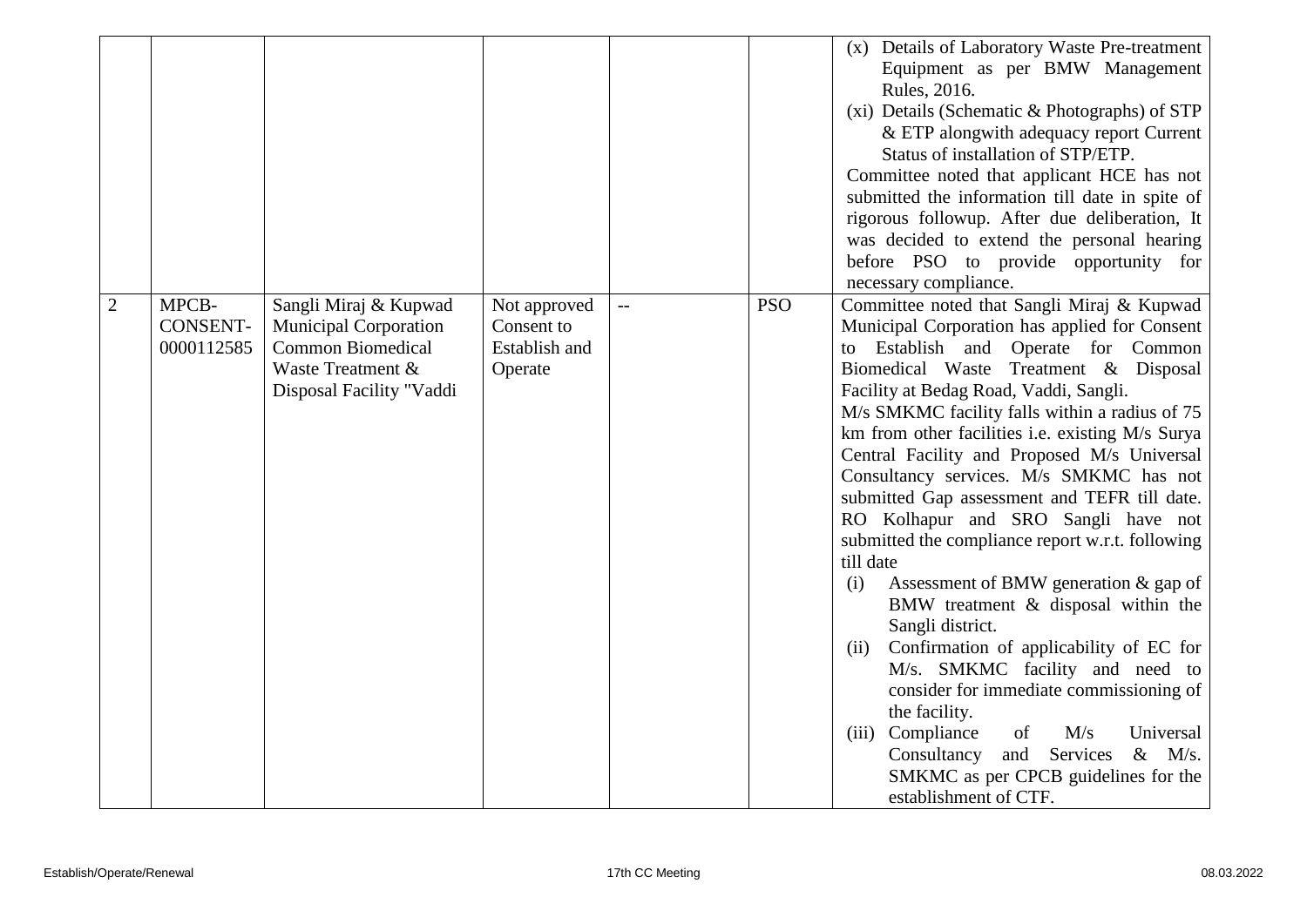|                |                 |                              |               |                |            | Details of Laboratory Waste Pre-treatment<br>(X) |
|----------------|-----------------|------------------------------|---------------|----------------|------------|--------------------------------------------------|
|                |                 |                              |               |                |            | Equipment as per BMW Management                  |
|                |                 |                              |               |                |            | Rules, 2016.                                     |
|                |                 |                              |               |                |            | (xi) Details (Schematic & Photographs) of STP    |
|                |                 |                              |               |                |            | & ETP alongwith adequacy report Current          |
|                |                 |                              |               |                |            | Status of installation of STP/ETP.               |
|                |                 |                              |               |                |            | Committee noted that applicant HCE has not       |
|                |                 |                              |               |                |            | submitted the information till date in spite of  |
|                |                 |                              |               |                |            |                                                  |
|                |                 |                              |               |                |            | rigorous followup. After due deliberation, It    |
|                |                 |                              |               |                |            | was decided to extend the personal hearing       |
|                |                 |                              |               |                |            | before PSO to provide opportunity for            |
|                |                 |                              |               |                |            | necessary compliance.                            |
| $\overline{2}$ | MPCB-           | Sangli Miraj & Kupwad        | Not approved  | $\overline{a}$ | <b>PSO</b> | Committee noted that Sangli Miraj & Kupwad       |
|                | <b>CONSENT-</b> | <b>Municipal Corporation</b> | Consent to    |                |            | Municipal Corporation has applied for Consent    |
|                | 0000112585      | <b>Common Biomedical</b>     | Establish and |                |            | Establish and<br>Operate for Common<br>to        |
|                |                 | Waste Treatment &            | Operate       |                |            | Biomedical Waste Treatment & Disposal            |
|                |                 | Disposal Facility "Vaddi     |               |                |            | Facility at Bedag Road, Vaddi, Sangli.           |
|                |                 |                              |               |                |            | M/s SMKMC facility falls within a radius of 75   |
|                |                 |                              |               |                |            | km from other facilities i.e. existing M/s Surya |
|                |                 |                              |               |                |            | Central Facility and Proposed M/s Universal      |
|                |                 |                              |               |                |            | Consultancy services. M/s SMKMC has not          |
|                |                 |                              |               |                |            | submitted Gap assessment and TEFR till date.     |
|                |                 |                              |               |                |            | RO Kolhapur and SRO Sangli have not              |
|                |                 |                              |               |                |            | submitted the compliance report w.r.t. following |
|                |                 |                              |               |                |            | till date                                        |
|                |                 |                              |               |                |            | Assessment of BMW generation $\&$ gap of<br>(i)  |
|                |                 |                              |               |                |            | BMW treatment & disposal within the              |
|                |                 |                              |               |                |            | Sangli district.                                 |
|                |                 |                              |               |                |            | Confirmation of applicability of EC for<br>(ii)  |
|                |                 |                              |               |                |            | M/s. SMKMC facility and need to                  |
|                |                 |                              |               |                |            | consider for immediate commissioning of          |
|                |                 |                              |               |                |            | the facility.                                    |
|                |                 |                              |               |                |            | (iii) Compliance<br>Universal<br>of<br>M/s       |
|                |                 |                              |               |                |            | Consultancy<br>and<br>Services<br>$\&$ M/s.      |
|                |                 |                              |               |                |            | SMKMC as per CPCB guidelines for the             |
|                |                 |                              |               |                |            | establishment of CTF.                            |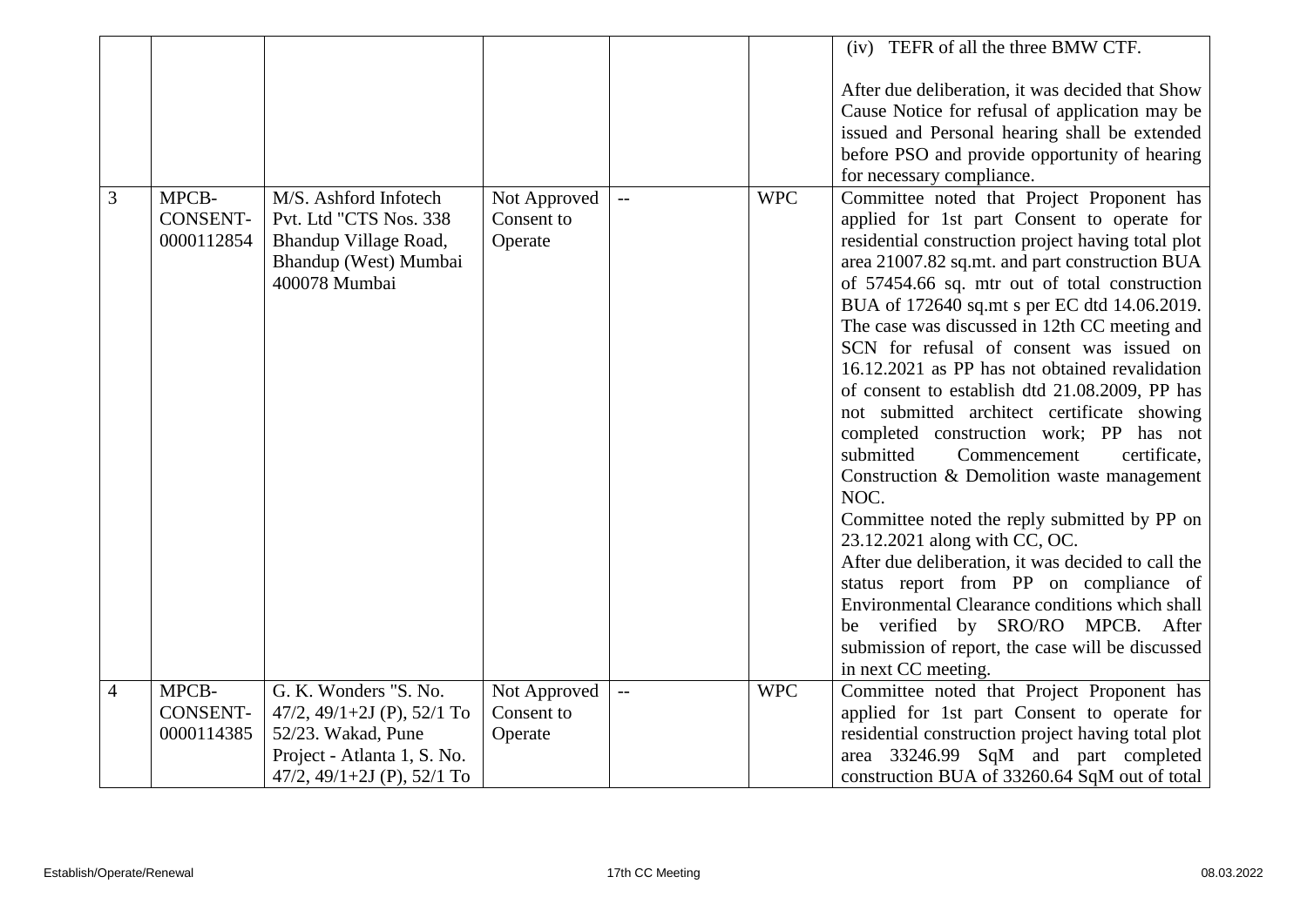|                |                                        |                                                                                                                                        |                                       |                |            | (iv) TEFR of all the three BMW CTF.                                                                                                                                                                                                                                                                                                                                                                                                                                                                                                                                                                                                                                                                                                                                                                                                                                                                                                                                                                                                                 |
|----------------|----------------------------------------|----------------------------------------------------------------------------------------------------------------------------------------|---------------------------------------|----------------|------------|-----------------------------------------------------------------------------------------------------------------------------------------------------------------------------------------------------------------------------------------------------------------------------------------------------------------------------------------------------------------------------------------------------------------------------------------------------------------------------------------------------------------------------------------------------------------------------------------------------------------------------------------------------------------------------------------------------------------------------------------------------------------------------------------------------------------------------------------------------------------------------------------------------------------------------------------------------------------------------------------------------------------------------------------------------|
|                |                                        |                                                                                                                                        |                                       |                |            | After due deliberation, it was decided that Show<br>Cause Notice for refusal of application may be<br>issued and Personal hearing shall be extended<br>before PSO and provide opportunity of hearing<br>for necessary compliance.                                                                                                                                                                                                                                                                                                                                                                                                                                                                                                                                                                                                                                                                                                                                                                                                                   |
| 3              | MPCB-<br><b>CONSENT-</b><br>0000112854 | M/S. Ashford Infotech<br>Pvt. Ltd "CTS Nos. 338<br>Bhandup Village Road,<br>Bhandup (West) Mumbai<br>400078 Mumbai                     | Not Approved<br>Consent to<br>Operate | $\overline{a}$ | <b>WPC</b> | Committee noted that Project Proponent has<br>applied for 1st part Consent to operate for<br>residential construction project having total plot<br>area 21007.82 sq.mt. and part construction BUA<br>of 57454.66 sq. mtr out of total construction<br>BUA of 172640 sq.mt s per EC dtd 14.06.2019.<br>The case was discussed in 12th CC meeting and<br>SCN for refusal of consent was issued on<br>16.12.2021 as PP has not obtained revalidation<br>of consent to establish dtd 21.08.2009, PP has<br>not submitted architect certificate showing<br>completed construction work; PP has not<br>Commencement<br>certificate,<br>submitted<br>Construction & Demolition waste management<br>NOC.<br>Committee noted the reply submitted by PP on<br>23.12.2021 along with CC, OC.<br>After due deliberation, it was decided to call the<br>status report from PP on compliance of<br>Environmental Clearance conditions which shall<br>be verified by SRO/RO MPCB. After<br>submission of report, the case will be discussed<br>in next CC meeting. |
| $\overline{4}$ | MPCB-<br><b>CONSENT-</b><br>0000114385 | G. K. Wonders "S. No.<br>47/2, 49/1+2J (P), 52/1 To<br>52/23. Wakad, Pune<br>Project - Atlanta 1, S. No.<br>47/2, 49/1+2J (P), 52/1 To | Not Approved<br>Consent to<br>Operate | $\overline{a}$ | <b>WPC</b> | Committee noted that Project Proponent has<br>applied for 1st part Consent to operate for<br>residential construction project having total plot<br>area 33246.99 SqM and part completed<br>construction BUA of 33260.64 SqM out of total                                                                                                                                                                                                                                                                                                                                                                                                                                                                                                                                                                                                                                                                                                                                                                                                            |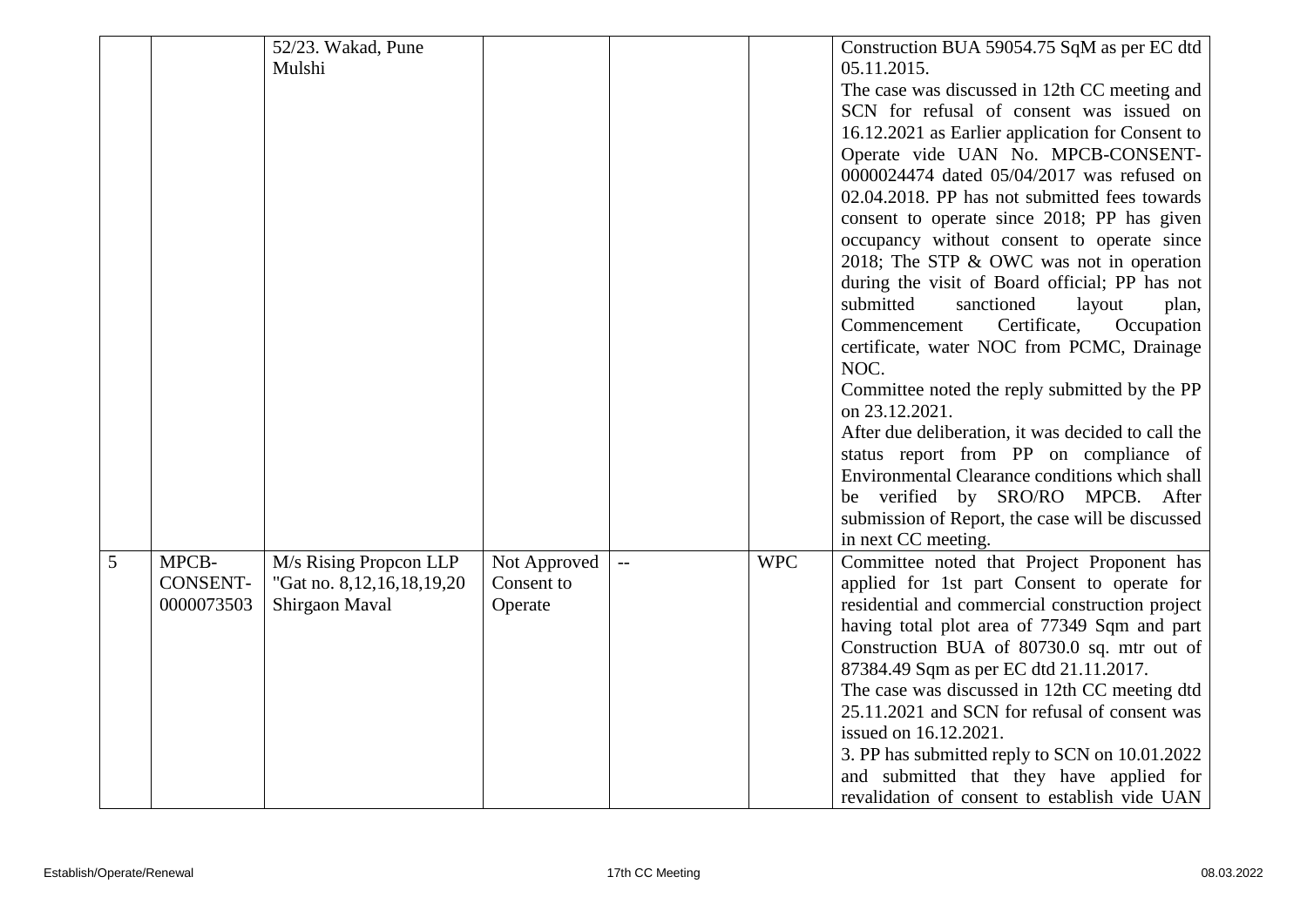|   |                 | 52/23. Wakad, Pune             |              |            | Construction BUA 59054.75 SqM as per EC dtd        |
|---|-----------------|--------------------------------|--------------|------------|----------------------------------------------------|
|   |                 | Mulshi                         |              |            | 05.11.2015.                                        |
|   |                 |                                |              |            | The case was discussed in 12th CC meeting and      |
|   |                 |                                |              |            | SCN for refusal of consent was issued on           |
|   |                 |                                |              |            | 16.12.2021 as Earlier application for Consent to   |
|   |                 |                                |              |            | Operate vide UAN No. MPCB-CONSENT-                 |
|   |                 |                                |              |            | 0000024474 dated 05/04/2017 was refused on         |
|   |                 |                                |              |            | 02.04.2018. PP has not submitted fees towards      |
|   |                 |                                |              |            | consent to operate since 2018; PP has given        |
|   |                 |                                |              |            | occupancy without consent to operate since         |
|   |                 |                                |              |            | 2018; The STP & OWC was not in operation           |
|   |                 |                                |              |            | during the visit of Board official; PP has not     |
|   |                 |                                |              |            | submitted<br>sanctioned<br>layout<br>plan,         |
|   |                 |                                |              |            | Certificate,<br>Occupation<br>Commencement         |
|   |                 |                                |              |            | certificate, water NOC from PCMC, Drainage         |
|   |                 |                                |              |            | NOC.                                               |
|   |                 |                                |              |            | Committee noted the reply submitted by the PP      |
|   |                 |                                |              |            | on 23.12.2021.                                     |
|   |                 |                                |              |            | After due deliberation, it was decided to call the |
|   |                 |                                |              |            | status report from PP on compliance of             |
|   |                 |                                |              |            | Environmental Clearance conditions which shall     |
|   |                 |                                |              |            | be verified by SRO/RO MPCB. After                  |
|   |                 |                                |              |            | submission of Report, the case will be discussed   |
|   |                 |                                |              |            | in next CC meeting.                                |
| 5 | MPCB-           | M/s Rising Propcon LLP         | Not Approved | <b>WPC</b> | Committee noted that Project Proponent has         |
|   | <b>CONSENT-</b> | "Gat no. 8, 12, 16, 18, 19, 20 | Consent to   |            | applied for 1st part Consent to operate for        |
|   | 0000073503      | Shirgaon Maval                 | Operate      |            | residential and commercial construction project    |
|   |                 |                                |              |            | having total plot area of 77349 Sqm and part       |
|   |                 |                                |              |            | Construction BUA of 80730.0 sq. mtr out of         |
|   |                 |                                |              |            | 87384.49 Sqm as per EC dtd 21.11.2017.             |
|   |                 |                                |              |            | The case was discussed in 12th CC meeting dtd      |
|   |                 |                                |              |            | 25.11.2021 and SCN for refusal of consent was      |
|   |                 |                                |              |            | issued on 16.12.2021.                              |
|   |                 |                                |              |            | 3. PP has submitted reply to SCN on 10.01.2022     |
|   |                 |                                |              |            | and submitted that they have applied for           |
|   |                 |                                |              |            | revalidation of consent to establish vide UAN      |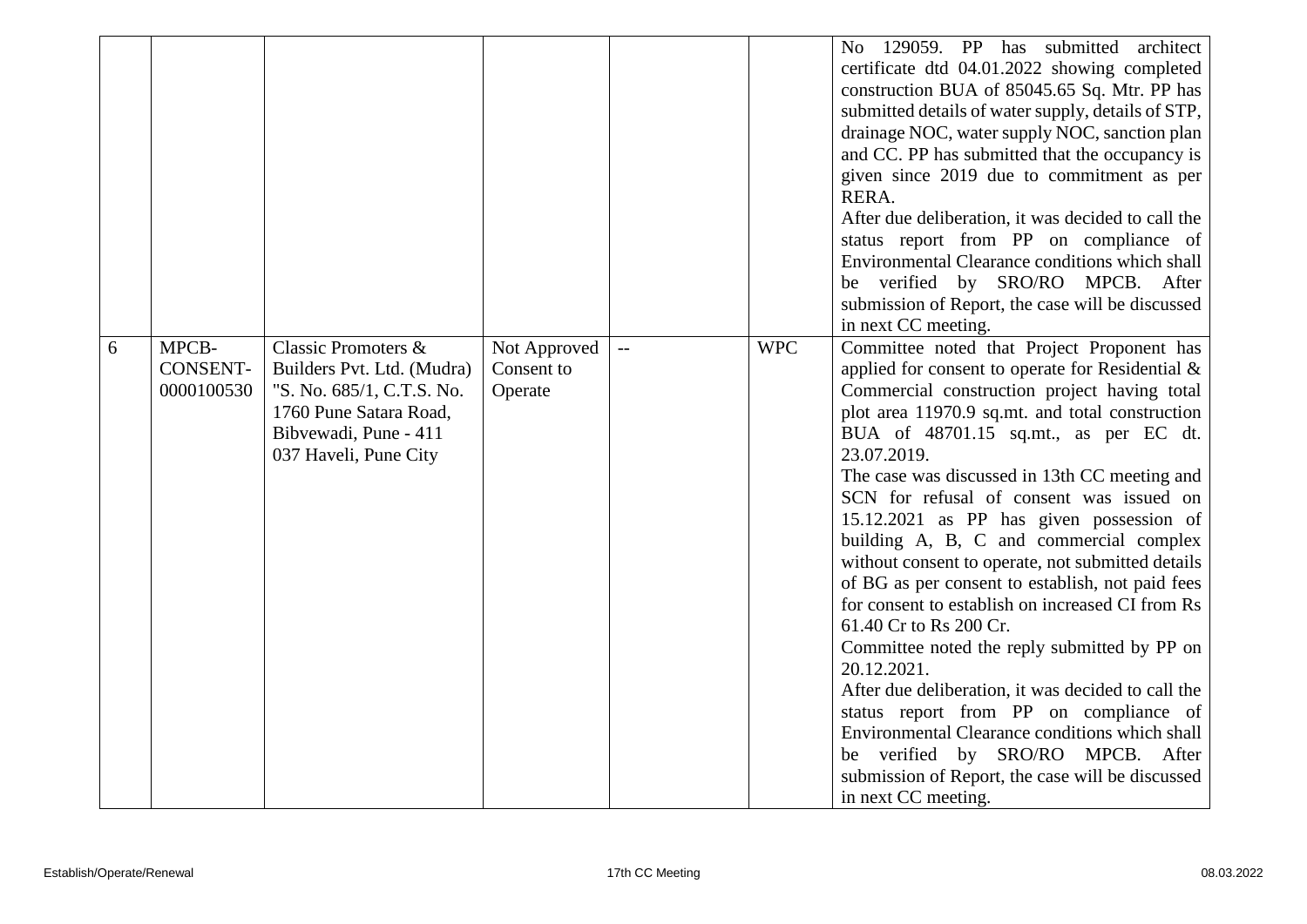|   |                                        |                                                                                                                                                                       |                                       |                          |            | 129059. PP has submitted<br>architect<br>No.<br>certificate dtd 04.01.2022 showing completed<br>construction BUA of 85045.65 Sq. Mtr. PP has<br>submitted details of water supply, details of STP,<br>drainage NOC, water supply NOC, sanction plan<br>and CC. PP has submitted that the occupancy is<br>given since 2019 due to commitment as per<br>RERA.<br>After due deliberation, it was decided to call the<br>status report from PP on compliance of<br>Environmental Clearance conditions which shall<br>be verified by SRO/RO MPCB. After<br>submission of Report, the case will be discussed<br>in next CC meeting.                                                                                                                                                                                                                                                                                                                                            |
|---|----------------------------------------|-----------------------------------------------------------------------------------------------------------------------------------------------------------------------|---------------------------------------|--------------------------|------------|--------------------------------------------------------------------------------------------------------------------------------------------------------------------------------------------------------------------------------------------------------------------------------------------------------------------------------------------------------------------------------------------------------------------------------------------------------------------------------------------------------------------------------------------------------------------------------------------------------------------------------------------------------------------------------------------------------------------------------------------------------------------------------------------------------------------------------------------------------------------------------------------------------------------------------------------------------------------------|
| 6 | MPCB-<br><b>CONSENT-</b><br>0000100530 | <b>Classic Promoters &amp;</b><br>Builders Pvt. Ltd. (Mudra)<br>"S. No. 685/1, C.T.S. No.<br>1760 Pune Satara Road,<br>Bibvewadi, Pune - 411<br>037 Haveli, Pune City | Not Approved<br>Consent to<br>Operate | $\overline{\phantom{m}}$ | <b>WPC</b> | Committee noted that Project Proponent has<br>applied for consent to operate for Residential &<br>Commercial construction project having total<br>plot area 11970.9 sq.mt. and total construction<br>BUA of 48701.15 sq.mt., as per EC dt.<br>23.07.2019.<br>The case was discussed in 13th CC meeting and<br>SCN for refusal of consent was issued on<br>15.12.2021 as PP has given possession of<br>building A, B, C and commercial complex<br>without consent to operate, not submitted details<br>of BG as per consent to establish, not paid fees<br>for consent to establish on increased CI from Rs<br>61.40 Cr to Rs 200 Cr.<br>Committee noted the reply submitted by PP on<br>20.12.2021.<br>After due deliberation, it was decided to call the<br>status report from PP on compliance of<br>Environmental Clearance conditions which shall<br>verified by SRO/RO MPCB. After<br>be<br>submission of Report, the case will be discussed<br>in next CC meeting. |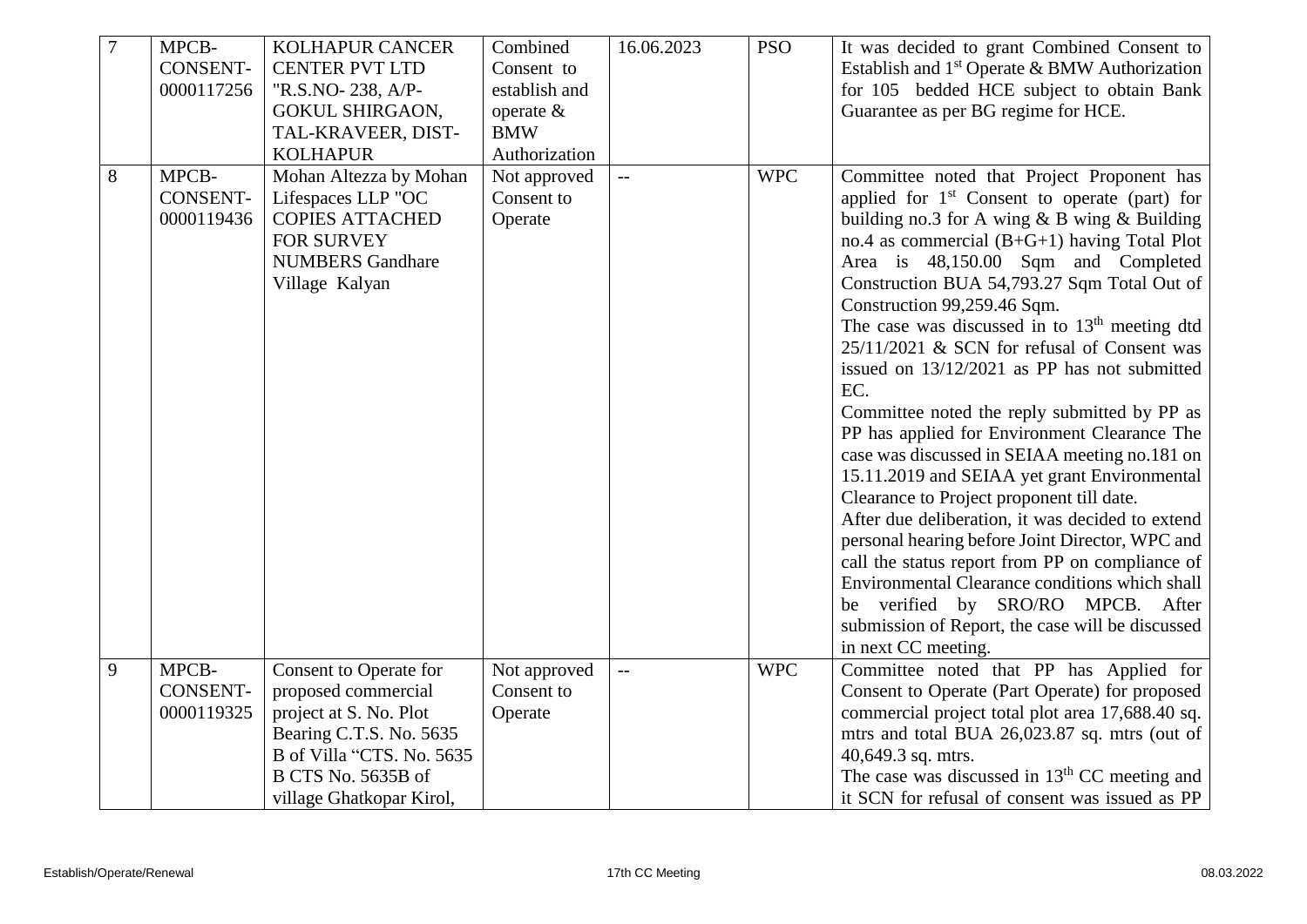| $\overline{7}$ | MPCB-           | <b>KOLHAPUR CANCER</b>    | Combined      | 16.06.2023                | <b>PSO</b> | It was decided to grant Combined Consent to               |
|----------------|-----------------|---------------------------|---------------|---------------------------|------------|-----------------------------------------------------------|
|                | <b>CONSENT-</b> | <b>CENTER PVT LTD</b>     | Consent to    |                           |            | Establish and 1 <sup>st</sup> Operate & BMW Authorization |
|                | 0000117256      | "R.S.NO-238, A/P-         | establish and |                           |            | for 105 bedded HCE subject to obtain Bank                 |
|                |                 | <b>GOKUL SHIRGAON,</b>    | operate &     |                           |            | Guarantee as per BG regime for HCE.                       |
|                |                 | TAL-KRAVEER, DIST-        | <b>BMW</b>    |                           |            |                                                           |
|                |                 | <b>KOLHAPUR</b>           | Authorization |                           |            |                                                           |
| 8              | MPCB-           | Mohan Altezza by Mohan    | Not approved  |                           | <b>WPC</b> | Committee noted that Project Proponent has                |
|                | <b>CONSENT-</b> | Lifespaces LLP "OC        | Consent to    |                           |            | applied for 1 <sup>st</sup> Consent to operate (part) for |
|                | 0000119436      | <b>COPIES ATTACHED</b>    | Operate       |                           |            | building no.3 for A wing $&B$ wing $&B$ Building          |
|                |                 | FOR SURVEY                |               |                           |            | no.4 as commercial $(B+G+1)$ having Total Plot            |
|                |                 | <b>NUMBERS Gandhare</b>   |               |                           |            | Area is 48,150.00 Sqm and Completed                       |
|                |                 | Village Kalyan            |               |                           |            | Construction BUA 54,793.27 Sqm Total Out of               |
|                |                 |                           |               |                           |            | Construction 99,259.46 Sqm.                               |
|                |                 |                           |               |                           |            | The case was discussed in to $13th$ meeting dtd           |
|                |                 |                           |               |                           |            | 25/11/2021 & SCN for refusal of Consent was               |
|                |                 |                           |               |                           |            | issued on 13/12/2021 as PP has not submitted              |
|                |                 |                           |               |                           |            | EC.                                                       |
|                |                 |                           |               |                           |            | Committee noted the reply submitted by PP as              |
|                |                 |                           |               |                           |            | PP has applied for Environment Clearance The              |
|                |                 |                           |               |                           |            | case was discussed in SEIAA meeting no.181 on             |
|                |                 |                           |               |                           |            | 15.11.2019 and SEIAA yet grant Environmental              |
|                |                 |                           |               |                           |            | Clearance to Project proponent till date.                 |
|                |                 |                           |               |                           |            | After due deliberation, it was decided to extend          |
|                |                 |                           |               |                           |            | personal hearing before Joint Director, WPC and           |
|                |                 |                           |               |                           |            | call the status report from PP on compliance of           |
|                |                 |                           |               |                           |            | Environmental Clearance conditions which shall            |
|                |                 |                           |               |                           |            | be verified by SRO/RO MPCB. After                         |
|                |                 |                           |               |                           |            | submission of Report, the case will be discussed          |
|                |                 |                           |               |                           |            | in next CC meeting.                                       |
| 9              | MPCB-           | Consent to Operate for    | Not approved  | $\mathbb{L}^{\mathbb{L}}$ | <b>WPC</b> | Committee noted that PP has Applied for                   |
|                | <b>CONSENT-</b> | proposed commercial       | Consent to    |                           |            | Consent to Operate (Part Operate) for proposed            |
|                | 0000119325      | project at S. No. Plot    | Operate       |                           |            | commercial project total plot area 17,688.40 sq.          |
|                |                 | Bearing C.T.S. No. 5635   |               |                           |            | mtrs and total BUA 26,023.87 sq. mtrs (out of             |
|                |                 | B of Villa "CTS. No. 5635 |               |                           |            | 40,649.3 sq. mtrs.                                        |
|                |                 | B CTS No. 5635B of        |               |                           |            | The case was discussed in $13th$ CC meeting and           |
|                |                 | village Ghatkopar Kirol,  |               |                           |            | it SCN for refusal of consent was issued as PP            |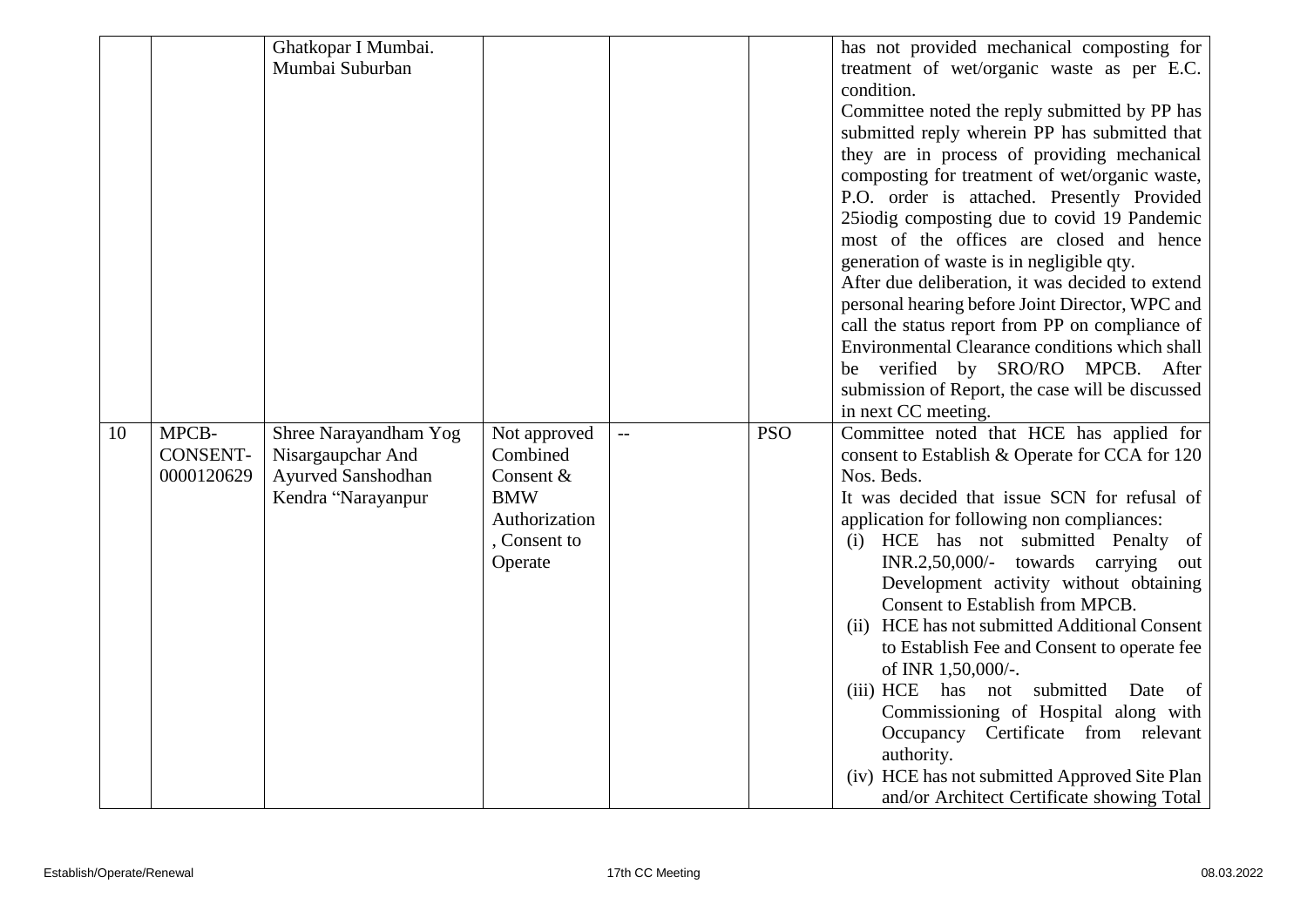|    |                 | Ghatkopar I Mumbai.   |               |     |            | has not provided mechanical composting for                                                  |
|----|-----------------|-----------------------|---------------|-----|------------|---------------------------------------------------------------------------------------------|
|    |                 | Mumbai Suburban       |               |     |            | treatment of wet/organic waste as per E.C.                                                  |
|    |                 |                       |               |     |            | condition.                                                                                  |
|    |                 |                       |               |     |            | Committee noted the reply submitted by PP has                                               |
|    |                 |                       |               |     |            | submitted reply wherein PP has submitted that                                               |
|    |                 |                       |               |     |            | they are in process of providing mechanical                                                 |
|    |                 |                       |               |     |            | composting for treatment of wet/organic waste,                                              |
|    |                 |                       |               |     |            | P.O. order is attached. Presently Provided                                                  |
|    |                 |                       |               |     |            | 25iodig composting due to covid 19 Pandemic                                                 |
|    |                 |                       |               |     |            | most of the offices are closed and hence                                                    |
|    |                 |                       |               |     |            | generation of waste is in negligible qty.                                                   |
|    |                 |                       |               |     |            | After due deliberation, it was decided to extend                                            |
|    |                 |                       |               |     |            | personal hearing before Joint Director, WPC and                                             |
|    |                 |                       |               |     |            | call the status report from PP on compliance of                                             |
|    |                 |                       |               |     |            | Environmental Clearance conditions which shall                                              |
|    |                 |                       |               |     |            | verified by SRO/RO MPCB. After<br>be                                                        |
|    |                 |                       |               |     |            | submission of Report, the case will be discussed                                            |
|    |                 |                       |               |     |            | in next CC meeting.                                                                         |
| 10 | MPCB-           | Shree Narayandham Yog | Not approved  | $-$ | <b>PSO</b> | Committee noted that HCE has applied for                                                    |
|    |                 |                       |               |     |            |                                                                                             |
|    | <b>CONSENT-</b> | Nisargaupchar And     | Combined      |     |            | consent to Establish & Operate for CCA for 120                                              |
|    | 0000120629      | Ayurved Sanshodhan    | Consent &     |     |            | Nos. Beds.                                                                                  |
|    |                 | Kendra "Narayanpur    | <b>BMW</b>    |     |            | It was decided that issue SCN for refusal of                                                |
|    |                 |                       | Authorization |     |            | application for following non compliances:                                                  |
|    |                 |                       | , Consent to  |     |            | (i) HCE has not submitted Penalty<br>of                                                     |
|    |                 |                       | Operate       |     |            | $INR.2,50,000/$ - towards carrying<br>out                                                   |
|    |                 |                       |               |     |            | Development activity without obtaining                                                      |
|    |                 |                       |               |     |            | Consent to Establish from MPCB.                                                             |
|    |                 |                       |               |     |            | HCE has not submitted Additional Consent<br>(ii)                                            |
|    |                 |                       |               |     |            | to Establish Fee and Consent to operate fee                                                 |
|    |                 |                       |               |     |            | of INR 1,50,000/-.                                                                          |
|    |                 |                       |               |     |            | submitted<br>(iii) HCE has not<br>Date of                                                   |
|    |                 |                       |               |     |            | Commissioning of Hospital along with                                                        |
|    |                 |                       |               |     |            | Occupancy Certificate from relevant                                                         |
|    |                 |                       |               |     |            | authority.                                                                                  |
|    |                 |                       |               |     |            | (iv) HCE has not submitted Approved Site Plan<br>and/or Architect Certificate showing Total |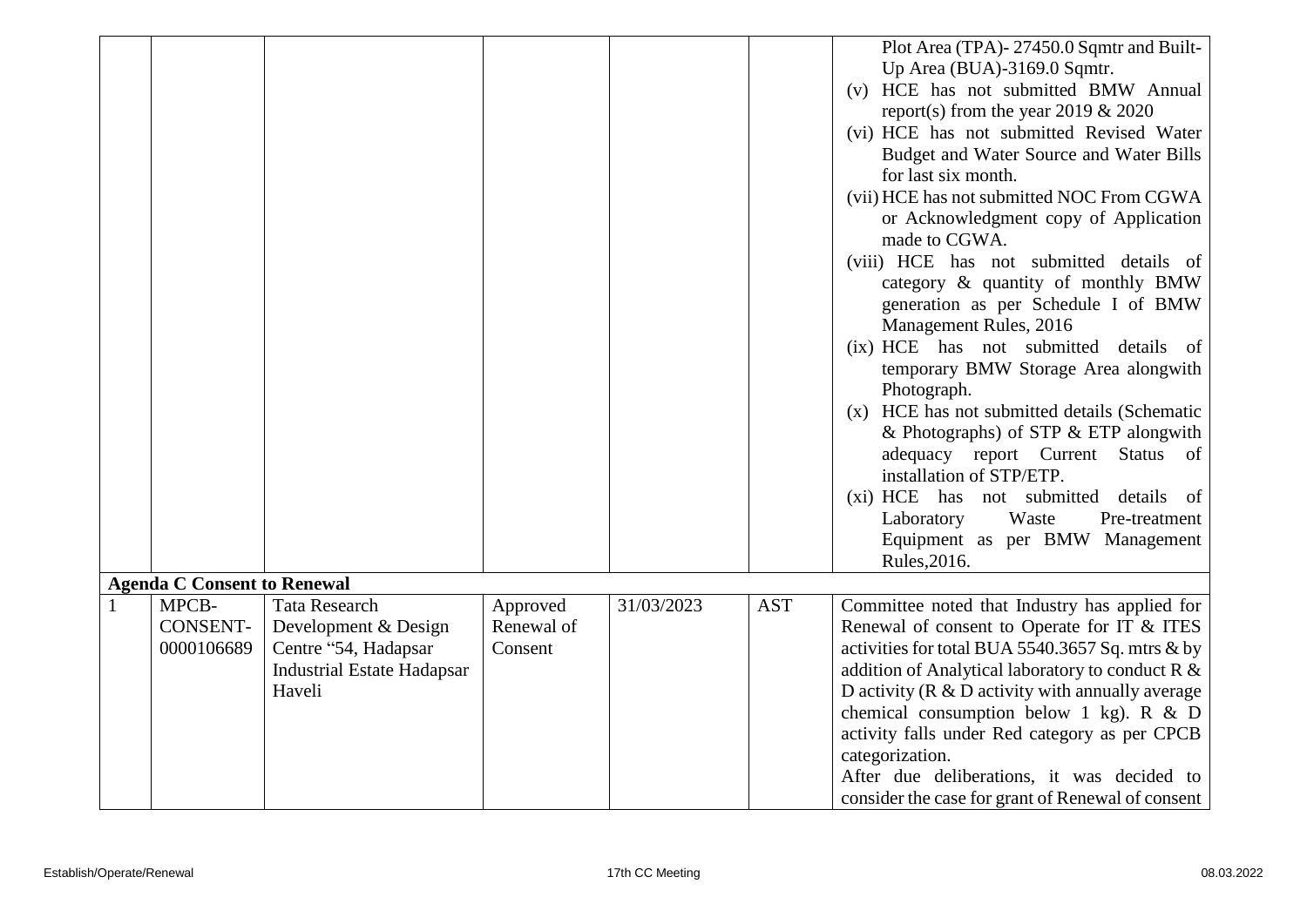|    |                                        |                                                                                                                     |                                   |            |            | Plot Area (TPA)-27450.0 Sqmtr and Built-<br>Up Area (BUA)-3169.0 Sqmtr.<br>(v) HCE has not submitted BMW Annual<br>report(s) from the year 2019 $& 2020$<br>(vi) HCE has not submitted Revised Water<br>Budget and Water Source and Water Bills<br>for last six month.<br>(vii) HCE has not submitted NOC From CGWA                                                                                                                                                                 |
|----|----------------------------------------|---------------------------------------------------------------------------------------------------------------------|-----------------------------------|------------|------------|-------------------------------------------------------------------------------------------------------------------------------------------------------------------------------------------------------------------------------------------------------------------------------------------------------------------------------------------------------------------------------------------------------------------------------------------------------------------------------------|
|    |                                        |                                                                                                                     |                                   |            |            | or Acknowledgment copy of Application<br>made to CGWA.<br>(viii) HCE has not submitted details of<br>category & quantity of monthly BMW<br>generation as per Schedule I of BMW<br>Management Rules, 2016                                                                                                                                                                                                                                                                            |
|    |                                        |                                                                                                                     |                                   |            |            | (ix) HCE has not submitted details of<br>temporary BMW Storage Area alongwith<br>Photograph.<br>(x) HCE has not submitted details (Schematic                                                                                                                                                                                                                                                                                                                                        |
|    |                                        |                                                                                                                     |                                   |            |            | & Photographs) of STP $&$ ETP alongwith<br>adequacy report Current Status of<br>installation of STP/ETP.<br>(xi) HCE has not submitted details of                                                                                                                                                                                                                                                                                                                                   |
|    |                                        |                                                                                                                     |                                   |            |            | Laboratory<br>Waste<br>Pre-treatment<br>Equipment as per BMW Management<br>Rules, 2016.                                                                                                                                                                                                                                                                                                                                                                                             |
|    | <b>Agenda C Consent to Renewal</b>     |                                                                                                                     |                                   |            |            |                                                                                                                                                                                                                                                                                                                                                                                                                                                                                     |
| -1 | MPCB-<br><b>CONSENT-</b><br>0000106689 | <b>Tata Research</b><br>Development & Design<br>Centre "54, Hadapsar<br><b>Industrial Estate Hadapsar</b><br>Haveli | Approved<br>Renewal of<br>Consent | 31/03/2023 | <b>AST</b> | Committee noted that Industry has applied for<br>Renewal of consent to Operate for IT & ITES<br>activities for total BUA 5540.3657 Sq. mtrs & by<br>addition of Analytical laboratory to conduct $R \&$<br>D activity ( $R \& D$ activity with annually average<br>chemical consumption below 1 kg). R $&$ D<br>activity falls under Red category as per CPCB<br>categorization.<br>After due deliberations, it was decided to<br>consider the case for grant of Renewal of consent |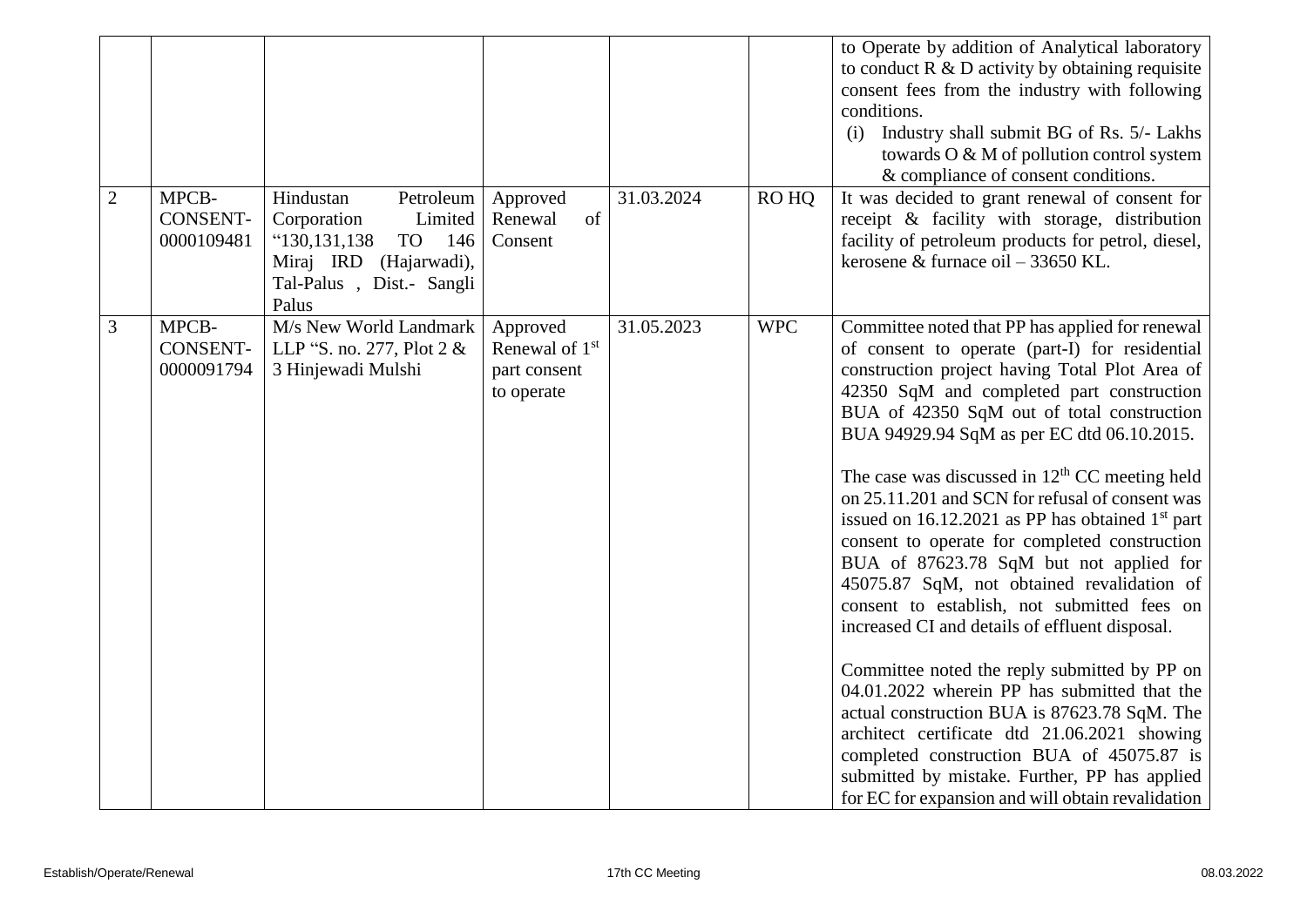|                |                                        |                                                                                                                                               |                                                          |            |            | to Operate by addition of Analytical laboratory<br>to conduct $R \& D$ activity by obtaining requisite<br>consent fees from the industry with following<br>conditions.<br>Industry shall submit BG of Rs. 5/- Lakhs<br>(i)<br>towards O & M of pollution control system<br>& compliance of consent conditions.                                                                                                                                                                                                                                                                                                                                                                                                                                                                                                                                                                                                                                                                                                                                            |
|----------------|----------------------------------------|-----------------------------------------------------------------------------------------------------------------------------------------------|----------------------------------------------------------|------------|------------|-----------------------------------------------------------------------------------------------------------------------------------------------------------------------------------------------------------------------------------------------------------------------------------------------------------------------------------------------------------------------------------------------------------------------------------------------------------------------------------------------------------------------------------------------------------------------------------------------------------------------------------------------------------------------------------------------------------------------------------------------------------------------------------------------------------------------------------------------------------------------------------------------------------------------------------------------------------------------------------------------------------------------------------------------------------|
| $\overline{2}$ | MPCB-<br><b>CONSENT-</b><br>0000109481 | Petroleum<br>Hindustan<br>Corporation<br>Limited<br>"130,131,138"<br>TO<br>146<br>Miraj IRD (Hajarwadi),<br>Tal-Palus, Dist.- Sangli<br>Palus | Approved<br>of<br>Renewal<br>Consent                     | 31.03.2024 | RO HQ      | It was decided to grant renewal of consent for<br>receipt & facility with storage, distribution<br>facility of petroleum products for petrol, diesel,<br>kerosene & furnace oil $-$ 33650 KL.                                                                                                                                                                                                                                                                                                                                                                                                                                                                                                                                                                                                                                                                                                                                                                                                                                                             |
| 3              | MPCB-<br><b>CONSENT-</b><br>0000091794 | M/s New World Landmark<br>LLP "S. no. 277, Plot 2 &<br>3 Hinjewadi Mulshi                                                                     | Approved<br>Renewal of 1st<br>part consent<br>to operate | 31.05.2023 | <b>WPC</b> | Committee noted that PP has applied for renewal<br>of consent to operate (part-I) for residential<br>construction project having Total Plot Area of<br>42350 SqM and completed part construction<br>BUA of 42350 SqM out of total construction<br>BUA 94929.94 SqM as per EC dtd 06.10.2015.<br>The case was discussed in $12th$ CC meeting held<br>on 25.11.201 and SCN for refusal of consent was<br>issued on $16.12.2021$ as PP has obtained $1st$ part<br>consent to operate for completed construction<br>BUA of 87623.78 SqM but not applied for<br>45075.87 SqM, not obtained revalidation of<br>consent to establish, not submitted fees on<br>increased CI and details of effluent disposal.<br>Committee noted the reply submitted by PP on<br>04.01.2022 wherein PP has submitted that the<br>actual construction BUA is 87623.78 SqM. The<br>architect certificate dtd 21.06.2021 showing<br>completed construction BUA of 45075.87 is<br>submitted by mistake. Further, PP has applied<br>for EC for expansion and will obtain revalidation |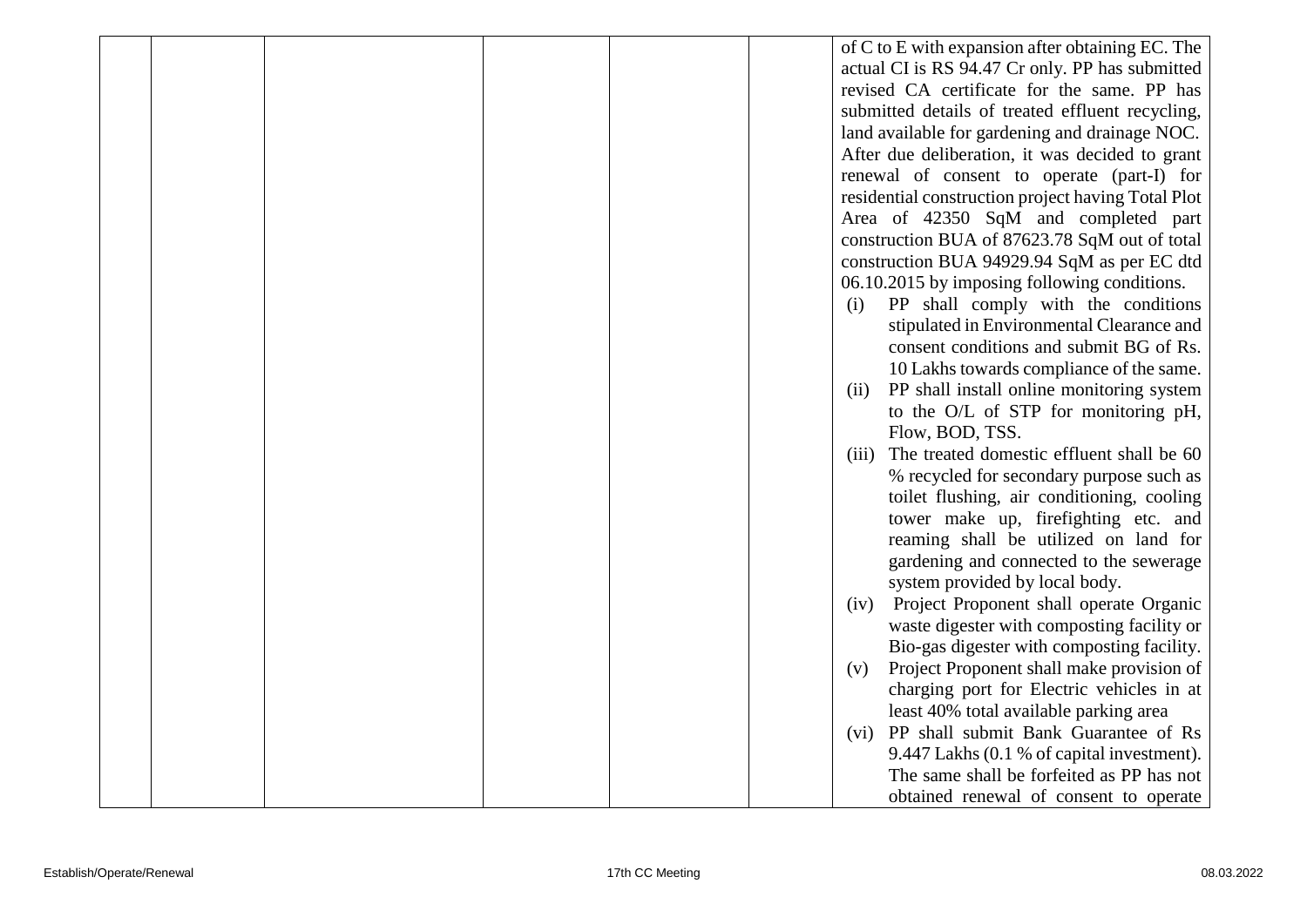|  |  |  | of C to E with expansion after obtaining EC. The   |
|--|--|--|----------------------------------------------------|
|  |  |  | actual CI is RS 94.47 Cr only. PP has submitted    |
|  |  |  | revised CA certificate for the same. PP has        |
|  |  |  | submitted details of treated effluent recycling,   |
|  |  |  | land available for gardening and drainage NOC.     |
|  |  |  | After due deliberation, it was decided to grant    |
|  |  |  | renewal of consent to operate (part-I) for         |
|  |  |  | residential construction project having Total Plot |
|  |  |  | Area of 42350 SqM and completed part               |
|  |  |  | construction BUA of 87623.78 SqM out of total      |
|  |  |  | construction BUA 94929.94 SqM as per EC dtd        |
|  |  |  | 06.10.2015 by imposing following conditions.       |
|  |  |  | PP shall comply with the conditions<br>(i)         |
|  |  |  | stipulated in Environmental Clearance and          |
|  |  |  | consent conditions and submit BG of Rs.            |
|  |  |  | 10 Lakhs towards compliance of the same.           |
|  |  |  | PP shall install online monitoring system<br>(11)  |
|  |  |  | to the O/L of STP for monitoring pH,               |
|  |  |  | Flow, BOD, TSS.                                    |
|  |  |  | The treated domestic effluent shall be 60<br>(iii) |
|  |  |  | % recycled for secondary purpose such as           |
|  |  |  | toilet flushing, air conditioning, cooling         |
|  |  |  | tower make up, firefighting etc. and               |
|  |  |  | reaming shall be utilized on land for              |
|  |  |  | gardening and connected to the sewerage            |
|  |  |  | system provided by local body.                     |
|  |  |  | Project Proponent shall operate Organic<br>(iv)    |
|  |  |  | waste digester with composting facility or         |
|  |  |  | Bio-gas digester with composting facility.         |
|  |  |  | Project Proponent shall make provision of<br>(v)   |
|  |  |  | charging port for Electric vehicles in at          |
|  |  |  | least 40% total available parking area             |
|  |  |  | (vi) PP shall submit Bank Guarantee of Rs          |
|  |  |  | 9.447 Lakhs (0.1 % of capital investment).         |
|  |  |  | The same shall be forfeited as PP has not          |
|  |  |  | obtained renewal of consent to operate             |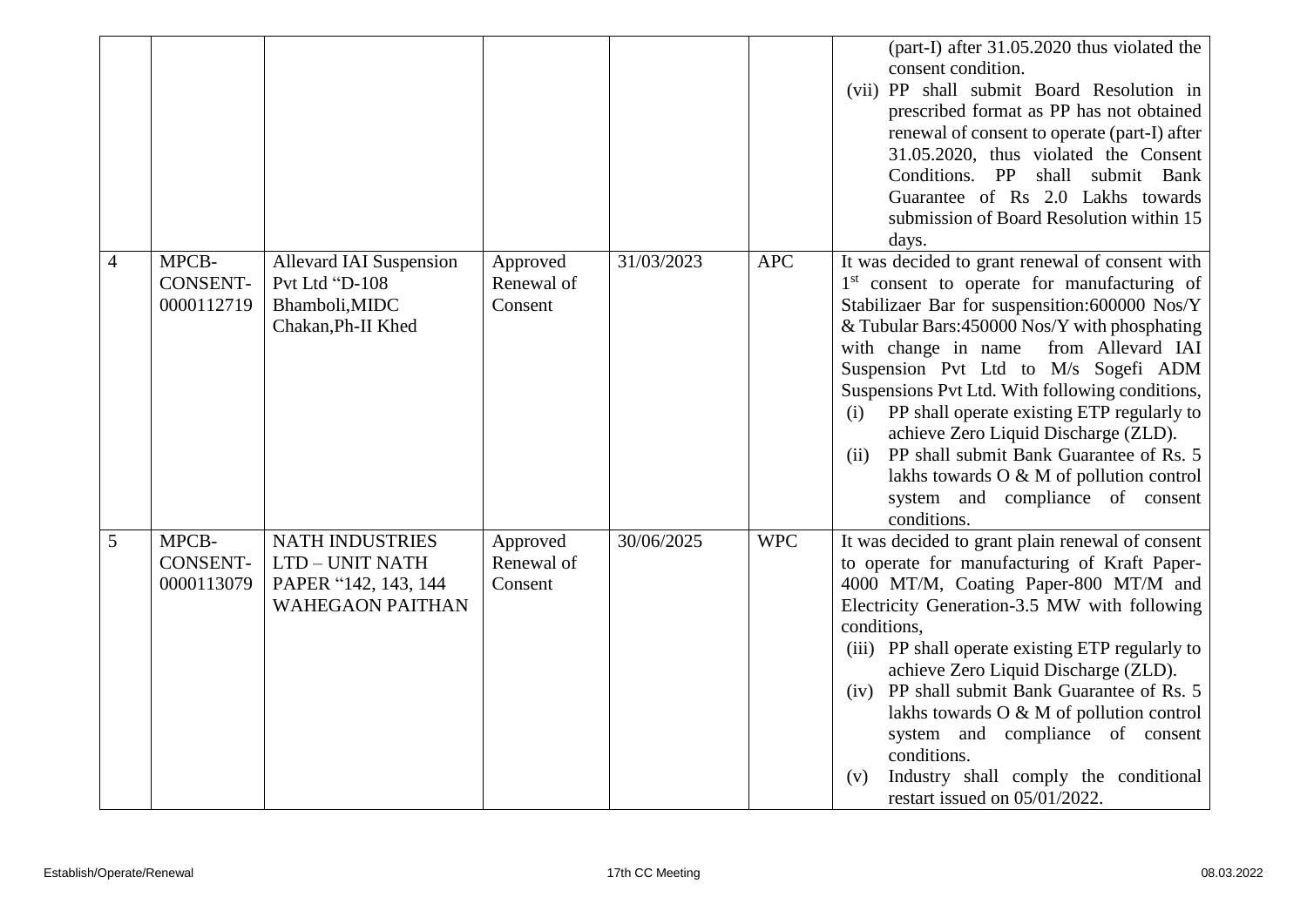|                |                                        |                                                                                              |                                   |            |            | (part-I) after 31.05.2020 thus violated the<br>consent condition.<br>(vii) PP shall submit Board Resolution in<br>prescribed format as PP has not obtained<br>renewal of consent to operate (part-I) after<br>31.05.2020, thus violated the Consent<br>Conditions. PP<br>shall submit Bank<br>Guarantee of Rs 2.0 Lakhs towards<br>submission of Board Resolution within 15<br>days.                                                                                                                                                                                                               |
|----------------|----------------------------------------|----------------------------------------------------------------------------------------------|-----------------------------------|------------|------------|----------------------------------------------------------------------------------------------------------------------------------------------------------------------------------------------------------------------------------------------------------------------------------------------------------------------------------------------------------------------------------------------------------------------------------------------------------------------------------------------------------------------------------------------------------------------------------------------------|
| $\overline{4}$ | MPCB-<br><b>CONSENT-</b><br>0000112719 | <b>Allevard IAI Suspension</b><br>Pvt Ltd "D-108<br>Bhamboli, MIDC<br>Chakan, Ph-II Khed     | Approved<br>Renewal of<br>Consent | 31/03/2023 | <b>APC</b> | It was decided to grant renewal of consent with<br>1 <sup>st</sup> consent to operate for manufacturing of<br>Stabilizaer Bar for suspensition:600000 Nos/Y<br>& Tubular Bars: 450000 Nos/Y with phosphating<br>with change in name<br>from Allevard IAI<br>Suspension Pvt Ltd to M/s Sogefi ADM<br>Suspensions Pvt Ltd. With following conditions,<br>PP shall operate existing ETP regularly to<br>(i)<br>achieve Zero Liquid Discharge (ZLD).<br>PP shall submit Bank Guarantee of Rs. 5<br>(ii)<br>lakhs towards O & M of pollution control<br>system and compliance of consent<br>conditions. |
| 5              | MPCB-<br><b>CONSENT-</b><br>0000113079 | <b>NATH INDUSTRIES</b><br>LTD - UNIT NATH<br>PAPER "142, 143, 144<br><b>WAHEGAON PAITHAN</b> | Approved<br>Renewal of<br>Consent | 30/06/2025 | <b>WPC</b> | It was decided to grant plain renewal of consent<br>to operate for manufacturing of Kraft Paper-<br>4000 MT/M, Coating Paper-800 MT/M and<br>Electricity Generation-3.5 MW with following<br>conditions.<br>(iii) PP shall operate existing ETP regularly to<br>achieve Zero Liquid Discharge (ZLD).<br>PP shall submit Bank Guarantee of Rs. 5<br>(iv)<br>lakhs towards O & M of pollution control<br>system and compliance of consent<br>conditions.<br>Industry shall comply the conditional<br>(v)<br>restart issued on 05/01/2022.                                                            |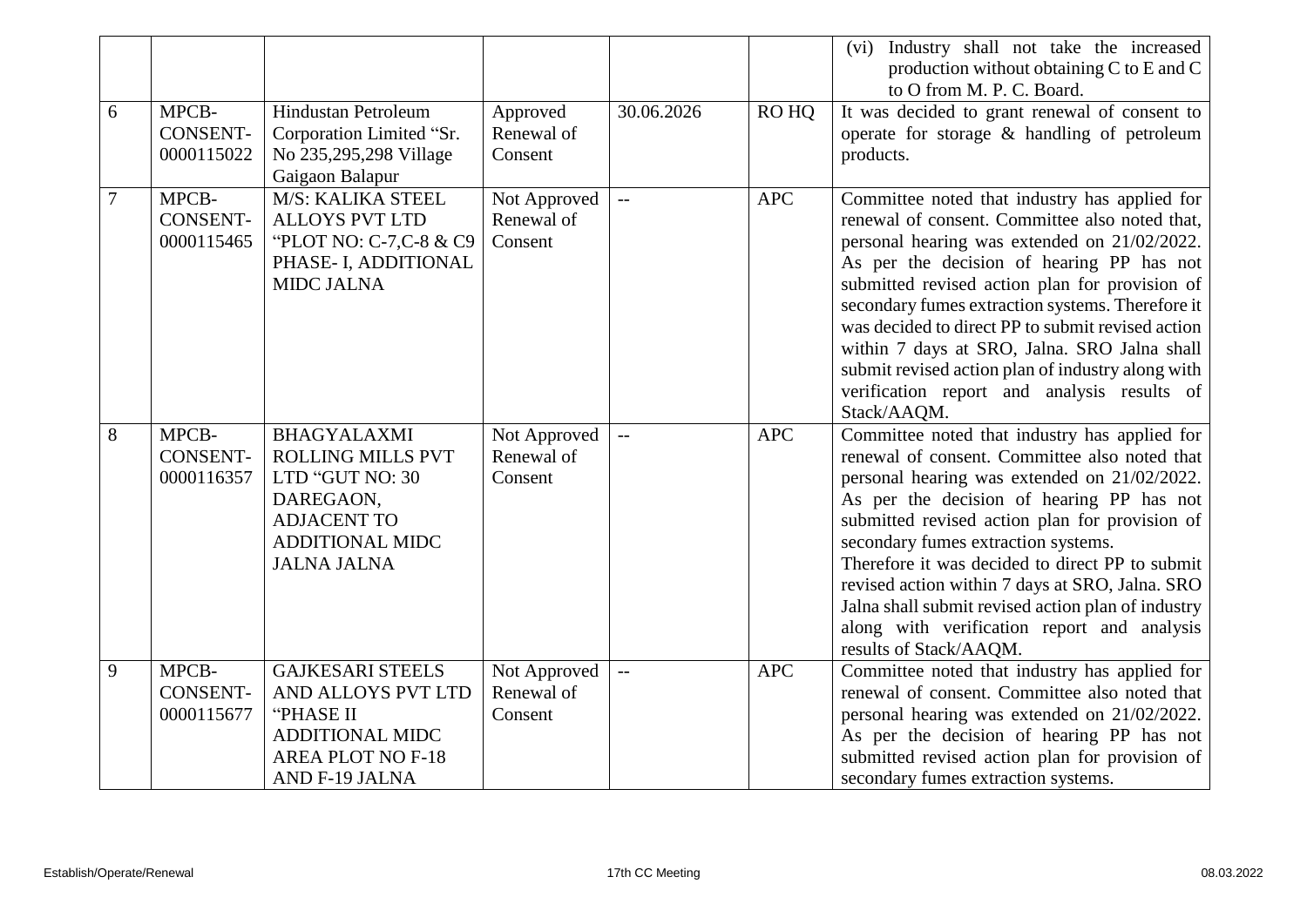|                |                                        |                                                                                                                                                      |                                       |                          |            | Industry shall not take the increased<br>(vi)<br>production without obtaining C to E and C<br>to O from M. P. C. Board.                                                                                                                                                                                                                                                                                                                                                                                                    |
|----------------|----------------------------------------|------------------------------------------------------------------------------------------------------------------------------------------------------|---------------------------------------|--------------------------|------------|----------------------------------------------------------------------------------------------------------------------------------------------------------------------------------------------------------------------------------------------------------------------------------------------------------------------------------------------------------------------------------------------------------------------------------------------------------------------------------------------------------------------------|
| 6              | MPCB-<br><b>CONSENT-</b><br>0000115022 | <b>Hindustan Petroleum</b><br>Corporation Limited "Sr.<br>No 235,295,298 Village<br>Gaigaon Balapur                                                  | Approved<br>Renewal of<br>Consent     | 30.06.2026               | ROHO       | It was decided to grant renewal of consent to<br>operate for storage $\&$ handling of petroleum<br>products.                                                                                                                                                                                                                                                                                                                                                                                                               |
| $\overline{7}$ | MPCB-<br><b>CONSENT-</b><br>0000115465 | M/S: KALIKA STEEL<br><b>ALLOYS PVT LTD</b><br>"PLOT NO: C-7,C-8 & C9<br>PHASE- I, ADDITIONAL<br><b>MIDC JALNA</b>                                    | Not Approved<br>Renewal of<br>Consent | $\mathbb{L} \mathbb{L}$  | <b>APC</b> | Committee noted that industry has applied for<br>renewal of consent. Committee also noted that,<br>personal hearing was extended on 21/02/2022.<br>As per the decision of hearing PP has not<br>submitted revised action plan for provision of<br>secondary fumes extraction systems. Therefore it<br>was decided to direct PP to submit revised action<br>within 7 days at SRO, Jalna. SRO Jalna shall<br>submit revised action plan of industry along with<br>verification report and analysis results of<br>Stack/AAQM. |
| 8              | MPCB-<br><b>CONSENT-</b><br>0000116357 | <b>BHAGYALAXMI</b><br><b>ROLLING MILLS PVT</b><br>LTD "GUT NO: 30<br>DAREGAON,<br><b>ADJACENT TO</b><br><b>ADDITIONAL MIDC</b><br><b>JALNA JALNA</b> | Not Approved<br>Renewal of<br>Consent | $\overline{a}$           | <b>APC</b> | Committee noted that industry has applied for<br>renewal of consent. Committee also noted that<br>personal hearing was extended on 21/02/2022.<br>As per the decision of hearing PP has not<br>submitted revised action plan for provision of<br>secondary fumes extraction systems.<br>Therefore it was decided to direct PP to submit<br>revised action within 7 days at SRO, Jalna. SRO<br>Jalna shall submit revised action plan of industry<br>along with verification report and analysis<br>results of Stack/AAQM.  |
| 9              | MPCB-<br><b>CONSENT-</b><br>0000115677 | <b>GAJKESARI STEELS</b><br>AND ALLOYS PVT LTD<br>"PHASE II<br><b>ADDITIONAL MIDC</b><br><b>AREA PLOT NO F-18</b><br>AND F-19 JALNA                   | Not Approved<br>Renewal of<br>Consent | $\overline{\phantom{a}}$ | <b>APC</b> | Committee noted that industry has applied for<br>renewal of consent. Committee also noted that<br>personal hearing was extended on 21/02/2022.<br>As per the decision of hearing PP has not<br>submitted revised action plan for provision of<br>secondary fumes extraction systems.                                                                                                                                                                                                                                       |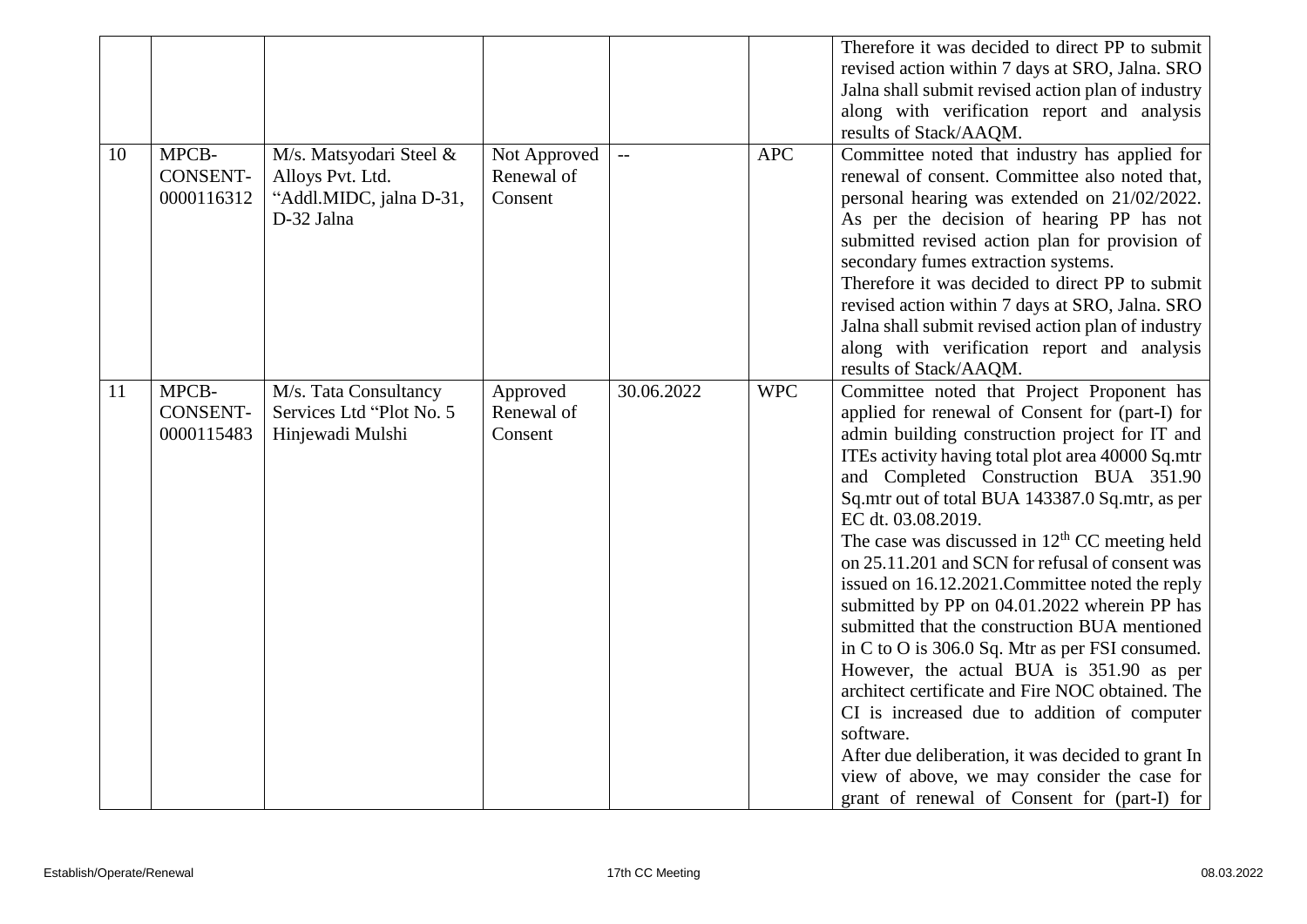|    |                                        |                                                                                      |                                       |                           |            | Therefore it was decided to direct PP to submit<br>revised action within 7 days at SRO, Jalna. SRO<br>Jalna shall submit revised action plan of industry<br>along with verification report and analysis<br>results of Stack/AAQM.                                                                                                                                                                                                                                                                                                                                                                                                                                                                                                                                                                                                                                                                                                                     |
|----|----------------------------------------|--------------------------------------------------------------------------------------|---------------------------------------|---------------------------|------------|-------------------------------------------------------------------------------------------------------------------------------------------------------------------------------------------------------------------------------------------------------------------------------------------------------------------------------------------------------------------------------------------------------------------------------------------------------------------------------------------------------------------------------------------------------------------------------------------------------------------------------------------------------------------------------------------------------------------------------------------------------------------------------------------------------------------------------------------------------------------------------------------------------------------------------------------------------|
| 10 | MPCB-<br><b>CONSENT-</b><br>0000116312 | M/s. Matsyodari Steel &<br>Alloys Pvt. Ltd.<br>"Addl.MIDC, jalna D-31,<br>D-32 Jalna | Not Approved<br>Renewal of<br>Consent | $\mathbb{L}^{\mathbb{L}}$ | <b>APC</b> | Committee noted that industry has applied for<br>renewal of consent. Committee also noted that,<br>personal hearing was extended on 21/02/2022.<br>As per the decision of hearing PP has not<br>submitted revised action plan for provision of<br>secondary fumes extraction systems.<br>Therefore it was decided to direct PP to submit<br>revised action within 7 days at SRO, Jalna. SRO<br>Jalna shall submit revised action plan of industry<br>along with verification report and analysis<br>results of Stack/AAQM.                                                                                                                                                                                                                                                                                                                                                                                                                            |
| 11 | MPCB-<br><b>CONSENT-</b><br>0000115483 | M/s. Tata Consultancy<br>Services Ltd "Plot No. 5<br>Hinjewadi Mulshi                | Approved<br>Renewal of<br>Consent     | 30.06.2022                | <b>WPC</b> | Committee noted that Project Proponent has<br>applied for renewal of Consent for (part-I) for<br>admin building construction project for IT and<br>ITEs activity having total plot area 40000 Sq.mtr<br>and Completed Construction BUA 351.90<br>Sq.mtr out of total BUA 143387.0 Sq.mtr, as per<br>EC dt. 03.08.2019.<br>The case was discussed in $12th$ CC meeting held<br>on 25.11.201 and SCN for refusal of consent was<br>issued on 16.12.2021. Committee noted the reply<br>submitted by PP on 04.01.2022 wherein PP has<br>submitted that the construction BUA mentioned<br>in C to O is 306.0 Sq. Mtr as per FSI consumed.<br>However, the actual BUA is 351.90 as per<br>architect certificate and Fire NOC obtained. The<br>CI is increased due to addition of computer<br>software.<br>After due deliberation, it was decided to grant In<br>view of above, we may consider the case for<br>grant of renewal of Consent for (part-I) for |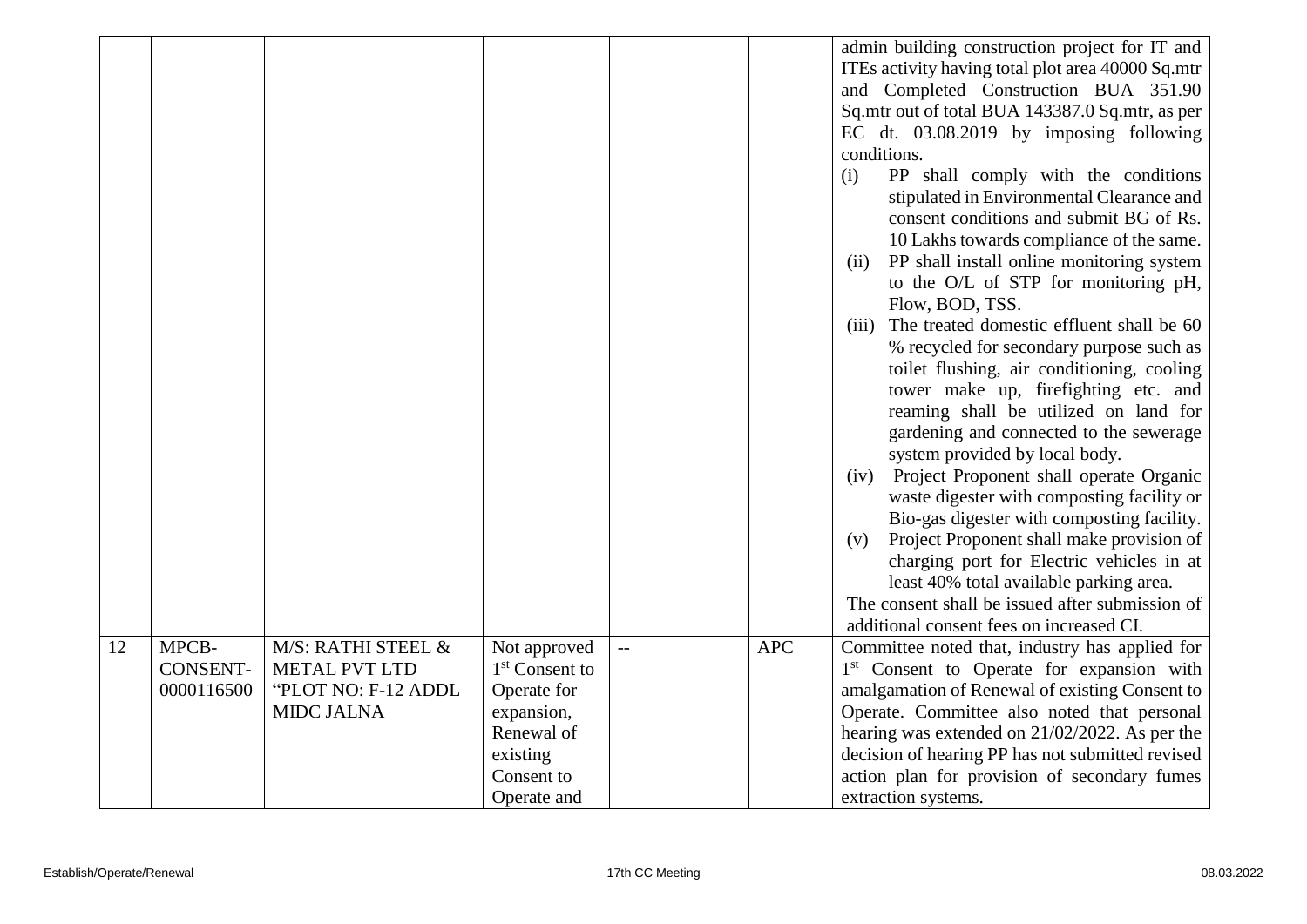| ITEs activity having total plot area 40000 Sq.mtr<br>and Completed Construction BUA 351.90                                                    |  |
|-----------------------------------------------------------------------------------------------------------------------------------------------|--|
|                                                                                                                                               |  |
|                                                                                                                                               |  |
| Sq.mtr out of total BUA 143387.0 Sq.mtr, as per                                                                                               |  |
| EC dt. $03.08.2019$ by imposing following                                                                                                     |  |
| conditions.                                                                                                                                   |  |
| PP shall comply with the conditions<br>(i)                                                                                                    |  |
| stipulated in Environmental Clearance and                                                                                                     |  |
| consent conditions and submit BG of Rs.                                                                                                       |  |
| 10 Lakhs towards compliance of the same.                                                                                                      |  |
| PP shall install online monitoring system<br>(ii)                                                                                             |  |
| to the O/L of STP for monitoring pH,                                                                                                          |  |
| Flow, BOD, TSS.                                                                                                                               |  |
| The treated domestic effluent shall be 60<br>(iii)                                                                                            |  |
| % recycled for secondary purpose such as                                                                                                      |  |
| toilet flushing, air conditioning, cooling                                                                                                    |  |
| tower make up, firefighting etc. and                                                                                                          |  |
| reaming shall be utilized on land for                                                                                                         |  |
| gardening and connected to the sewerage                                                                                                       |  |
| system provided by local body.                                                                                                                |  |
| Project Proponent shall operate Organic<br>(iv)                                                                                               |  |
| waste digester with composting facility or                                                                                                    |  |
| Bio-gas digester with composting facility.                                                                                                    |  |
| Project Proponent shall make provision of<br>(v)                                                                                              |  |
| charging port for Electric vehicles in at                                                                                                     |  |
| least 40% total available parking area.                                                                                                       |  |
| The consent shall be issued after submission of                                                                                               |  |
| additional consent fees on increased CI.                                                                                                      |  |
| 12<br>MPCB-<br><b>APC</b><br>M/S: RATHI STEEL &<br>Not approved<br>Committee noted that, industry has applied for<br>$\overline{\phantom{a}}$ |  |
| <b>CONSENT-</b><br>1 <sup>st</sup> Consent to<br>1 <sup>st</sup> Consent to Operate for expansion with<br><b>METAL PVT LTD</b>                |  |
| "PLOT NO: F-12 ADDL<br>Operate for<br>0000116500<br>amalgamation of Renewal of existing Consent to                                            |  |
| <b>MIDC JALNA</b><br>expansion,<br>Operate. Committee also noted that personal                                                                |  |
| Renewal of<br>hearing was extended on 21/02/2022. As per the                                                                                  |  |
| existing<br>decision of hearing PP has not submitted revised                                                                                  |  |
| Consent to<br>action plan for provision of secondary fumes                                                                                    |  |
| Operate and<br>extraction systems.                                                                                                            |  |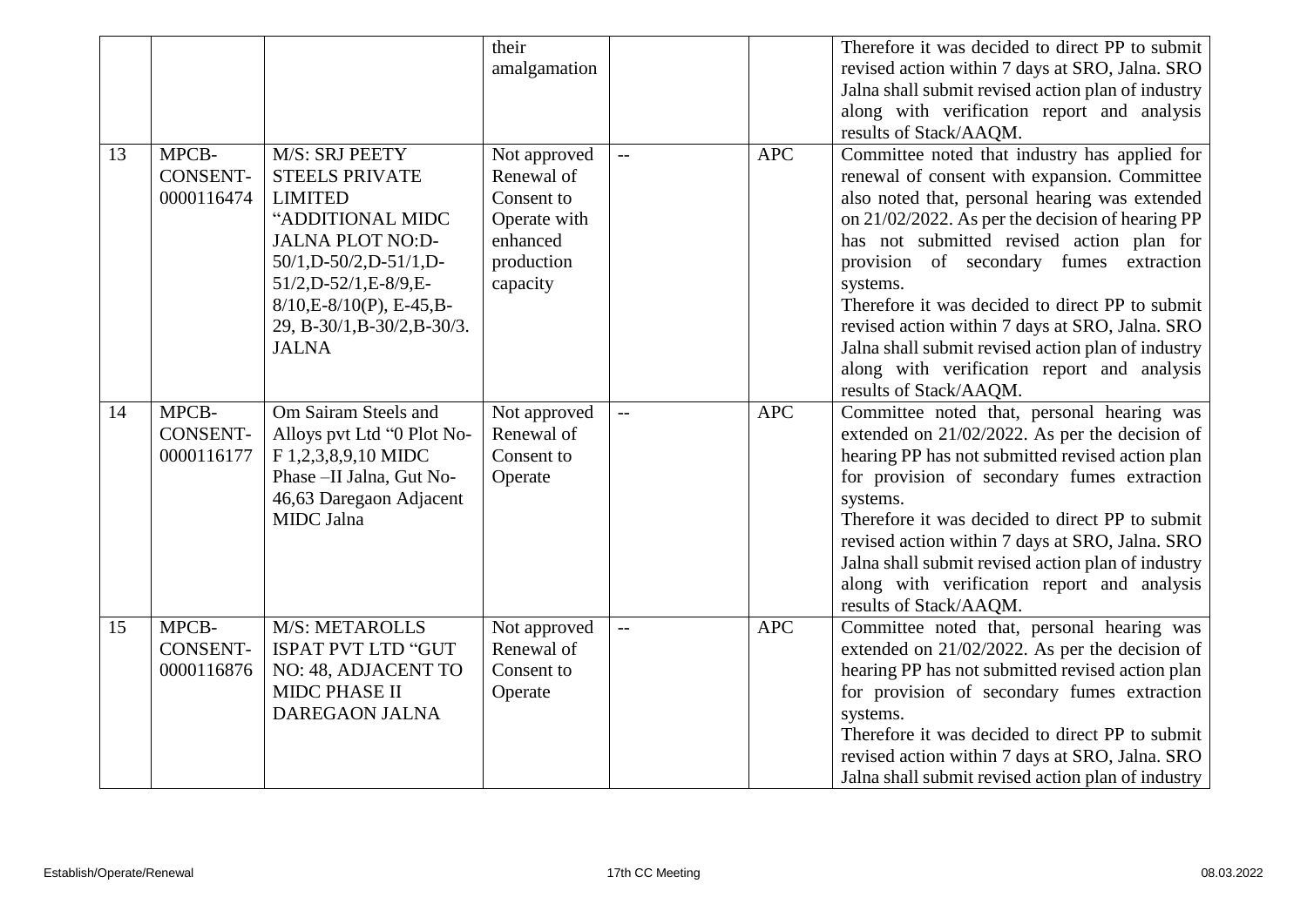|    |                                        |                                                                                                                                                                                                                                                          | their<br>amalgamation                                                                          |                          |            | Therefore it was decided to direct PP to submit<br>revised action within 7 days at SRO, Jalna. SRO<br>Jalna shall submit revised action plan of industry<br>along with verification report and analysis<br>results of Stack/AAQM.                                                                                                                                                                                                                                                                                                            |
|----|----------------------------------------|----------------------------------------------------------------------------------------------------------------------------------------------------------------------------------------------------------------------------------------------------------|------------------------------------------------------------------------------------------------|--------------------------|------------|----------------------------------------------------------------------------------------------------------------------------------------------------------------------------------------------------------------------------------------------------------------------------------------------------------------------------------------------------------------------------------------------------------------------------------------------------------------------------------------------------------------------------------------------|
| 13 | MPCB-<br><b>CONSENT-</b><br>0000116474 | M/S: SRJ PEETY<br><b>STEELS PRIVATE</b><br><b>LIMITED</b><br>"ADDITIONAL MIDC<br><b>JALNA PLOT NO:D-</b><br>$50/1$ , D- $50/2$ , D- $51/1$ , D-<br>51/2, D-52/1, E-8/9, E-<br>$8/10,E-8/10(P)$ , E-45, B-<br>29, B-30/1, B-30/2, B-30/3.<br><b>JALNA</b> | Not approved<br>Renewal of<br>Consent to<br>Operate with<br>enhanced<br>production<br>capacity |                          | <b>APC</b> | Committee noted that industry has applied for<br>renewal of consent with expansion. Committee<br>also noted that, personal hearing was extended<br>on 21/02/2022. As per the decision of hearing PP<br>has not submitted revised action plan for<br>provision of secondary fumes extraction<br>systems.<br>Therefore it was decided to direct PP to submit<br>revised action within 7 days at SRO, Jalna. SRO<br>Jalna shall submit revised action plan of industry<br>along with verification report and analysis<br>results of Stack/AAQM. |
| 14 | MPCB-<br><b>CONSENT-</b><br>0000116177 | Om Sairam Steels and<br>Alloys pvt Ltd "0 Plot No-<br>F 1,2,3,8,9,10 MIDC<br>Phase -II Jalna, Gut No-<br>46,63 Daregaon Adjacent<br>MIDC Jalna                                                                                                           | Not approved<br>Renewal of<br>Consent to<br>Operate                                            | $\overline{\phantom{a}}$ | <b>APC</b> | Committee noted that, personal hearing was<br>extended on 21/02/2022. As per the decision of<br>hearing PP has not submitted revised action plan<br>for provision of secondary fumes extraction<br>systems.<br>Therefore it was decided to direct PP to submit<br>revised action within 7 days at SRO, Jalna. SRO<br>Jalna shall submit revised action plan of industry<br>along with verification report and analysis<br>results of Stack/AAQM.                                                                                             |
| 15 | MPCB-<br><b>CONSENT-</b><br>0000116876 | M/S: METAROLLS<br>ISPAT PVT LTD "GUT<br>NO: 48, ADJACENT TO<br><b>MIDC PHASE II</b><br><b>DAREGAON JALNA</b>                                                                                                                                             | Not approved<br>Renewal of<br>Consent to<br>Operate                                            | $\overline{a}$           | <b>APC</b> | Committee noted that, personal hearing was<br>extended on $21/02/2022$ . As per the decision of<br>hearing PP has not submitted revised action plan<br>for provision of secondary fumes extraction<br>systems.<br>Therefore it was decided to direct PP to submit<br>revised action within 7 days at SRO, Jalna. SRO<br>Jalna shall submit revised action plan of industry                                                                                                                                                                   |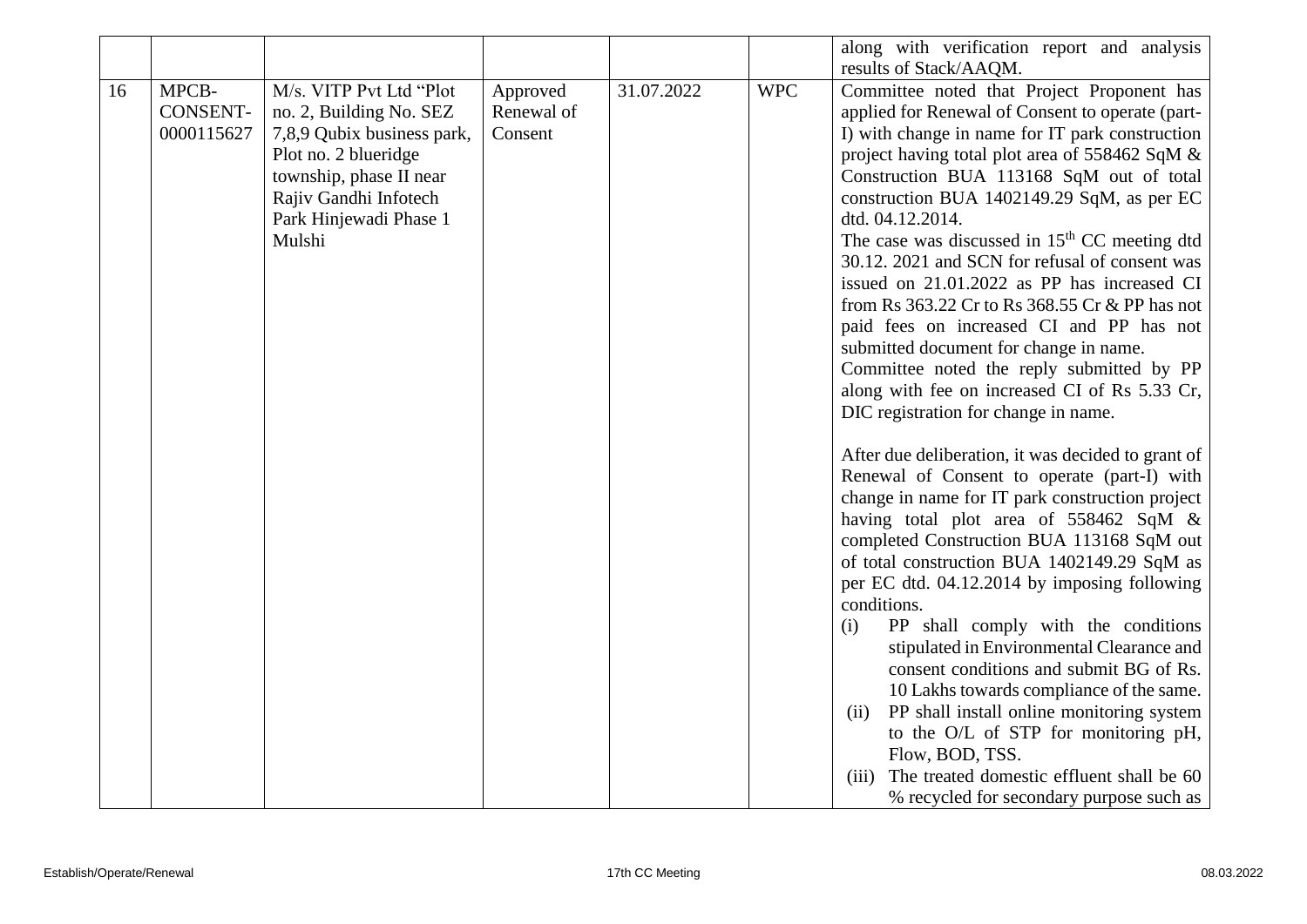|    |                                        |                                                                                                                                                                                                  |                                   |            |            | along with verification report and analysis<br>results of Stack/AAQM.                                                                                                                                                                                                                                                                                                                                                                                                                                                                                                                                                                                                                                                                                                                                                                                                                                                                                                                                                                                                                             |
|----|----------------------------------------|--------------------------------------------------------------------------------------------------------------------------------------------------------------------------------------------------|-----------------------------------|------------|------------|---------------------------------------------------------------------------------------------------------------------------------------------------------------------------------------------------------------------------------------------------------------------------------------------------------------------------------------------------------------------------------------------------------------------------------------------------------------------------------------------------------------------------------------------------------------------------------------------------------------------------------------------------------------------------------------------------------------------------------------------------------------------------------------------------------------------------------------------------------------------------------------------------------------------------------------------------------------------------------------------------------------------------------------------------------------------------------------------------|
| 16 | MPCB-<br><b>CONSENT-</b><br>0000115627 | M/s. VITP Pvt Ltd "Plot<br>no. 2, Building No. SEZ<br>7,8,9 Qubix business park,<br>Plot no. 2 blueridge<br>township, phase II near<br>Rajiv Gandhi Infotech<br>Park Hinjewadi Phase 1<br>Mulshi | Approved<br>Renewal of<br>Consent | 31.07.2022 | <b>WPC</b> | Committee noted that Project Proponent has<br>applied for Renewal of Consent to operate (part-<br>I) with change in name for IT park construction<br>project having total plot area of 558462 SqM &<br>Construction BUA 113168 SqM out of total<br>construction BUA 1402149.29 SqM, as per EC<br>dtd. 04.12.2014.<br>The case was discussed in $15th$ CC meeting dtd<br>30.12. 2021 and SCN for refusal of consent was<br>issued on 21.01.2022 as PP has increased CI<br>from Rs 363.22 Cr to Rs 368.55 Cr & PP has not<br>paid fees on increased CI and PP has not<br>submitted document for change in name.<br>Committee noted the reply submitted by PP<br>along with fee on increased CI of Rs 5.33 Cr,<br>DIC registration for change in name.<br>After due deliberation, it was decided to grant of<br>Renewal of Consent to operate (part-I) with<br>change in name for IT park construction project<br>having total plot area of 558462 SqM &<br>completed Construction BUA 113168 SqM out<br>of total construction BUA 1402149.29 SqM as<br>per EC dtd. 04.12.2014 by imposing following |
|    |                                        |                                                                                                                                                                                                  |                                   |            |            | conditions.<br>PP shall comply with the conditions<br>(i)<br>stipulated in Environmental Clearance and<br>consent conditions and submit BG of Rs.<br>10 Lakhs towards compliance of the same.<br>PP shall install online monitoring system<br>(ii)<br>to the O/L of STP for monitoring pH,<br>Flow, BOD, TSS.<br>The treated domestic effluent shall be 60<br>(iii)<br>% recycled for secondary purpose such as                                                                                                                                                                                                                                                                                                                                                                                                                                                                                                                                                                                                                                                                                   |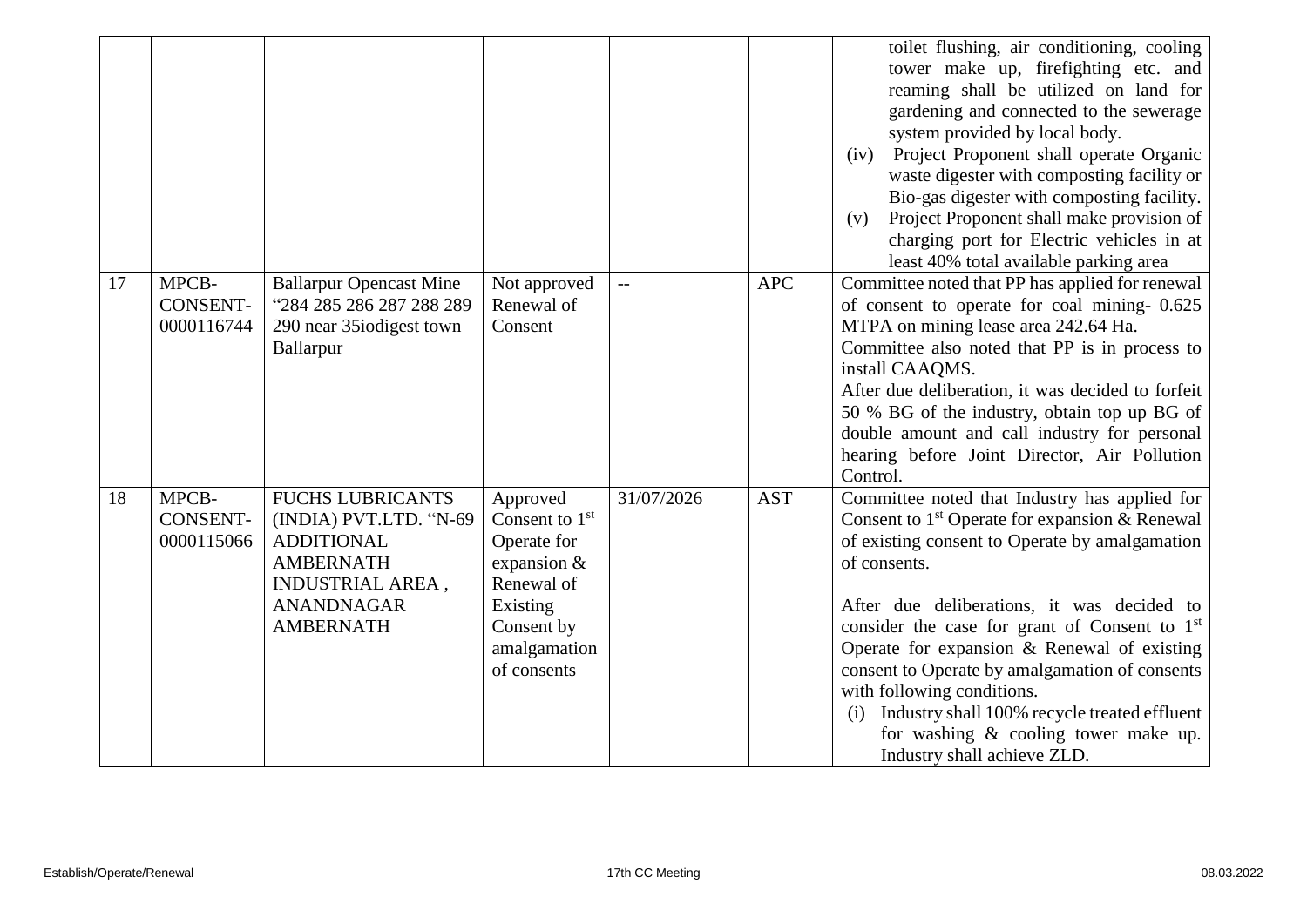|    |                                        |                                                                                                                                                         |                                                                                                                                      |                          |            | toilet flushing, air conditioning, cooling<br>tower make up, firefighting etc. and<br>reaming shall be utilized on land for<br>gardening and connected to the sewerage<br>system provided by local body.<br>Project Proponent shall operate Organic<br>(iv)<br>waste digester with composting facility or<br>Bio-gas digester with composting facility.<br>Project Proponent shall make provision of<br>(v)<br>charging port for Electric vehicles in at<br>least 40% total available parking area                                             |
|----|----------------------------------------|---------------------------------------------------------------------------------------------------------------------------------------------------------|--------------------------------------------------------------------------------------------------------------------------------------|--------------------------|------------|------------------------------------------------------------------------------------------------------------------------------------------------------------------------------------------------------------------------------------------------------------------------------------------------------------------------------------------------------------------------------------------------------------------------------------------------------------------------------------------------------------------------------------------------|
| 17 | MPCB-<br><b>CONSENT-</b><br>0000116744 | <b>Ballarpur Opencast Mine</b><br>"284 285 286 287 288 289<br>290 near 35 iodigest town<br>Ballarpur                                                    | Not approved<br>Renewal of<br>Consent                                                                                                | $\overline{\phantom{0}}$ | <b>APC</b> | Committee noted that PP has applied for renewal<br>of consent to operate for coal mining-0.625<br>MTPA on mining lease area 242.64 Ha.<br>Committee also noted that PP is in process to<br>install CAAQMS.<br>After due deliberation, it was decided to forfeit<br>50 % BG of the industry, obtain top up BG of<br>double amount and call industry for personal<br>hearing before Joint Director, Air Pollution<br>Control.                                                                                                                    |
| 18 | MPCB-<br><b>CONSENT-</b><br>0000115066 | <b>FUCHS LUBRICANTS</b><br>(INDIA) PVT.LTD. "N-69<br><b>ADDITIONAL</b><br><b>AMBERNATH</b><br>INDUSTRIAL AREA,<br><b>ANANDNAGAR</b><br><b>AMBERNATH</b> | Approved<br>Consent to $1st$<br>Operate for<br>expansion $\&$<br>Renewal of<br>Existing<br>Consent by<br>amalgamation<br>of consents | 31/07/2026               | <b>AST</b> | Committee noted that Industry has applied for<br>Consent to $1st$ Operate for expansion & Renewal<br>of existing consent to Operate by amalgamation<br>of consents.<br>After due deliberations, it was decided to<br>consider the case for grant of Consent to 1 <sup>st</sup><br>Operate for expansion $\&$ Renewal of existing<br>consent to Operate by amalgamation of consents<br>with following conditions.<br>Industry shall 100% recycle treated effluent<br>(i)<br>for washing & cooling tower make up.<br>Industry shall achieve ZLD. |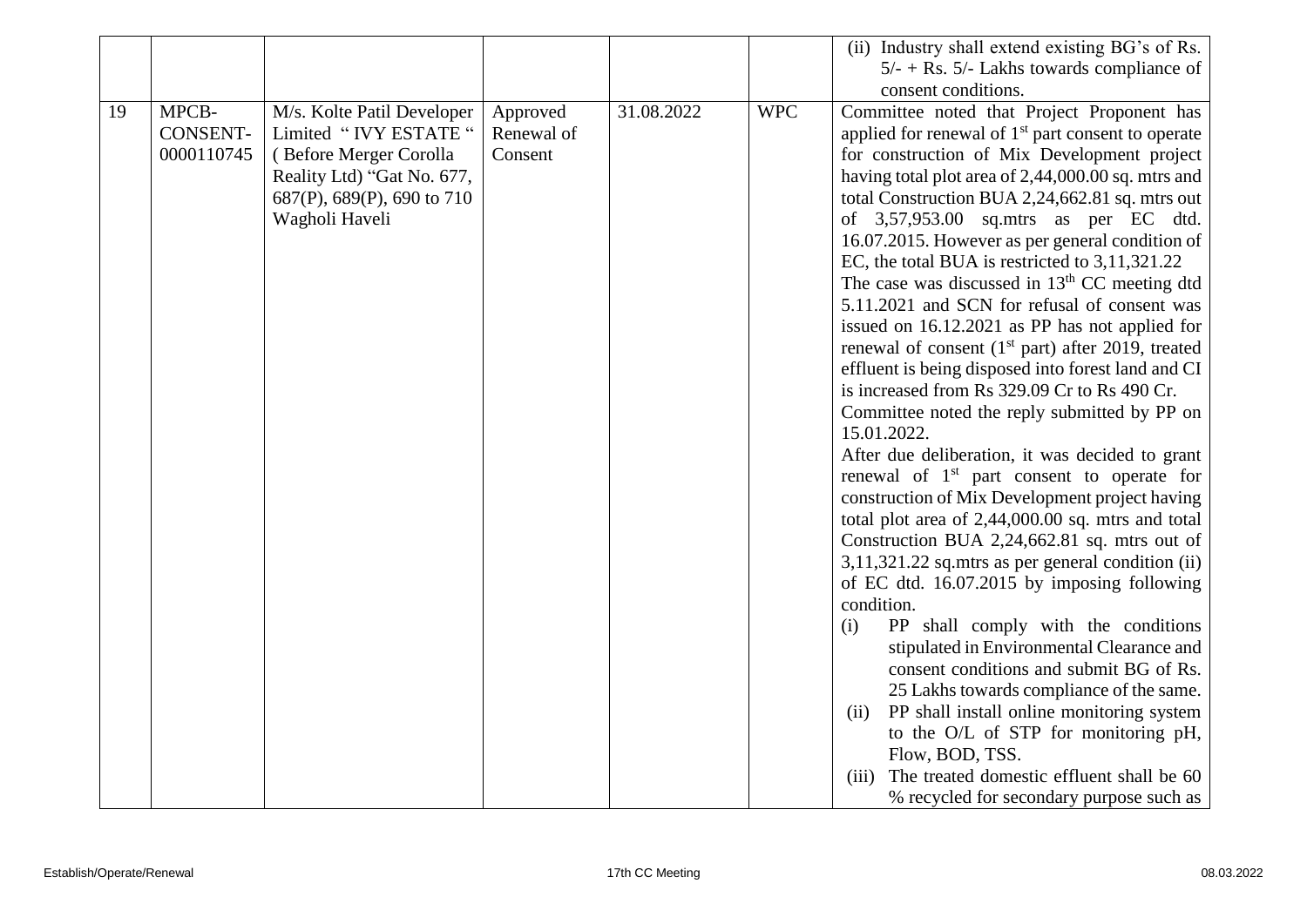|    |                 |                            |            |            |            | (ii) Industry shall extend existing BG's of Rs.                                                     |
|----|-----------------|----------------------------|------------|------------|------------|-----------------------------------------------------------------------------------------------------|
|    |                 |                            |            |            |            | $5/- +$ Rs. 5/- Lakhs towards compliance of                                                         |
|    |                 |                            |            |            |            | consent conditions.                                                                                 |
| 19 | MPCB-           | M/s. Kolte Patil Developer | Approved   | 31.08.2022 | <b>WPC</b> | Committee noted that Project Proponent has                                                          |
|    | <b>CONSENT-</b> | Limited "IVY ESTATE"       | Renewal of |            |            | applied for renewal of $1st$ part consent to operate                                                |
|    | 0000110745      | (Before Merger Corolla     | Consent    |            |            | for construction of Mix Development project                                                         |
|    |                 | Reality Ltd) "Gat No. 677, |            |            |            | having total plot area of 2,44,000.00 sq. mtrs and                                                  |
|    |                 | 687(P), 689(P), 690 to 710 |            |            |            | total Construction BUA 2,24,662.81 sq. mtrs out                                                     |
|    |                 | Wagholi Haveli             |            |            |            | of 3,57,953.00 sq.mtrs as per EC dtd.                                                               |
|    |                 |                            |            |            |            | 16.07.2015. However as per general condition of                                                     |
|    |                 |                            |            |            |            | EC, the total BUA is restricted to 3,11,321.22                                                      |
|    |                 |                            |            |            |            | The case was discussed in $13th$ CC meeting dtd                                                     |
|    |                 |                            |            |            |            | 5.11.2021 and SCN for refusal of consent was                                                        |
|    |                 |                            |            |            |            | issued on 16.12.2021 as PP has not applied for                                                      |
|    |                 |                            |            |            |            | renewal of consent $(1st$ part) after 2019, treated                                                 |
|    |                 |                            |            |            |            | effluent is being disposed into forest land and CI                                                  |
|    |                 |                            |            |            |            | is increased from Rs 329.09 Cr to Rs 490 Cr.                                                        |
|    |                 |                            |            |            |            | Committee noted the reply submitted by PP on                                                        |
|    |                 |                            |            |            |            | 15.01.2022.                                                                                         |
|    |                 |                            |            |            |            | After due deliberation, it was decided to grant                                                     |
|    |                 |                            |            |            |            | renewal of 1 <sup>st</sup> part consent to operate for                                              |
|    |                 |                            |            |            |            | construction of Mix Development project having                                                      |
|    |                 |                            |            |            |            | total plot area of 2,44,000.00 sq. mtrs and total                                                   |
|    |                 |                            |            |            |            | Construction BUA 2,24,662.81 sq. mtrs out of<br>$3,11,321.22$ sq.mtrs as per general condition (ii) |
|    |                 |                            |            |            |            | of EC dtd. 16.07.2015 by imposing following                                                         |
|    |                 |                            |            |            |            | condition.                                                                                          |
|    |                 |                            |            |            |            | PP shall comply with the conditions<br>(i)                                                          |
|    |                 |                            |            |            |            | stipulated in Environmental Clearance and                                                           |
|    |                 |                            |            |            |            | consent conditions and submit BG of Rs.                                                             |
|    |                 |                            |            |            |            | 25 Lakhs towards compliance of the same.                                                            |
|    |                 |                            |            |            |            | PP shall install online monitoring system<br>(ii)                                                   |
|    |                 |                            |            |            |            | to the O/L of STP for monitoring pH,                                                                |
|    |                 |                            |            |            |            | Flow, BOD, TSS.                                                                                     |
|    |                 |                            |            |            |            | The treated domestic effluent shall be 60<br>(iii)                                                  |
|    |                 |                            |            |            |            | % recycled for secondary purpose such as                                                            |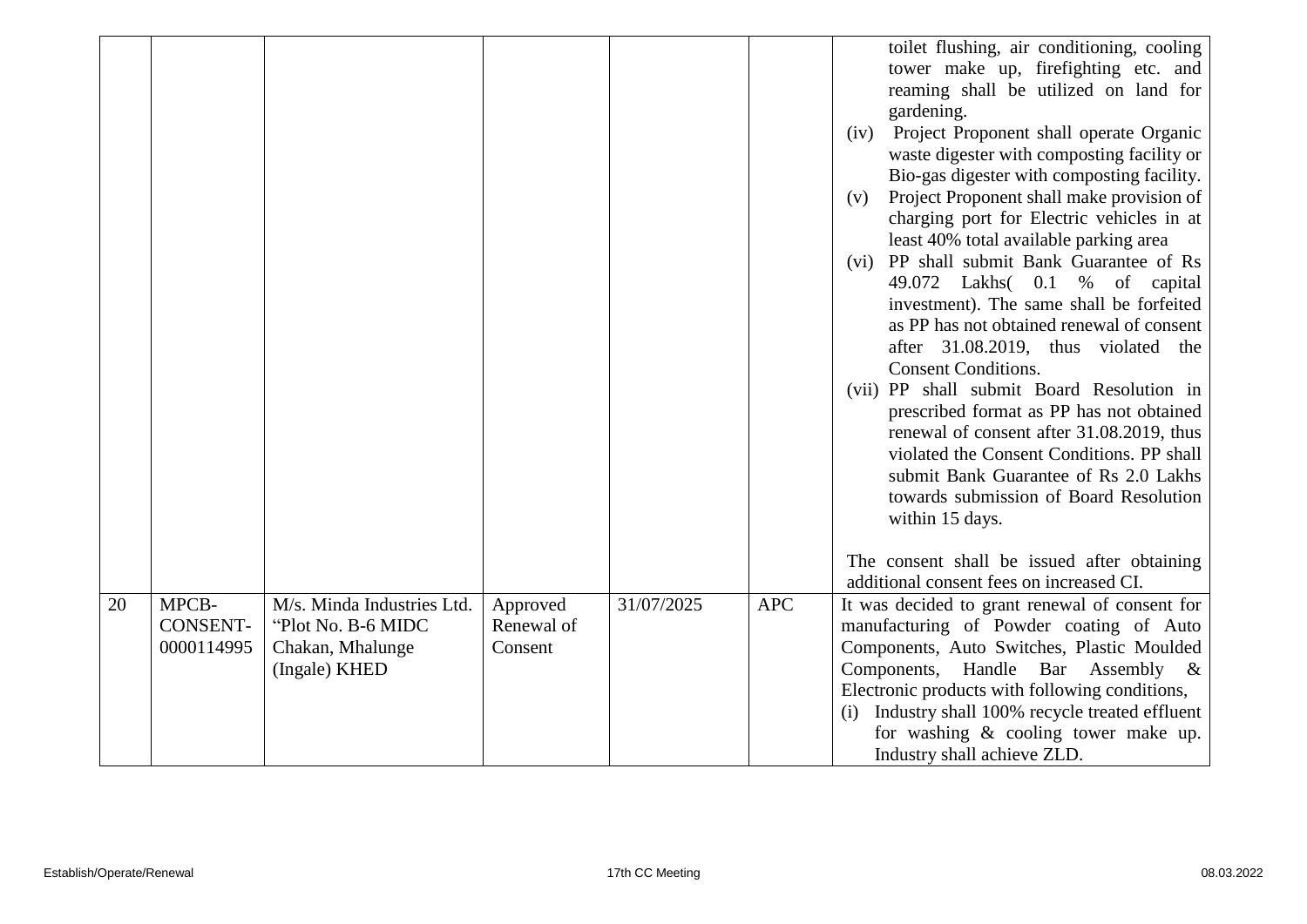|    |                                        |                                                                                       |                                   |            |            | toilet flushing, air conditioning, cooling<br>tower make up, firefighting etc. and<br>reaming shall be utilized on land for<br>gardening.<br>Project Proponent shall operate Organic<br>(iv)<br>waste digester with composting facility or<br>Bio-gas digester with composting facility.<br>Project Proponent shall make provision of<br>(v)<br>charging port for Electric vehicles in at<br>least 40% total available parking area<br>(vi) PP shall submit Bank Guarantee of Rs<br>49.072 Lakhs 0.1 % of capital<br>investment). The same shall be forfeited<br>as PP has not obtained renewal of consent<br>after 31.08.2019, thus violated the<br><b>Consent Conditions.</b><br>(vii) PP shall submit Board Resolution in<br>prescribed format as PP has not obtained<br>renewal of consent after 31.08.2019, thus<br>violated the Consent Conditions. PP shall<br>submit Bank Guarantee of Rs 2.0 Lakhs<br>towards submission of Board Resolution<br>within 15 days.<br>The consent shall be issued after obtaining<br>additional consent fees on increased CI. |
|----|----------------------------------------|---------------------------------------------------------------------------------------|-----------------------------------|------------|------------|---------------------------------------------------------------------------------------------------------------------------------------------------------------------------------------------------------------------------------------------------------------------------------------------------------------------------------------------------------------------------------------------------------------------------------------------------------------------------------------------------------------------------------------------------------------------------------------------------------------------------------------------------------------------------------------------------------------------------------------------------------------------------------------------------------------------------------------------------------------------------------------------------------------------------------------------------------------------------------------------------------------------------------------------------------------------|
| 20 | MPCB-<br><b>CONSENT-</b><br>0000114995 | M/s. Minda Industries Ltd.<br>"Plot No. B-6 MIDC<br>Chakan, Mhalunge<br>(Ingale) KHED | Approved<br>Renewal of<br>Consent | 31/07/2025 | <b>APC</b> | It was decided to grant renewal of consent for<br>manufacturing of Powder coating of Auto<br>Components, Auto Switches, Plastic Moulded<br>Components, Handle Bar Assembly &<br>Electronic products with following conditions,<br>Industry shall 100% recycle treated effluent<br>(i)<br>for washing & cooling tower make up.<br>Industry shall achieve ZLD.                                                                                                                                                                                                                                                                                                                                                                                                                                                                                                                                                                                                                                                                                                        |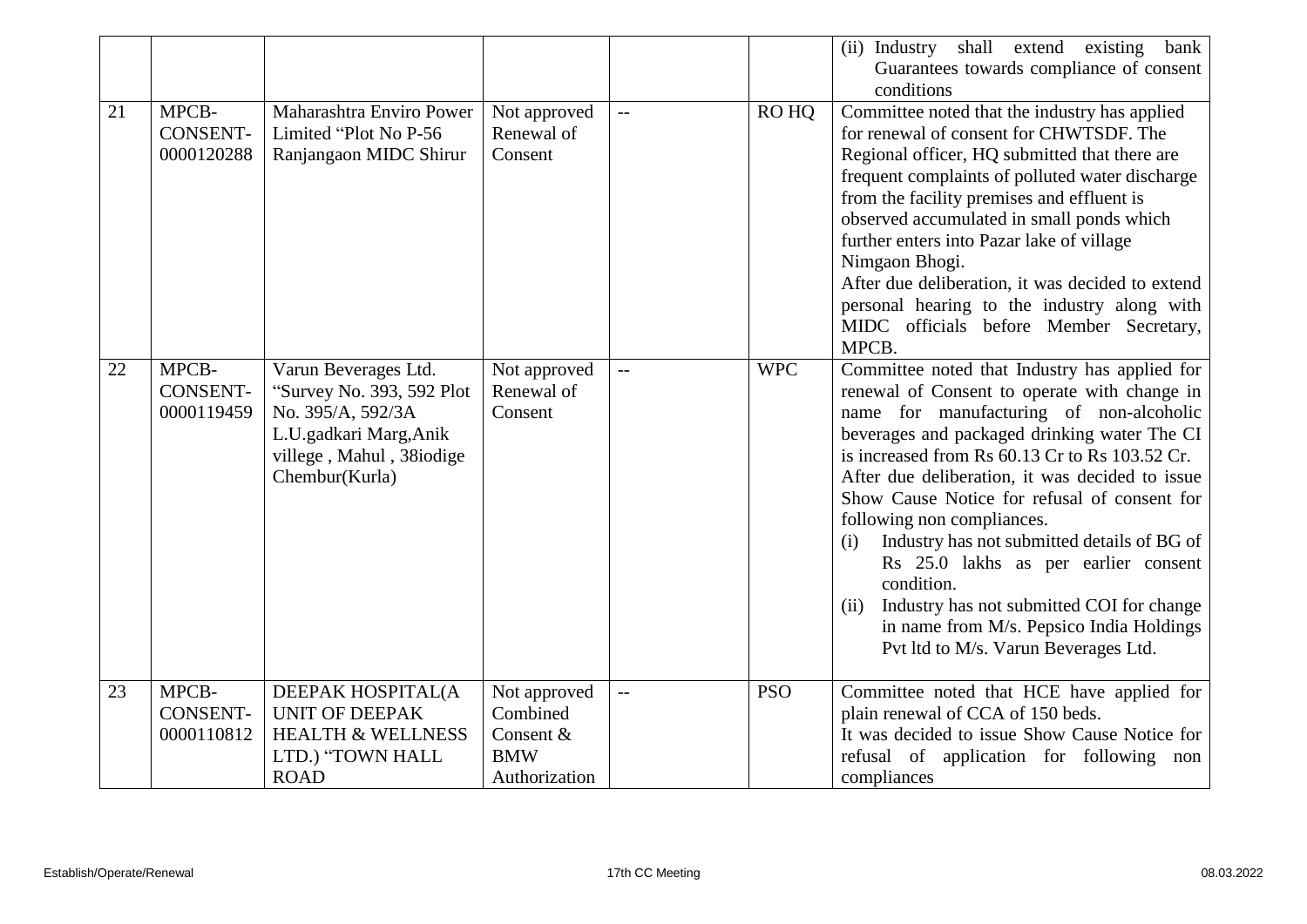|    |                                        |                                                                                                                                                |                                                     |                          |            | (ii) Industry shall extend existing<br>bank                                                                                                                                                                                                                                                                                                                                                                                                                                                                                                                                                                                      |
|----|----------------------------------------|------------------------------------------------------------------------------------------------------------------------------------------------|-----------------------------------------------------|--------------------------|------------|----------------------------------------------------------------------------------------------------------------------------------------------------------------------------------------------------------------------------------------------------------------------------------------------------------------------------------------------------------------------------------------------------------------------------------------------------------------------------------------------------------------------------------------------------------------------------------------------------------------------------------|
|    |                                        |                                                                                                                                                |                                                     |                          |            | Guarantees towards compliance of consent                                                                                                                                                                                                                                                                                                                                                                                                                                                                                                                                                                                         |
|    |                                        |                                                                                                                                                |                                                     |                          |            | conditions                                                                                                                                                                                                                                                                                                                                                                                                                                                                                                                                                                                                                       |
| 21 | MPCB-<br><b>CONSENT-</b><br>0000120288 | Maharashtra Enviro Power<br>Limited "Plot No P-56<br>Ranjangaon MIDC Shirur                                                                    | Not approved<br>Renewal of<br>Consent               | $\overline{\phantom{0}}$ | ROHO       | Committee noted that the industry has applied<br>for renewal of consent for CHWTSDF. The<br>Regional officer, HQ submitted that there are<br>frequent complaints of polluted water discharge<br>from the facility premises and effluent is<br>observed accumulated in small ponds which<br>further enters into Pazar lake of village<br>Nimgaon Bhogi.<br>After due deliberation, it was decided to extend<br>personal hearing to the industry along with<br>MIDC officials before Member Secretary,                                                                                                                             |
|    |                                        |                                                                                                                                                |                                                     |                          |            | MPCB.                                                                                                                                                                                                                                                                                                                                                                                                                                                                                                                                                                                                                            |
| 22 | MPCB-<br>CONSENT-<br>0000119459        | Varun Beverages Ltd.<br>"Survey No. 393, 592 Plot<br>No. 395/A, 592/3A<br>L.U.gadkari Marg, Anik<br>villege, Mahul, 38iodige<br>Chembur(Kurla) | Not approved<br>Renewal of<br>Consent               | $\overline{\phantom{a}}$ | <b>WPC</b> | Committee noted that Industry has applied for<br>renewal of Consent to operate with change in<br>name for manufacturing of non-alcoholic<br>beverages and packaged drinking water The CI<br>is increased from Rs 60.13 Cr to Rs 103.52 Cr.<br>After due deliberation, it was decided to issue<br>Show Cause Notice for refusal of consent for<br>following non compliances.<br>Industry has not submitted details of BG of<br>(i)<br>Rs 25.0 lakhs as per earlier consent<br>condition.<br>Industry has not submitted COI for change<br>(ii)<br>in name from M/s. Pepsico India Holdings<br>Pvt ltd to M/s. Varun Beverages Ltd. |
| 23 | MPCB-<br><b>CONSENT-</b><br>0000110812 | DEEPAK HOSPITAL(A<br><b>UNIT OF DEEPAK</b><br><b>HEALTH &amp; WELLNESS</b><br>LTD.) "TOWN HALL                                                 | Not approved<br>Combined<br>Consent &<br><b>BMW</b> | $\overline{\phantom{a}}$ | <b>PSO</b> | Committee noted that HCE have applied for<br>plain renewal of CCA of 150 beds.<br>It was decided to issue Show Cause Notice for                                                                                                                                                                                                                                                                                                                                                                                                                                                                                                  |
|    |                                        | <b>ROAD</b>                                                                                                                                    | Authorization                                       |                          |            | refusal of application for following non<br>compliances                                                                                                                                                                                                                                                                                                                                                                                                                                                                                                                                                                          |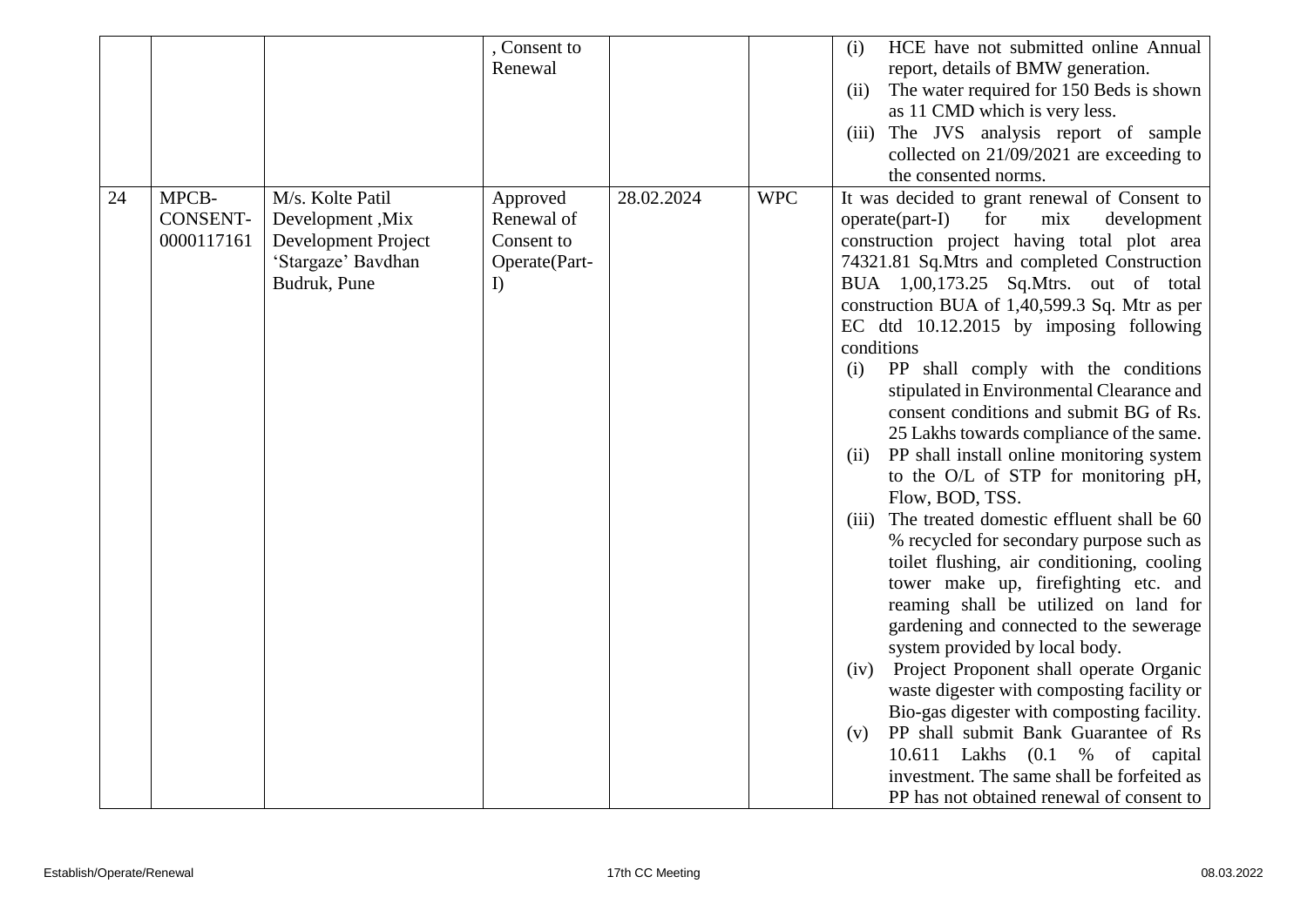|    |                                        |                                                                                                   | , Consent to<br>Renewal                                     |            |            | HCE have not submitted online Annual<br>(i)<br>report, details of BMW generation.<br>The water required for 150 Beds is shown<br>(ii)<br>as 11 CMD which is very less.<br>The JVS analysis report of sample<br>(iii)<br>collected on $21/09/2021$ are exceeding to<br>the consented norms.                                                                                                                                                                                                                                                                                                                                                                                                                                                                                                                                                                                                                                                                                                                                                                                                                                                                                                                                                                                                        |
|----|----------------------------------------|---------------------------------------------------------------------------------------------------|-------------------------------------------------------------|------------|------------|---------------------------------------------------------------------------------------------------------------------------------------------------------------------------------------------------------------------------------------------------------------------------------------------------------------------------------------------------------------------------------------------------------------------------------------------------------------------------------------------------------------------------------------------------------------------------------------------------------------------------------------------------------------------------------------------------------------------------------------------------------------------------------------------------------------------------------------------------------------------------------------------------------------------------------------------------------------------------------------------------------------------------------------------------------------------------------------------------------------------------------------------------------------------------------------------------------------------------------------------------------------------------------------------------|
| 24 | MPCB-<br><b>CONSENT-</b><br>0000117161 | M/s. Kolte Patil<br>Development, Mix<br>Development Project<br>'Stargaze' Bavdhan<br>Budruk, Pune | Approved<br>Renewal of<br>Consent to<br>Operate(Part-<br>I) | 28.02.2024 | <b>WPC</b> | It was decided to grant renewal of Consent to<br>$operatorerate(part-I)$<br>for<br>mix<br>development<br>construction project having total plot area<br>74321.81 Sq.Mtrs and completed Construction<br>BUA 1,00,173.25 Sq.Mtrs. out of total<br>construction BUA of 1,40,599.3 Sq. Mtr as per<br>EC dtd 10.12.2015 by imposing following<br>conditions<br>PP shall comply with the conditions<br>(i)<br>stipulated in Environmental Clearance and<br>consent conditions and submit BG of Rs.<br>25 Lakhs towards compliance of the same.<br>PP shall install online monitoring system<br>(ii)<br>to the O/L of STP for monitoring pH,<br>Flow, BOD, TSS.<br>The treated domestic effluent shall be 60<br>(iii)<br>% recycled for secondary purpose such as<br>toilet flushing, air conditioning, cooling<br>tower make up, firefighting etc. and<br>reaming shall be utilized on land for<br>gardening and connected to the sewerage<br>system provided by local body.<br>Project Proponent shall operate Organic<br>(iv)<br>waste digester with composting facility or<br>Bio-gas digester with composting facility.<br>PP shall submit Bank Guarantee of Rs<br>(v)<br>10.611 Lakhs (0.1 % of capital<br>investment. The same shall be forfeited as<br>PP has not obtained renewal of consent to |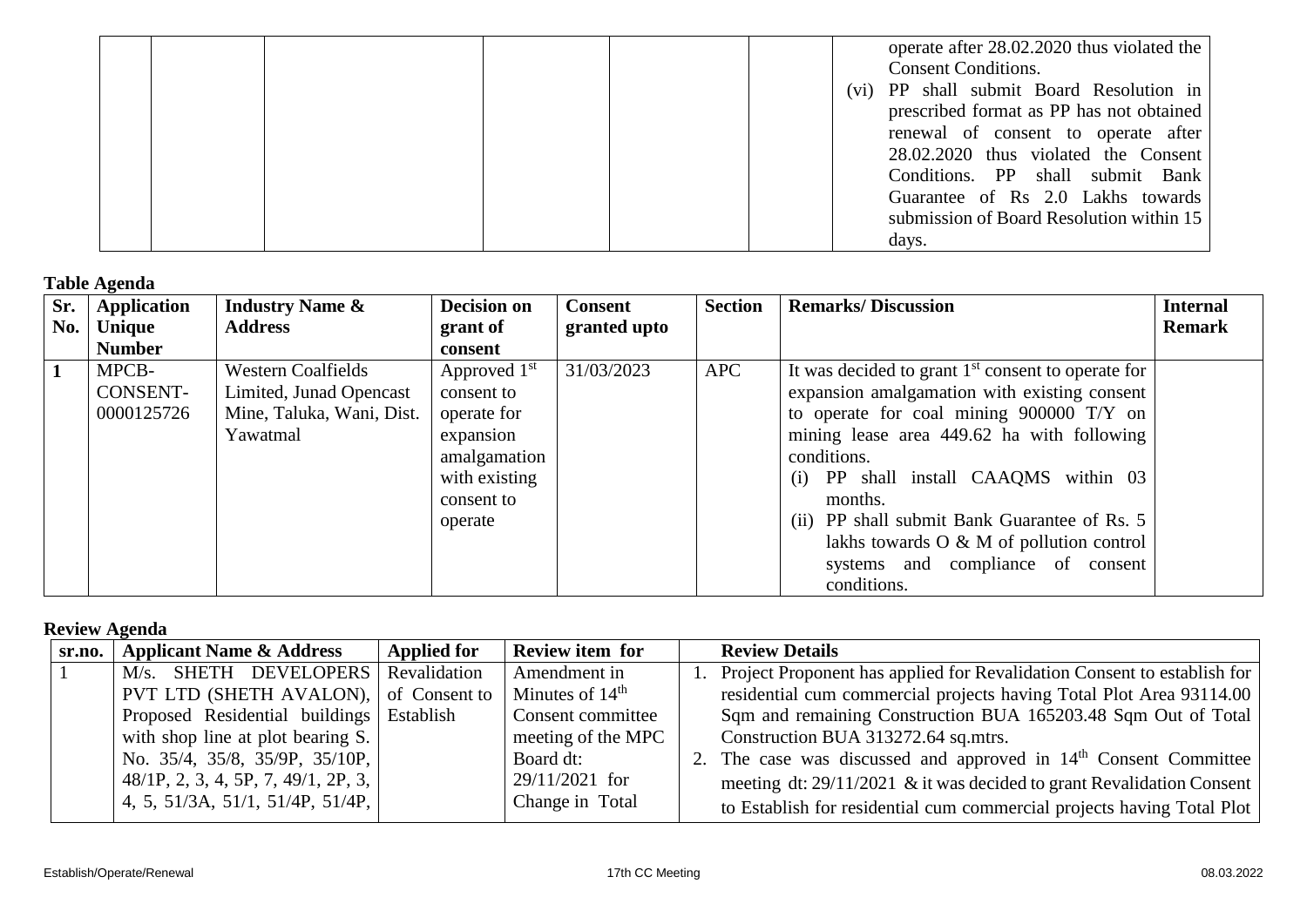|  |  |  | operate after 28.02.2020 thus violated the<br><b>Consent Conditions.</b><br>(vi) PP shall submit Board Resolution in<br>prescribed format as PP has not obtained |
|--|--|--|------------------------------------------------------------------------------------------------------------------------------------------------------------------|
|  |  |  | renewal of consent to operate after<br>28.02.2020 thus violated the Consent<br>Conditions. PP shall submit Bank<br>Guarantee of Rs 2.0 Lakhs towards             |
|  |  |  | submission of Board Resolution within 15<br>days.                                                                                                                |

## **Table Agenda**

| Sr. | <b>Application</b> | <b>Industry Name &amp;</b> | <b>Decision on</b> | <b>Consent</b> | <b>Section</b> | <b>Remarks/Discussion</b>                            | <b>Internal</b> |
|-----|--------------------|----------------------------|--------------------|----------------|----------------|------------------------------------------------------|-----------------|
| No. | <b>Unique</b>      | <b>Address</b>             | grant of           | granted upto   |                |                                                      | <b>Remark</b>   |
|     | <b>Number</b>      |                            | consent            |                |                |                                                      |                 |
|     | MPCB-              | <b>Western Coalfields</b>  | Approved $1st$     | 31/03/2023     | <b>APC</b>     | It was decided to grant $1st$ consent to operate for |                 |
|     | <b>CONSENT-</b>    | Limited, Junad Opencast    | consent to         |                |                | expansion amalgamation with existing consent         |                 |
|     | 0000125726         | Mine, Taluka, Wani, Dist.  | operate for        |                |                | to operate for coal mining $900000$ T/Y on           |                 |
|     |                    | Yawatmal                   | expansion          |                |                | mining lease area 449.62 ha with following           |                 |
|     |                    |                            | amalgamation       |                |                | conditions.                                          |                 |
|     |                    |                            | with existing      |                |                | (i) PP shall install CAAQMS within 03                |                 |
|     |                    |                            | consent to         |                |                | months.                                              |                 |
|     |                    |                            | operate            |                |                | (ii) PP shall submit Bank Guarantee of Rs. 5         |                 |
|     |                    |                            |                    |                |                | lakhs towards $O \& M$ of pollution control          |                 |
|     |                    |                            |                    |                |                | systems and compliance of consent                    |                 |
|     |                    |                            |                    |                |                | conditions.                                          |                 |

## **Review Agenda**

| sr.no. | <b>Applicant Name &amp; Address</b>      | <b>Applied for</b> | <b>Review item for</b> | <b>Review Details</b>                                                      |
|--------|------------------------------------------|--------------------|------------------------|----------------------------------------------------------------------------|
|        | M/s. SHETH DEVELOPERS Revalidation       |                    | Amendment in           | 1. Project Proponent has applied for Revalidation Consent to establish for |
|        | PVT LTD (SHETH AVALON), of Consent to    |                    | Minutes of $14th$      | residential cum commercial projects having Total Plot Area 93114.00        |
|        | Proposed Residential buildings Establish |                    | Consent committee      | Sqm and remaining Construction BUA 165203.48 Sqm Out of Total              |
|        | with shop line at plot bearing $S$ .     |                    | meeting of the MPC     | Construction BUA 313272.64 sq.mtrs.                                        |
|        | No. 35/4, 35/8, 35/9P, 35/10P,           |                    | Board dt:              | 2. The case was discussed and approved in $14th$ Consent Committee         |
|        | $48/1P$ , 2, 3, 4, 5P, 7, 49/1, 2P, 3,   |                    | $29/11/2021$ for       | meeting dt: 29/11/2021 & it was decided to grant Revalidation Consent      |
|        | 4, 5, 51/3A, 51/1, 51/4P, 51/4P,         |                    | Change in Total        | to Establish for residential cum commercial projects having Total Plot     |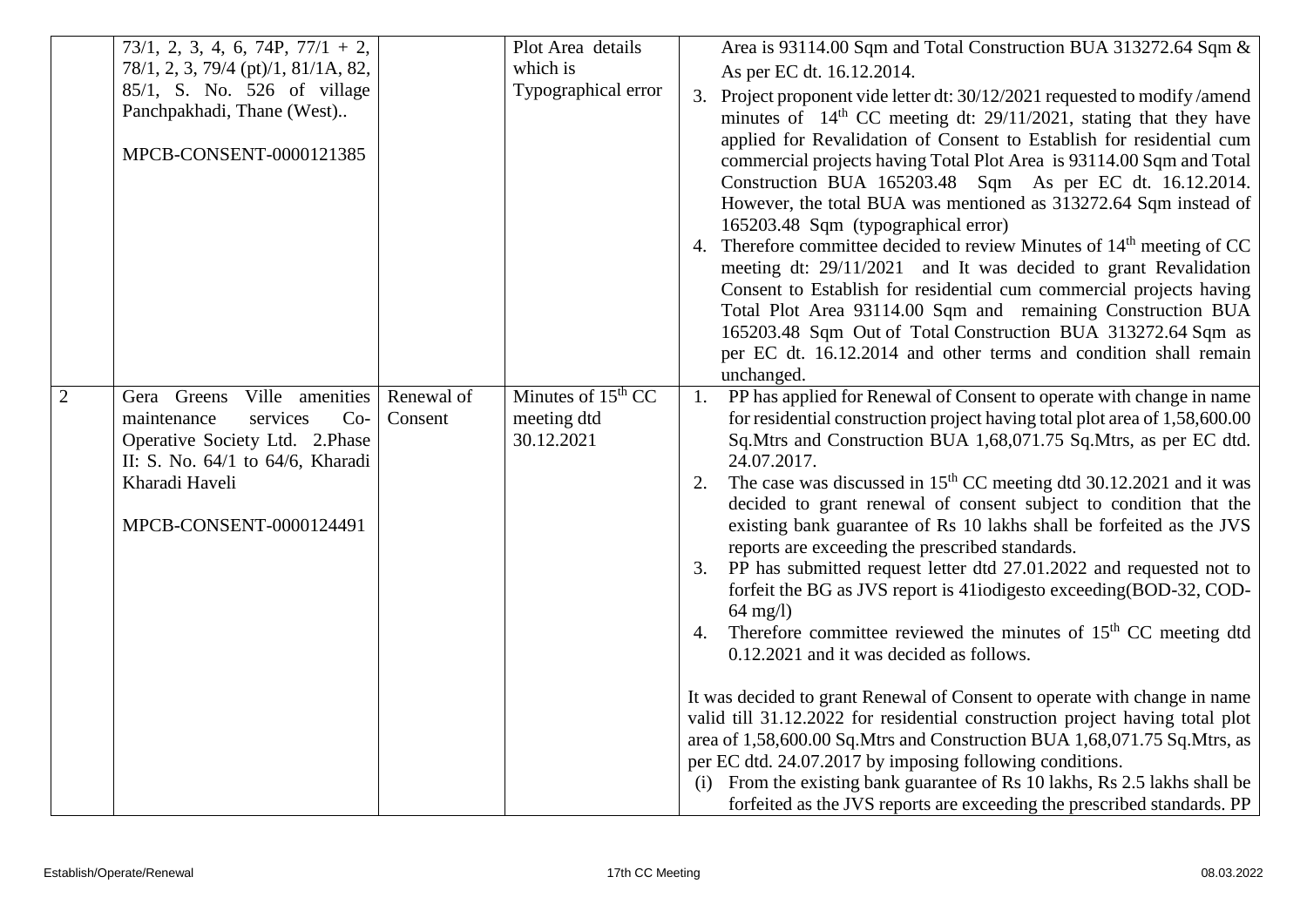|                | $73/1, 2, 3, 4, 6, 74P, 77/1 + 2,$<br>78/1, 2, 3, 79/4 (pt)/1, 81/1A, 82,<br>85/1, S. No. 526 of village<br>Panchpakhadi, Thane (West)<br>MPCB-CONSENT-0000121385                      |                       | Plot Area details<br>which is<br>Typographical error | Area is 93114.00 Sqm and Total Construction BUA 313272.64 Sqm &<br>As per EC dt. 16.12.2014.<br>3. Project proponent vide letter dt: 30/12/2021 requested to modify /amend<br>minutes of $14th CC$ meeting dt: 29/11/2021, stating that they have<br>applied for Revalidation of Consent to Establish for residential cum<br>commercial projects having Total Plot Area is 93114.00 Sqm and Total<br>Construction BUA 165203.48 Sqm As per EC dt. 16.12.2014.<br>However, the total BUA was mentioned as 313272.64 Sqm instead of<br>165203.48 Sqm (typographical error)<br>4. Therefore committee decided to review Minutes of 14 <sup>th</sup> meeting of CC<br>meeting dt: 29/11/2021 and It was decided to grant Revalidation<br>Consent to Establish for residential cum commercial projects having<br>Total Plot Area 93114.00 Sqm and remaining Construction BUA<br>165203.48 Sqm Out of Total Construction BUA 313272.64 Sqm as<br>per EC dt. 16.12.2014 and other terms and condition shall remain<br>unchanged.                                                                                                                                                                                                                                                                                 |
|----------------|----------------------------------------------------------------------------------------------------------------------------------------------------------------------------------------|-----------------------|------------------------------------------------------|-----------------------------------------------------------------------------------------------------------------------------------------------------------------------------------------------------------------------------------------------------------------------------------------------------------------------------------------------------------------------------------------------------------------------------------------------------------------------------------------------------------------------------------------------------------------------------------------------------------------------------------------------------------------------------------------------------------------------------------------------------------------------------------------------------------------------------------------------------------------------------------------------------------------------------------------------------------------------------------------------------------------------------------------------------------------------------------------------------------------------------------------------------------------------------------------------------------------------------------------------------------------------------------------------------------|
| $\overline{2}$ | Ville amenities<br>Gera Greens<br>maintenance<br>services<br>$Co-$<br>Operative Society Ltd. 2. Phase<br>II: S. No. 64/1 to 64/6, Kharadi<br>Kharadi Haveli<br>MPCB-CONSENT-0000124491 | Renewal of<br>Consent | Minutes of $15th CC$<br>meeting dtd<br>30.12.2021    | 1. PP has applied for Renewal of Consent to operate with change in name<br>for residential construction project having total plot area of 1,58,600.00<br>Sq.Mtrs and Construction BUA 1,68,071.75 Sq.Mtrs, as per EC dtd.<br>24.07.2017.<br>The case was discussed in 15 <sup>th</sup> CC meeting dtd 30.12.2021 and it was<br>2.<br>decided to grant renewal of consent subject to condition that the<br>existing bank guarantee of Rs 10 lakhs shall be forfeited as the JVS<br>reports are exceeding the prescribed standards.<br>PP has submitted request letter dtd 27.01.2022 and requested not to<br>3.<br>forfeit the BG as JVS report is 41iodigesto exceeding (BOD-32, COD-<br>$64 \text{ mg/l}$<br>Therefore committee reviewed the minutes of 15 <sup>th</sup> CC meeting dtd<br>4.<br>0.12.2021 and it was decided as follows.<br>It was decided to grant Renewal of Consent to operate with change in name<br>valid till 31.12.2022 for residential construction project having total plot<br>area of 1,58,600.00 Sq.Mtrs and Construction BUA 1,68,071.75 Sq.Mtrs, as<br>per EC dtd. 24.07.2017 by imposing following conditions.<br>(i) From the existing bank guarantee of Rs 10 lakhs, Rs 2.5 lakhs shall be<br>forfeited as the JVS reports are exceeding the prescribed standards. PP |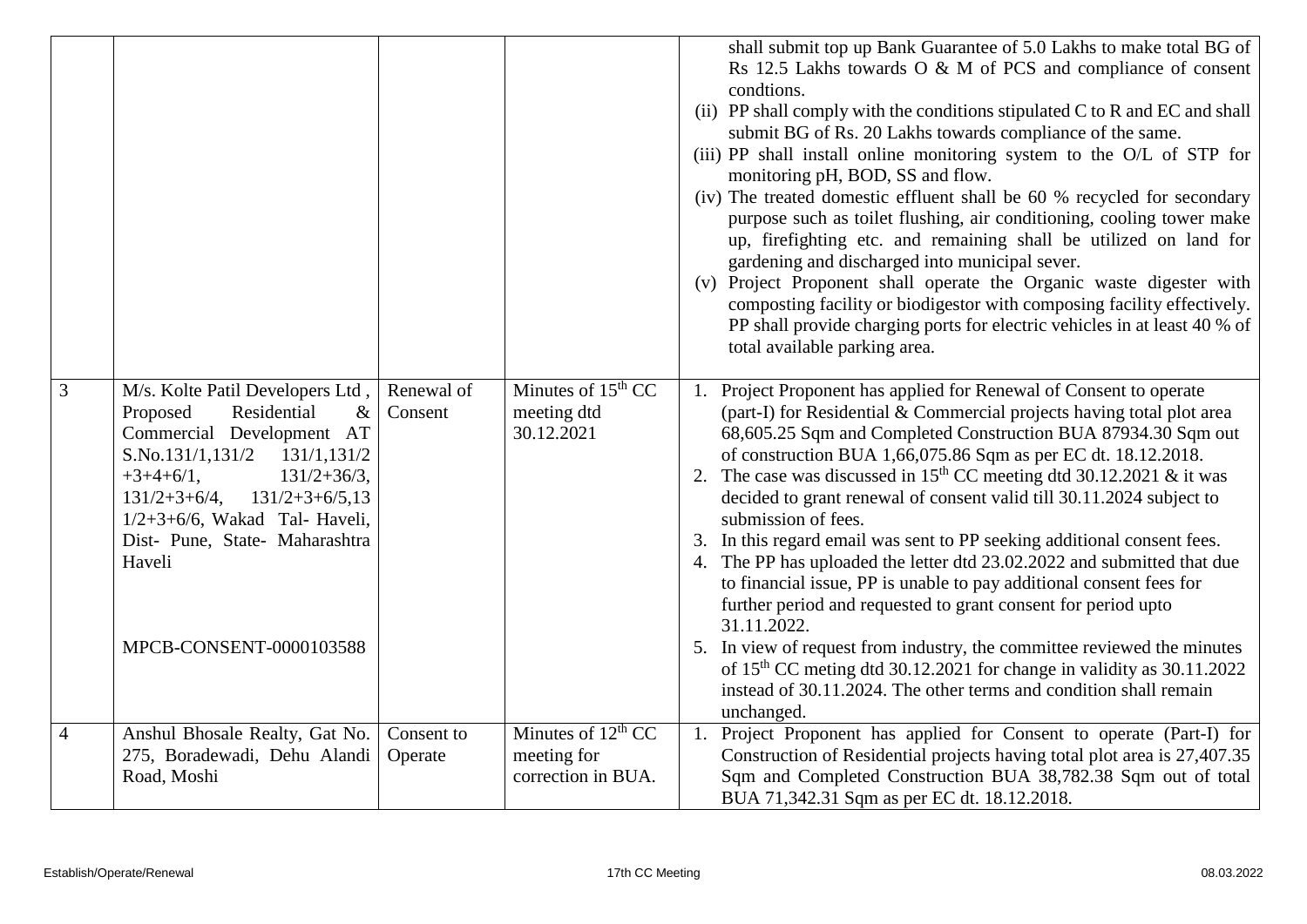|                |                                                                                                                                                                                                                                                                                                                         |                       |                                                           | shall submit top up Bank Guarantee of 5.0 Lakhs to make total BG of<br>Rs 12.5 Lakhs towards O & M of PCS and compliance of consent<br>condtions.<br>(ii) PP shall comply with the conditions stipulated C to R and EC and shall<br>submit BG of Rs. 20 Lakhs towards compliance of the same.<br>(iii) PP shall install online monitoring system to the O/L of STP for<br>monitoring pH, BOD, SS and flow.<br>(iv) The treated domestic effluent shall be 60 % recycled for secondary<br>purpose such as toilet flushing, air conditioning, cooling tower make<br>up, firefighting etc. and remaining shall be utilized on land for<br>gardening and discharged into municipal sever.<br>(v) Project Proponent shall operate the Organic waste digester with<br>composting facility or biodigestor with composing facility effectively.<br>PP shall provide charging ports for electric vehicles in at least 40 % of<br>total available parking area.                                                                     |
|----------------|-------------------------------------------------------------------------------------------------------------------------------------------------------------------------------------------------------------------------------------------------------------------------------------------------------------------------|-----------------------|-----------------------------------------------------------|---------------------------------------------------------------------------------------------------------------------------------------------------------------------------------------------------------------------------------------------------------------------------------------------------------------------------------------------------------------------------------------------------------------------------------------------------------------------------------------------------------------------------------------------------------------------------------------------------------------------------------------------------------------------------------------------------------------------------------------------------------------------------------------------------------------------------------------------------------------------------------------------------------------------------------------------------------------------------------------------------------------------------|
| 3              | M/s. Kolte Patil Developers Ltd,<br>Proposed<br>Residential<br>$\&$<br>Commercial Development AT<br>S.No.131/1,131/2<br>131/1,131/2<br>$+3+4+6/1,$<br>$131/2 + 36/3$ ,<br>$131/2+3+6/4$ ,<br>$131/2+3+6/5,13$<br>$1/2+3+6/6$ , Wakad Tal-Haveli,<br>Dist- Pune, State- Maharashtra<br>Haveli<br>MPCB-CONSENT-0000103588 | Renewal of<br>Consent | Minutes of $15th CC$<br>meeting dtd<br>30.12.2021         | Project Proponent has applied for Renewal of Consent to operate<br>1.<br>(part-I) for Residential & Commercial projects having total plot area<br>68,605.25 Sqm and Completed Construction BUA 87934.30 Sqm out<br>of construction BUA 1,66,075.86 Sqm as per EC dt. 18.12.2018.<br>2. The case was discussed in $15th$ CC meeting dtd 30.12.2021 & it was<br>decided to grant renewal of consent valid till 30.11.2024 subject to<br>submission of fees.<br>3. In this regard email was sent to PP seeking additional consent fees.<br>4. The PP has uploaded the letter dtd 23.02.2022 and submitted that due<br>to financial issue, PP is unable to pay additional consent fees for<br>further period and requested to grant consent for period upto<br>31.11.2022.<br>5. In view of request from industry, the committee reviewed the minutes<br>of 15 <sup>th</sup> CC meting dtd 30.12.2021 for change in validity as 30.11.2022<br>instead of 30.11.2024. The other terms and condition shall remain<br>unchanged. |
| $\overline{4}$ | Anshul Bhosale Realty, Gat No.<br>275, Boradewadi, Dehu Alandi<br>Road, Moshi                                                                                                                                                                                                                                           | Consent to<br>Operate | Minutes of $12th CC$<br>meeting for<br>correction in BUA. | Project Proponent has applied for Consent to operate (Part-I) for<br>1.<br>Construction of Residential projects having total plot area is 27,407.35<br>Sqm and Completed Construction BUA 38,782.38 Sqm out of total<br>BUA 71,342.31 Sqm as per EC dt. 18.12.2018.                                                                                                                                                                                                                                                                                                                                                                                                                                                                                                                                                                                                                                                                                                                                                       |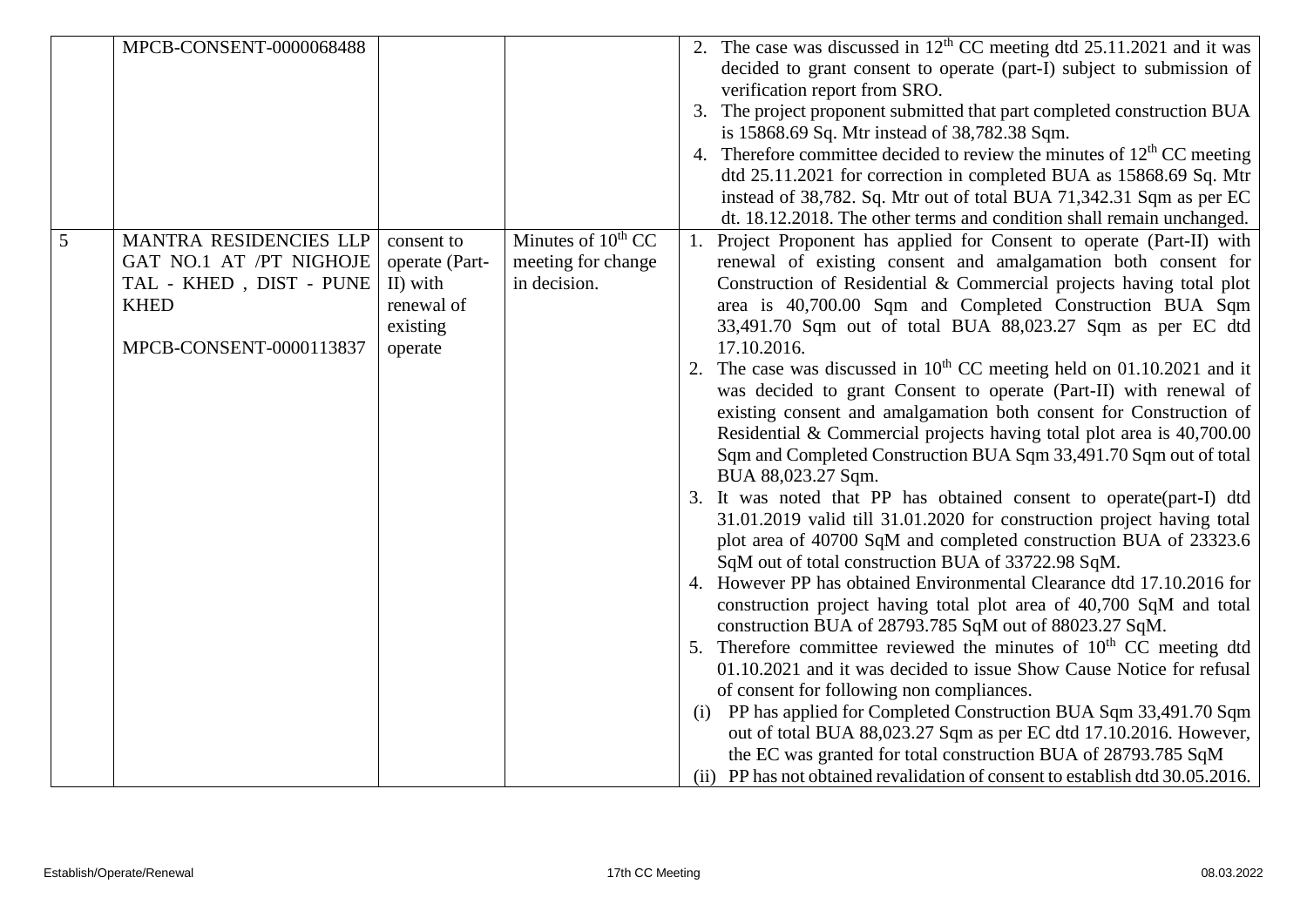|   | MPCB-CONSENT-0000068488                                                                                                |                                                                               |                                                               | 2. The case was discussed in $12th$ CC meeting dtd 25.11.2021 and it was<br>decided to grant consent to operate (part-I) subject to submission of<br>verification report from SRO.<br>3. The project proponent submitted that part completed construction BUA<br>is 15868.69 Sq. Mtr instead of 38,782.38 Sqm.<br>4. Therefore committee decided to review the minutes of $12th$ CC meeting<br>dtd 25.11.2021 for correction in completed BUA as 15868.69 Sq. Mtr<br>instead of 38,782. Sq. Mtr out of total BUA 71,342.31 Sqm as per EC<br>dt. 18.12.2018. The other terms and condition shall remain unchanged.                                                                                                                                                                                                                                                                                                                                                                                                                                                                                                                                                                                                                                                                                                                                                                                                                                                                                                                                                                                                                                                                                                                   |
|---|------------------------------------------------------------------------------------------------------------------------|-------------------------------------------------------------------------------|---------------------------------------------------------------|-------------------------------------------------------------------------------------------------------------------------------------------------------------------------------------------------------------------------------------------------------------------------------------------------------------------------------------------------------------------------------------------------------------------------------------------------------------------------------------------------------------------------------------------------------------------------------------------------------------------------------------------------------------------------------------------------------------------------------------------------------------------------------------------------------------------------------------------------------------------------------------------------------------------------------------------------------------------------------------------------------------------------------------------------------------------------------------------------------------------------------------------------------------------------------------------------------------------------------------------------------------------------------------------------------------------------------------------------------------------------------------------------------------------------------------------------------------------------------------------------------------------------------------------------------------------------------------------------------------------------------------------------------------------------------------------------------------------------------------|
| 5 | MANTRA RESIDENCIES LLP<br>GAT NO.1 AT /PT NIGHOJE<br>TAL - KHED, DIST - PUNE<br><b>KHED</b><br>MPCB-CONSENT-0000113837 | consent to<br>operate (Part-<br>II) with<br>renewal of<br>existing<br>operate | Minutes of $10^{th}$ CC<br>meeting for change<br>in decision. | Project Proponent has applied for Consent to operate (Part-II) with<br>renewal of existing consent and amalgamation both consent for<br>Construction of Residential & Commercial projects having total plot<br>area is 40,700.00 Sqm and Completed Construction BUA Sqm<br>33,491.70 Sqm out of total BUA 88,023.27 Sqm as per EC dtd<br>17.10.2016.<br>2. The case was discussed in $10th$ CC meeting held on 01.10.2021 and it<br>was decided to grant Consent to operate (Part-II) with renewal of<br>existing consent and amalgamation both consent for Construction of<br>Residential & Commercial projects having total plot area is 40,700.00<br>Sqm and Completed Construction BUA Sqm 33,491.70 Sqm out of total<br>BUA 88,023.27 Sqm.<br>3. It was noted that PP has obtained consent to operate(part-I) dtd<br>31.01.2019 valid till 31.01.2020 for construction project having total<br>plot area of 40700 SqM and completed construction BUA of 23323.6<br>SqM out of total construction BUA of 33722.98 SqM.<br>4. However PP has obtained Environmental Clearance dtd 17.10.2016 for<br>construction project having total plot area of 40,700 SqM and total<br>construction BUA of 28793.785 SqM out of 88023.27 SqM.<br>5. Therefore committee reviewed the minutes of $10th$ CC meeting dtd<br>01.10.2021 and it was decided to issue Show Cause Notice for refusal<br>of consent for following non compliances.<br>PP has applied for Completed Construction BUA Sqm 33,491.70 Sqm<br>(i)<br>out of total BUA 88,023.27 Sqm as per EC dtd 17.10.2016. However,<br>the EC was granted for total construction BUA of 28793.785 SqM<br>(ii) PP has not obtained revalidation of consent to establish dtd 30.05.2016. |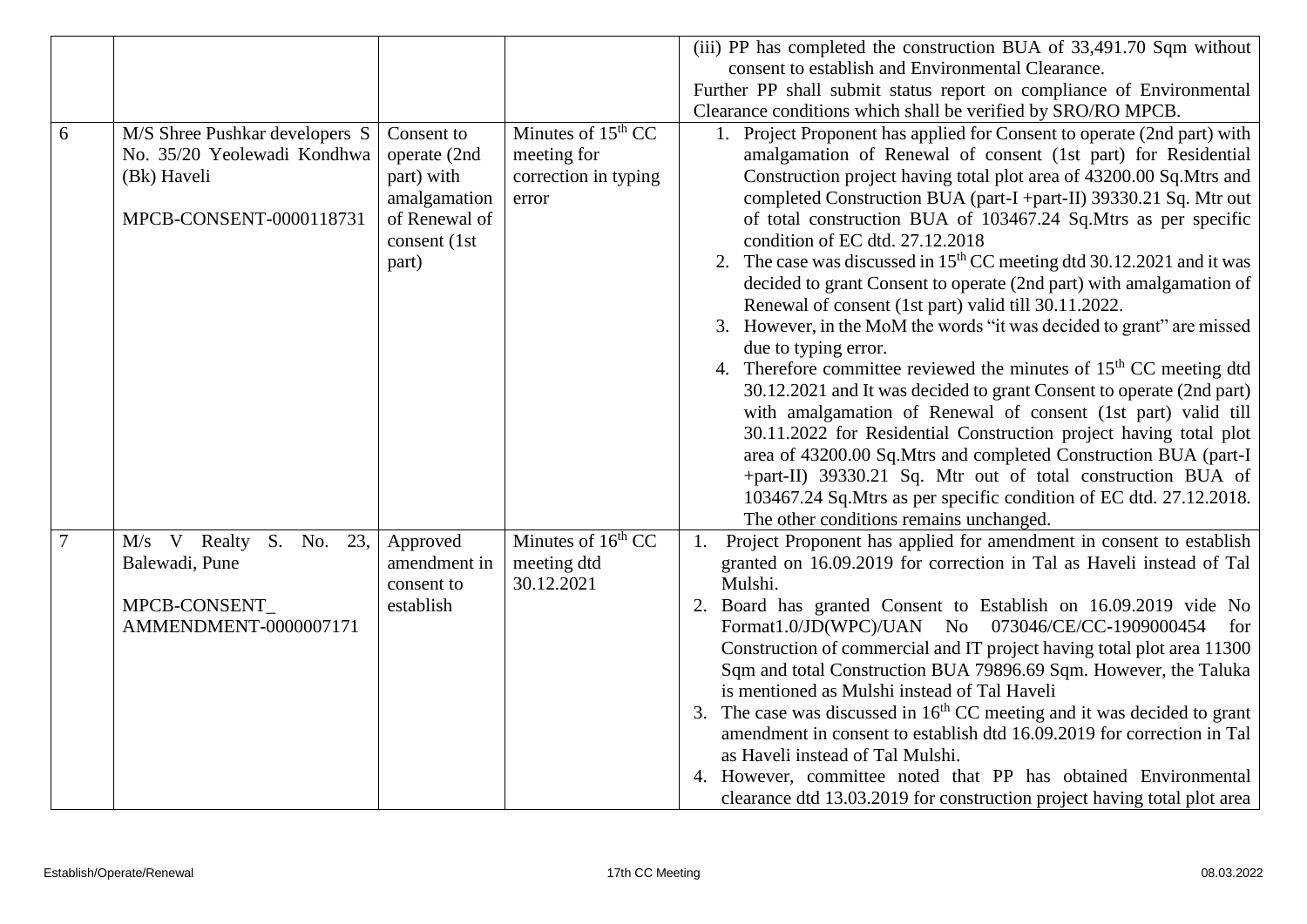|   |                                |               |                      | (iii) PP has completed the construction BUA of 33,491.70 Sqm without          |
|---|--------------------------------|---------------|----------------------|-------------------------------------------------------------------------------|
|   |                                |               |                      | consent to establish and Environmental Clearance.                             |
|   |                                |               |                      | Further PP shall submit status report on compliance of Environmental          |
|   |                                |               |                      | Clearance conditions which shall be verified by SRO/RO MPCB.                  |
| 6 | M/S Shree Pushkar developers S | Consent to    | Minutes of $15th$ CC | 1. Project Proponent has applied for Consent to operate (2nd part) with       |
|   | No. 35/20 Yeolewadi Kondhwa    | operate (2nd  | meeting for          | amalgamation of Renewal of consent (1st part) for Residential                 |
|   | (Bk) Haveli                    | part) with    | correction in typing | Construction project having total plot area of 43200.00 Sq.Mtrs and           |
|   |                                | amalgamation  | error                | completed Construction BUA (part-I +part-II) 39330.21 Sq. Mtr out             |
|   | MPCB-CONSENT-0000118731        | of Renewal of |                      | of total construction BUA of 103467.24 Sq.Mtrs as per specific                |
|   |                                | consent (1st  |                      | condition of EC dtd. 27.12.2018                                               |
|   |                                | part)         |                      | 2. The case was discussed in $15th$ CC meeting dtd 30.12.2021 and it was      |
|   |                                |               |                      | decided to grant Consent to operate (2nd part) with amalgamation of           |
|   |                                |               |                      | Renewal of consent (1st part) valid till 30.11.2022.                          |
|   |                                |               |                      | 3. However, in the MoM the words "it was decided to grant" are missed         |
|   |                                |               |                      | due to typing error.                                                          |
|   |                                |               |                      | 4. Therefore committee reviewed the minutes of $15th$ CC meeting dtd          |
|   |                                |               |                      | 30.12.2021 and It was decided to grant Consent to operate (2nd part)          |
|   |                                |               |                      | with amalgamation of Renewal of consent (1st part) valid till                 |
|   |                                |               |                      | 30.11.2022 for Residential Construction project having total plot             |
|   |                                |               |                      | area of 43200.00 Sq.Mtrs and completed Construction BUA (part-I               |
|   |                                |               |                      | +part-II) 39330.21 Sq. Mtr out of total construction BUA of                   |
|   |                                |               |                      | 103467.24 Sq. Mtrs as per specific condition of EC dtd. 27.12.2018.           |
|   |                                |               |                      | The other conditions remains unchanged.                                       |
|   | M/s V Realty S. No. 23,        | Approved      | Minutes of $16th CC$ | Project Proponent has applied for amendment in consent to establish<br>1.     |
|   | Balewadi, Pune                 | amendment in  | meeting dtd          | granted on 16.09.2019 for correction in Tal as Haveli instead of Tal          |
|   |                                | consent to    | 30.12.2021           | Mulshi.                                                                       |
|   | MPCB-CONSENT                   | establish     |                      | 2. Board has granted Consent to Establish on 16.09.2019 vide No               |
|   | AMMENDMENT-0000007171          |               |                      | Format1.0/JD(WPC)/UAN No 073046/CE/CC-1909000454<br>for                       |
|   |                                |               |                      | Construction of commercial and IT project having total plot area 11300        |
|   |                                |               |                      | Sqm and total Construction BUA 79896.69 Sqm. However, the Taluka              |
|   |                                |               |                      | is mentioned as Mulshi instead of Tal Haveli                                  |
|   |                                |               |                      | The case was discussed in $16th$ CC meeting and it was decided to grant<br>3. |
|   |                                |               |                      | amendment in consent to establish dtd 16.09.2019 for correction in Tal        |
|   |                                |               |                      | as Haveli instead of Tal Mulshi.                                              |
|   |                                |               |                      | 4. However, committee noted that PP has obtained Environmental                |
|   |                                |               |                      | clearance dtd 13.03.2019 for construction project having total plot area      |